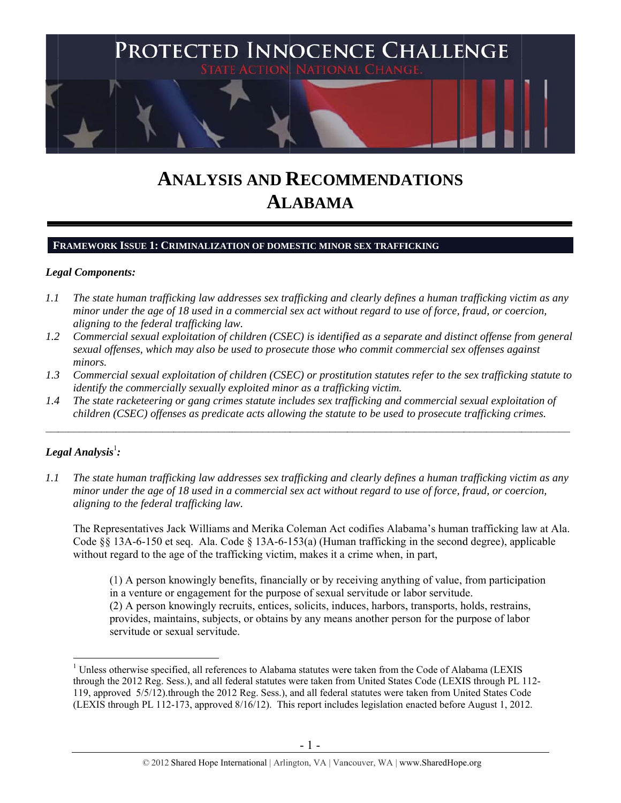

# **ANALYSIS AND RECOMMENDATIONS AL LABAMA A**

# **F FRAMEWORK K ISSUE 1: CR RIMINALIZAT TION OF DOME ESTIC MINOR R SEX TRAFFI ICKING**

# Legal Components:

- *1.1 l* The state human trafficking law addresses sex trafficking and clearly defines a human trafficking victim as any *minor under the age of 18 used in a commercial sex act without regard to use of force, fraud, or coercion, aligning t to the federal trafficking la aw.*
- *1.2* 2 Commercial sexual exploitation of children (CSEC) is identified as a separate and distinct offense from general *sexual offenses, which may also be used to prosecute those who commit commercial sex offenses against minors.*
- *1.3* 3 Commercial sexual exploitation of children (CSEC) or prostitution statutes refer to the sex trafficking statute to *identify the commercially sexually exploited minor as a trafficking victim.*

 $\mathcal{L}_\text{max}$ 

 $\mathcal{L}_\text{max}$ 

 $\mathcal{L}_\text{max}$ 

 $\mathcal{L}_\text{max}$ 

 $\mathcal{L}_\text{max}$ 

*1.4* 4 The state racketeering or gang crimes statute includes sex trafficking and commercial sexual exploitation of *children* (*CSEC*) offenses as predicate acts allowing the statute to be used to prosecute trafficking crimes.

 $\mathcal{L}_\text{max}$ 

# $\bm{\mathit{Legal\, Analysis}^{\text{!}}:}$

 $\overline{a}$ 

 $\overline{\phantom{a}}$ 

 $\overline{a}$ 

 $\mathcal{L}_\text{max}$ 

 $\mathcal{L}_\text{max}$ 

 $\mathcal{L}_\text{max}$ 

 $\mathcal{L}_\mathcal{L}$ 

*1.1 l* The state human trafficking law addresses sex trafficking and clearly defines a human trafficking victim as any *minor under the age of 18 used in a commercial sex act without regard to use of force, fraud, or coercion, aligning t to the federal trafficking la aw.* 

The Representatives Jack Williams and Merika Coleman Act codifies Alabama's human trafficking law at Ala. Code  $\S$ § 13A-6-150 et seq. Ala. Code § 13A-6-153(a) (Human trafficking in the second degree), applicable without regard to the age of the trafficking victim, makes it a crime when, in part,

(1) A person knowingly benefits, financially or by receiving anything of value, from participation in a venture or engagement for the purpose of sexual servitude or labor servitude. (2) A person knowingly recruits, entices, solicits, induces, harbors, transports, holds, restrains, provides, maintains, subjects, or obtains by any means another person for the purpose of labor servitude or sexual servitude.

<sup>&</sup>lt;sup>1</sup> Unless otherwise specified, all references to Alabama statutes were taken from the Code of Alabama (LEXIS <sup>1</sup> Unless otherwise specified, all references to Alabama statutes were taken from the Code of Alabama (LEXIS through PL 112-<br>through the 2012 Reg. Sess.), and all federal statutes were taken from United States Code (LEXIS 119, approved 5/5/12).through the 2012 Reg. Sess.), and all federal statutes were taken from United States Code (LEXIS through PL 112-173, approved 8/16/12). This report includes legislation enacted before August 1, 2012.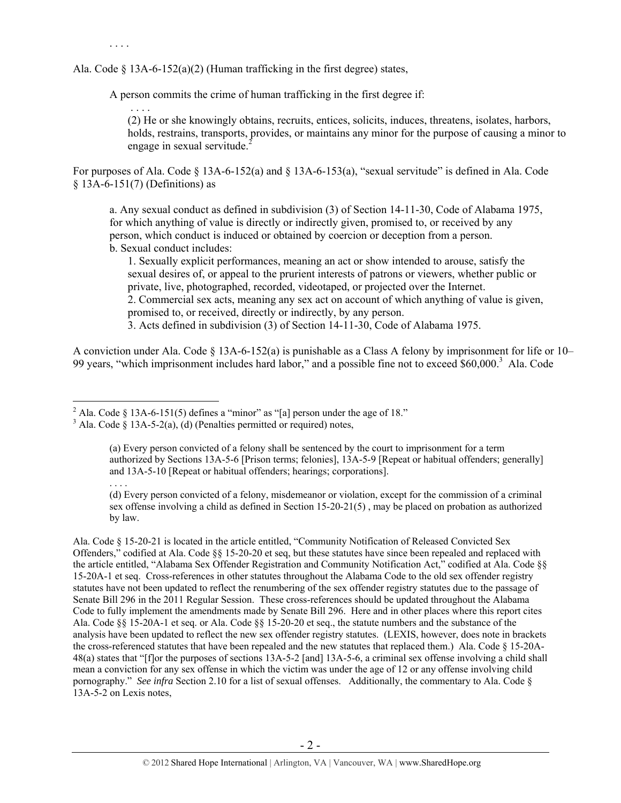. . . .

Ala. Code  $\S$  13A-6-152(a)(2) (Human trafficking in the first degree) states,

A person commits the crime of human trafficking in the first degree if:

 . . . . (2) He or she knowingly obtains, recruits, entices, solicits, induces, threatens, isolates, harbors, holds, restrains, transports, provides, or maintains any minor for the purpose of causing a minor to engage in sexual servitude.<sup>2</sup>

For purposes of Ala. Code  $\S 13A-6-152(a)$  and  $\S 13A-6-153(a)$ , "sexual servitude" is defined in Ala. Code § 13A-6-151(7) (Definitions) as

a. Any sexual conduct as defined in subdivision (3) of Section 14-11-30, Code of Alabama 1975, for which anything of value is directly or indirectly given, promised to, or received by any person, which conduct is induced or obtained by coercion or deception from a person. b. Sexual conduct includes:

1. Sexually explicit performances, meaning an act or show intended to arouse, satisfy the sexual desires of, or appeal to the prurient interests of patrons or viewers, whether public or private, live, photographed, recorded, videotaped, or projected over the Internet. 2. Commercial sex acts, meaning any sex act on account of which anything of value is given, promised to, or received, directly or indirectly, by any person.

3. Acts defined in subdivision (3) of Section 14-11-30, Code of Alabama 1975.

A conviction under Ala. Code § 13A-6-152(a) is punishable as a Class A felony by imprisonment for life or 10– 99 years, "which imprisonment includes hard labor," and a possible fine not to exceed \$60,000.<sup>3</sup> Ala. Code

(a) Every person convicted of a felony shall be sentenced by the court to imprisonment for a term authorized by Sections 13A-5-6 [Prison terms; felonies], 13A-5-9 [Repeat or habitual offenders; generally] and 13A-5-10 [Repeat or habitual offenders; hearings; corporations].

. . . .

(d) Every person convicted of a felony, misdemeanor or violation, except for the commission of a criminal sex offense involving a child as defined in Section 15-20-21(5) , may be placed on probation as authorized by law.

Ala. Code § 15-20-21 is located in the article entitled, "Community Notification of Released Convicted Sex Offenders," codified at Ala. Code §§ 15-20-20 et seq, but these statutes have since been repealed and replaced with the article entitled, "Alabama Sex Offender Registration and Community Notification Act," codified at Ala. Code §§ 15-20A-1 et seq. Cross-references in other statutes throughout the Alabama Code to the old sex offender registry statutes have not been updated to reflect the renumbering of the sex offender registry statutes due to the passage of Senate Bill 296 in the 2011 Regular Session. These cross-references should be updated throughout the Alabama Code to fully implement the amendments made by Senate Bill 296. Here and in other places where this report cites Ala. Code §§ 15-20A-1 et seq. or Ala. Code §§ 15-20-20 et seq., the statute numbers and the substance of the analysis have been updated to reflect the new sex offender registry statutes. (LEXIS, however, does note in brackets the cross-referenced statutes that have been repealed and the new statutes that replaced them.) Ala. Code § 15-20A-48(a) states that "[f]or the purposes of sections 13A-5-2 [and] 13A-5-6, a criminal sex offense involving a child shall mean a conviction for any sex offense in which the victim was under the age of 12 or any offense involving child pornography." *See infra* Section 2.10 for a list of sexual offenses. Additionally, the commentary to Ala. Code § 13A-5-2 on Lexis notes,

<sup>&</sup>lt;sup>2</sup> Ala. Code § 13A-6-151(5) defines a "minor" as "[a] person under the age of 18."

 $3$  Ala. Code § 13A-5-2(a), (d) (Penalties permitted or required) notes,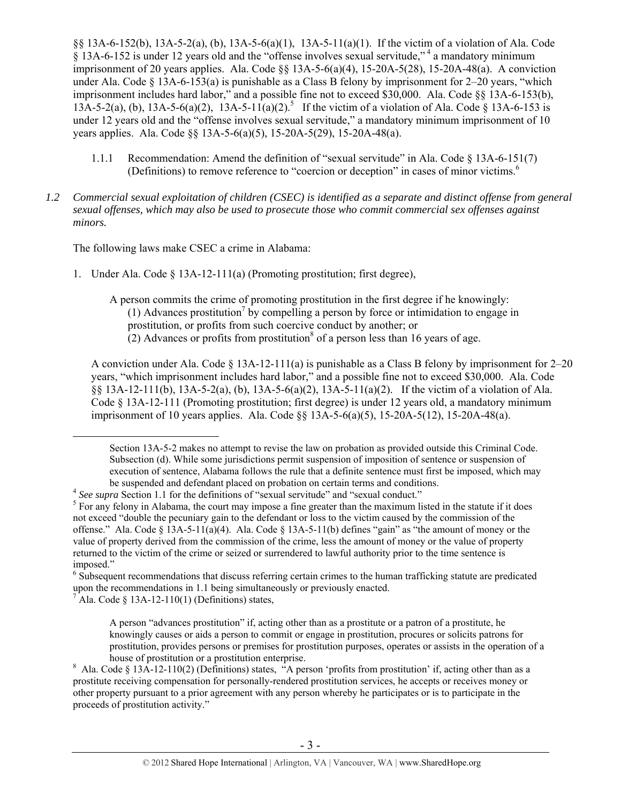§§ 13A-6-152(b), 13A-5-2(a), (b), 13A-5-6(a)(1), 13A-5-11(a)(1). If the victim of a violation of Ala. Code § 13A-6-152 is under 12 years old and the "offense involves sexual servitude," 4 a mandatory minimum imprisonment of 20 years applies. Ala. Code §§ 13A-5-6(a)(4), 15-20A-5(28), 15-20A-48(a). A conviction under Ala. Code  $\S$  13A-6-153(a) is punishable as a Class B felony by imprisonment for 2–20 years, "which imprisonment includes hard labor," and a possible fine not to exceed \$30,000. Ala. Code §§ 13A-6-153(b),  $13A-5-2(a)$ , (b),  $13A-5-6(a)(2)$ ,  $13A-5-11(a)(2)$ .<sup>5</sup> If the victim of a violation of Ala. Code § 13A-6-153 is under 12 years old and the "offense involves sexual servitude," a mandatory minimum imprisonment of 10 years applies. Ala. Code §§ 13A-5-6(a)(5), 15-20A-5(29), 15-20A-48(a).

- 1.1.1 Recommendation: Amend the definition of "sexual servitude" in Ala. Code § 13A-6-151(7) (Definitions) to remove reference to "coercion or deception" in cases of minor victims.<sup>6</sup>
- *1.2 Commercial sexual exploitation of children (CSEC) is identified as a separate and distinct offense from general sexual offenses, which may also be used to prosecute those who commit commercial sex offenses against minors.*

The following laws make CSEC a crime in Alabama:

- 1. Under Ala. Code § 13A-12-111(a) (Promoting prostitution; first degree),
	- A person commits the crime of promoting prostitution in the first degree if he knowingly: (1) Advances prostitution<sup>7</sup> by compelling a person by force or intimidation to engage in prostitution, or profits from such coercive conduct by another; or  $(2)$  Advances or profits from prostitution<sup>8</sup> of a person less than 16 years of age.

A conviction under Ala. Code  $\S$  13A-12-111(a) is punishable as a Class B felony by imprisonment for 2–20 years, "which imprisonment includes hard labor," and a possible fine not to exceed \$30,000. Ala. Code §§ 13A-12-111(b), 13A-5-2(a), (b), 13A-5-6(a)(2), 13A-5-11(a)(2). If the victim of a violation of Ala. Code  $\S$  13A-12-111 (Promoting prostitution; first degree) is under 12 years old, a mandatory minimum imprisonment of 10 years applies. Ala. Code §§ 13A-5-6(a)(5), 15-20A-5(12), 15-20A-48(a).

7 Ala. Code § 13A-12-110(1) (Definitions) states,

Section 13A-5-2 makes no attempt to revise the law on probation as provided outside this Criminal Code. Subsection (d). While some jurisdictions permit suspension of imposition of sentence or suspension of execution of sentence, Alabama follows the rule that a definite sentence must first be imposed, which may be suspended and defendant placed on probation on certain terms and conditions. 4 *See supra* Section 1.1 for the definitions of "sexual servitude" and "sexual conduct." 5

 $<sup>5</sup>$  For any felony in Alabama, the court may impose a fine greater than the maximum listed in the statute if it does</sup> not exceed "double the pecuniary gain to the defendant or loss to the victim caused by the commission of the offense." Ala. Code § 13A-5-11(a)(4). Ala. Code § 13A-5-11(b) defines "gain" as "the amount of money or the value of property derived from the commission of the crime, less the amount of money or the value of property returned to the victim of the crime or seized or surrendered to lawful authority prior to the time sentence is imposed."

<sup>&</sup>lt;sup>6</sup> Subsequent recommendations that discuss referring certain crimes to the human trafficking statute are predicated upon the recommendations in 1.1 being simultaneously or previously enacted.

A person "advances prostitution" if, acting other than as a prostitute or a patron of a prostitute, he knowingly causes or aids a person to commit or engage in prostitution, procures or solicits patrons for prostitution, provides persons or premises for prostitution purposes, operates or assists in the operation of a house of prostitution or a prostitution enterprise.

 $8$  Ala. Code § 13A-12-110(2) (Definitions) states, "A person 'profits from prostitution' if, acting other than as a prostitute receiving compensation for personally-rendered prostitution services, he accepts or receives money or other property pursuant to a prior agreement with any person whereby he participates or is to participate in the proceeds of prostitution activity."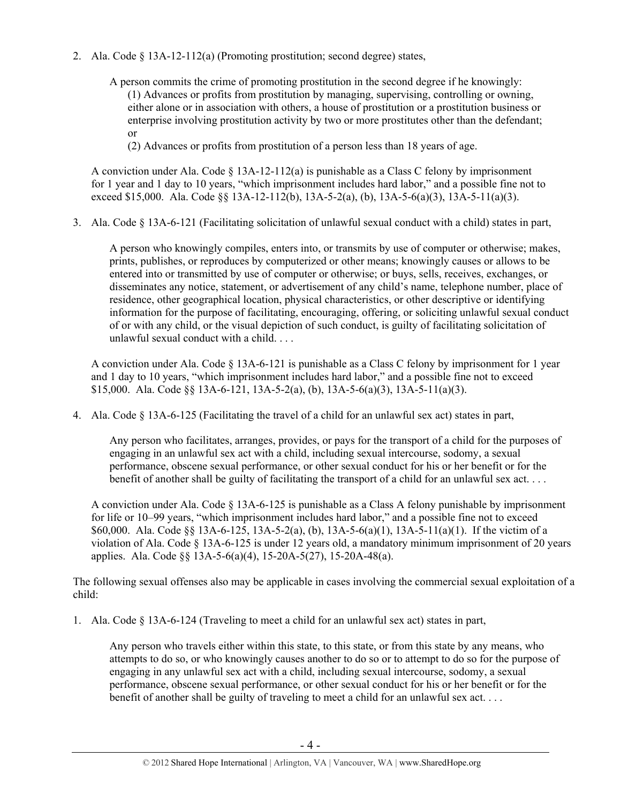2. Ala. Code § 13A-12-112(a) (Promoting prostitution; second degree) states,

A person commits the crime of promoting prostitution in the second degree if he knowingly: (1) Advances or profits from prostitution by managing, supervising, controlling or owning, either alone or in association with others, a house of prostitution or a prostitution business or enterprise involving prostitution activity by two or more prostitutes other than the defendant; or

(2) Advances or profits from prostitution of a person less than 18 years of age.

A conviction under Ala. Code  $\S$  13A-12-112(a) is punishable as a Class C felony by imprisonment for 1 year and 1 day to 10 years, "which imprisonment includes hard labor," and a possible fine not to exceed \$15,000. Ala. Code §§ 13A-12-112(b), 13A-5-2(a), (b), 13A-5-6(a)(3), 13A-5-11(a)(3).

3. Ala. Code § 13A-6-121 (Facilitating solicitation of unlawful sexual conduct with a child) states in part,

A person who knowingly compiles, enters into, or transmits by use of computer or otherwise; makes, prints, publishes, or reproduces by computerized or other means; knowingly causes or allows to be entered into or transmitted by use of computer or otherwise; or buys, sells, receives, exchanges, or disseminates any notice, statement, or advertisement of any child's name, telephone number, place of residence, other geographical location, physical characteristics, or other descriptive or identifying information for the purpose of facilitating, encouraging, offering, or soliciting unlawful sexual conduct of or with any child, or the visual depiction of such conduct, is guilty of facilitating solicitation of unlawful sexual conduct with a child. . . .

A conviction under Ala. Code § 13A-6-121 is punishable as a Class C felony by imprisonment for 1 year and 1 day to 10 years, "which imprisonment includes hard labor," and a possible fine not to exceed \$15,000. Ala. Code §§ 13A-6-121, 13A-5-2(a), (b), 13A-5-6(a)(3), 13A-5-11(a)(3).

4. Ala. Code § 13A-6-125 (Facilitating the travel of a child for an unlawful sex act) states in part,

Any person who facilitates, arranges, provides, or pays for the transport of a child for the purposes of engaging in an unlawful sex act with a child, including sexual intercourse, sodomy, a sexual performance, obscene sexual performance, or other sexual conduct for his or her benefit or for the benefit of another shall be guilty of facilitating the transport of a child for an unlawful sex act. . . .

A conviction under Ala. Code  $\S$  13A-6-125 is punishable as a Class A felony punishable by imprisonment for life or 10–99 years, "which imprisonment includes hard labor," and a possible fine not to exceed \$60,000. Ala. Code §§ 13A-6-125, 13A-5-2(a), (b), 13A-5-6(a)(1), 13A-5-11(a)(1). If the victim of a violation of Ala. Code § 13A-6-125 is under 12 years old, a mandatory minimum imprisonment of 20 years applies. Ala. Code §§ 13A-5-6(a)(4), 15-20A-5(27), 15-20A-48(a).

The following sexual offenses also may be applicable in cases involving the commercial sexual exploitation of a child:

1. Ala. Code § 13A-6-124 (Traveling to meet a child for an unlawful sex act) states in part,

Any person who travels either within this state, to this state, or from this state by any means, who attempts to do so, or who knowingly causes another to do so or to attempt to do so for the purpose of engaging in any unlawful sex act with a child, including sexual intercourse, sodomy, a sexual performance, obscene sexual performance, or other sexual conduct for his or her benefit or for the benefit of another shall be guilty of traveling to meet a child for an unlawful sex act. . . .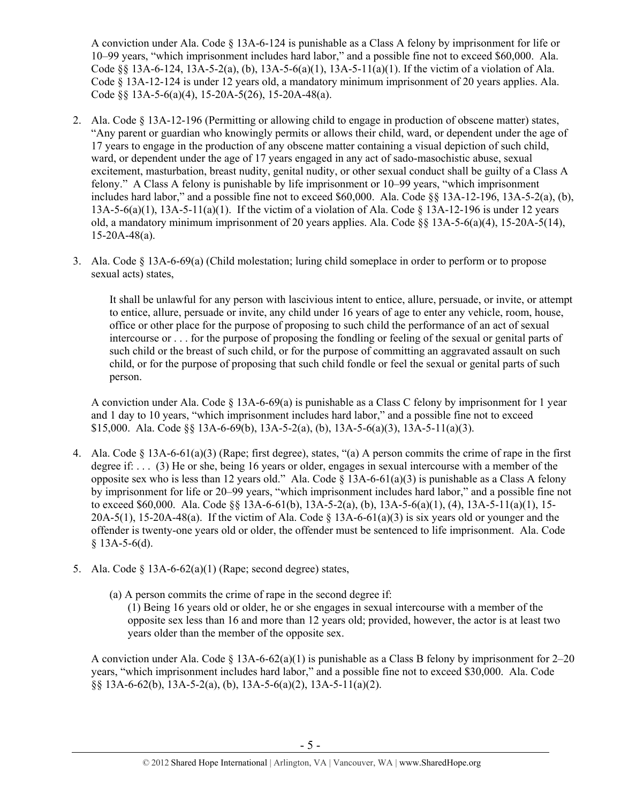A conviction under Ala. Code § 13A-6-124 is punishable as a Class A felony by imprisonment for life or 10–99 years, "which imprisonment includes hard labor," and a possible fine not to exceed \$60,000. Ala. Code  $\S$ § 13A-6-124, 13A-5-2(a), (b), 13A-5-6(a)(1), 13A-5-11(a)(1). If the victim of a violation of Ala. Code § 13A-12-124 is under 12 years old, a mandatory minimum imprisonment of 20 years applies. Ala. Code §§ 13A-5-6(a)(4), 15-20A-5(26), 15-20A-48(a).

- 2. Ala. Code § 13A-12-196 (Permitting or allowing child to engage in production of obscene matter) states, "Any parent or guardian who knowingly permits or allows their child, ward, or dependent under the age of 17 years to engage in the production of any obscene matter containing a visual depiction of such child, ward, or dependent under the age of 17 years engaged in any act of sado-masochistic abuse, sexual excitement, masturbation, breast nudity, genital nudity, or other sexual conduct shall be guilty of a Class A felony." A Class A felony is punishable by life imprisonment or 10–99 years, "which imprisonment includes hard labor," and a possible fine not to exceed \$60,000. Ala. Code §§ 13A-12-196, 13A-5-2(a), (b), 13A-5-6(a)(1), 13A-5-11(a)(1). If the victim of a violation of Ala. Code  $\S$  13A-12-196 is under 12 years old, a mandatory minimum imprisonment of 20 years applies. Ala. Code  $\S$  13A-5-6(a)(4), 15-20A-5(14),  $15-20A-48(a)$ .
- 3. Ala. Code § 13A-6-69(a) (Child molestation; luring child someplace in order to perform or to propose sexual acts) states,

It shall be unlawful for any person with lascivious intent to entice, allure, persuade, or invite, or attempt to entice, allure, persuade or invite, any child under 16 years of age to enter any vehicle, room, house, office or other place for the purpose of proposing to such child the performance of an act of sexual intercourse or . . . for the purpose of proposing the fondling or feeling of the sexual or genital parts of such child or the breast of such child, or for the purpose of committing an aggravated assault on such child, or for the purpose of proposing that such child fondle or feel the sexual or genital parts of such person.

A conviction under Ala. Code  $\S$  13A-6-69(a) is punishable as a Class C felony by imprisonment for 1 year and 1 day to 10 years, "which imprisonment includes hard labor," and a possible fine not to exceed \$15,000. Ala. Code §§ 13A-6-69(b), 13A-5-2(a), (b), 13A-5-6(a)(3), 13A-5-11(a)(3).

- 4. Ala. Code § 13A-6-61(a)(3) (Rape; first degree), states, "(a) A person commits the crime of rape in the first degree if: . . . (3) He or she, being 16 years or older, engages in sexual intercourse with a member of the opposite sex who is less than 12 years old." Ala. Code  $\S$  13A-6-61(a)(3) is punishable as a Class A felony by imprisonment for life or 20–99 years, "which imprisonment includes hard labor," and a possible fine not to exceed \$60,000. Ala. Code §§ 13A-6-61(b), 13A-5-2(a), (b), 13A-5-6(a)(1), (4), 13A-5-11(a)(1), 15- 20A-5(1), 15-20A-48(a). If the victim of Ala. Code § 13A-6-61(a)(3) is six years old or younger and the offender is twenty-one years old or older, the offender must be sentenced to life imprisonment. Ala. Code  $$13A-5-6(d).$
- 5. Ala. Code  $\S$  13A-6-62(a)(1) (Rape; second degree) states,
	- (a) A person commits the crime of rape in the second degree if: (1) Being 16 years old or older, he or she engages in sexual intercourse with a member of the opposite sex less than 16 and more than 12 years old; provided, however, the actor is at least two years older than the member of the opposite sex.

A conviction under Ala. Code  $\S$  13A-6-62(a)(1) is punishable as a Class B felony by imprisonment for 2–20 years, "which imprisonment includes hard labor," and a possible fine not to exceed \$30,000. Ala. Code §§ 13A-6-62(b), 13A-5-2(a), (b), 13A-5-6(a)(2), 13A-5-11(a)(2).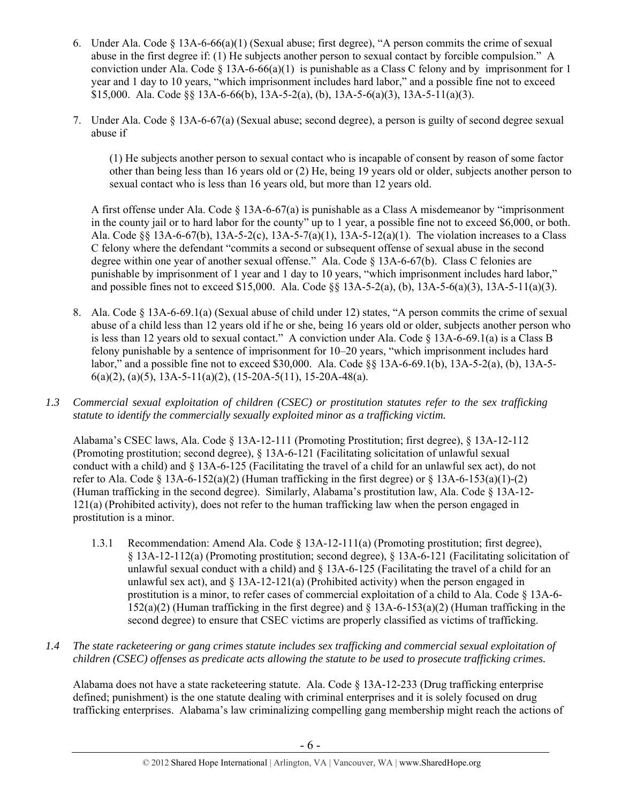- 6. Under Ala. Code § 13A-6-66(a)(1) (Sexual abuse; first degree), "A person commits the crime of sexual abuse in the first degree if: (1) He subjects another person to sexual contact by forcible compulsion." A conviction under Ala. Code  $\S$  13A-6-66(a)(1) is punishable as a Class C felony and by imprisonment for 1 year and 1 day to 10 years, "which imprisonment includes hard labor," and a possible fine not to exceed \$15,000. Ala. Code  $\S$ § 13A-6-66(b), 13A-5-2(a), (b), 13A-5-6(a)(3), 13A-5-11(a)(3).
- 7. Under Ala. Code § 13A-6-67(a) (Sexual abuse; second degree), a person is guilty of second degree sexual abuse if

(1) He subjects another person to sexual contact who is incapable of consent by reason of some factor other than being less than 16 years old or (2) He, being 19 years old or older, subjects another person to sexual contact who is less than 16 years old, but more than 12 years old.

A first offense under Ala. Code § 13A-6-67(a) is punishable as a Class A misdemeanor by "imprisonment in the county jail or to hard labor for the county" up to 1 year, a possible fine not to exceed \$6,000, or both. Ala. Code §§ 13A-6-67(b), 13A-5-2(c), 13A-5-7(a)(1), 13A-5-12(a)(1). The violation increases to a Class C felony where the defendant "commits a second or subsequent offense of sexual abuse in the second degree within one year of another sexual offense." Ala. Code § 13A-6-67(b). Class C felonies are punishable by imprisonment of 1 year and 1 day to 10 years, "which imprisonment includes hard labor," and possible fines not to exceed \$15,000. Ala. Code §§ 13A-5-2(a), (b), 13A-5-6(a)(3), 13A-5-11(a)(3).

- 8. Ala. Code § 13A-6-69.1(a) (Sexual abuse of child under 12) states, "A person commits the crime of sexual abuse of a child less than 12 years old if he or she, being 16 years old or older, subjects another person who is less than 12 years old to sexual contact." A conviction under Ala. Code § 13A-6-69.1(a) is a Class B felony punishable by a sentence of imprisonment for 10–20 years, "which imprisonment includes hard labor," and a possible fine not to exceed \$30,000. Ala. Code §§ 13A-6-69.1(b), 13A-5-2(a), (b), 13A-5-  $6(a)(2)$ ,  $(a)(5)$ , 13A-5-11(a)(2), (15-20A-5(11), 15-20A-48(a).
- *1.3 Commercial sexual exploitation of children (CSEC) or prostitution statutes refer to the sex trafficking statute to identify the commercially sexually exploited minor as a trafficking victim.*

Alabama's CSEC laws, Ala. Code § 13A-12-111 (Promoting Prostitution; first degree), § 13A-12-112 (Promoting prostitution; second degree), § 13A-6-121 (Facilitating solicitation of unlawful sexual conduct with a child) and  $\S$  13A-6-125 (Facilitating the travel of a child for an unlawful sex act), do not refer to Ala. Code  $\S$  13A-6-152(a)(2) (Human trafficking in the first degree) or  $\S$  13A-6-153(a)(1)-(2) (Human trafficking in the second degree). Similarly, Alabama's prostitution law, Ala. Code § 13A-12- 121(a) (Prohibited activity), does not refer to the human trafficking law when the person engaged in prostitution is a minor.

- 1.3.1 Recommendation: Amend Ala. Code § 13A-12-111(a) (Promoting prostitution; first degree), § 13A-12-112(a) (Promoting prostitution; second degree), § 13A-6-121 (Facilitating solicitation of unlawful sexual conduct with a child) and § 13A-6-125 (Facilitating the travel of a child for an unlawful sex act), and  $\S 13A-12-121(a)$  (Prohibited activity) when the person engaged in prostitution is a minor, to refer cases of commercial exploitation of a child to Ala. Code § 13A-6- 152(a)(2) (Human trafficking in the first degree) and § 13A-6-153(a)(2) (Human trafficking in the second degree) to ensure that CSEC victims are properly classified as victims of trafficking.
- *1.4 The state racketeering or gang crimes statute includes sex trafficking and commercial sexual exploitation of children (CSEC) offenses as predicate acts allowing the statute to be used to prosecute trafficking crimes.*

Alabama does not have a state racketeering statute. Ala. Code § 13A-12-233 (Drug trafficking enterprise defined; punishment) is the one statute dealing with criminal enterprises and it is solely focused on drug trafficking enterprises. Alabama's law criminalizing compelling gang membership might reach the actions of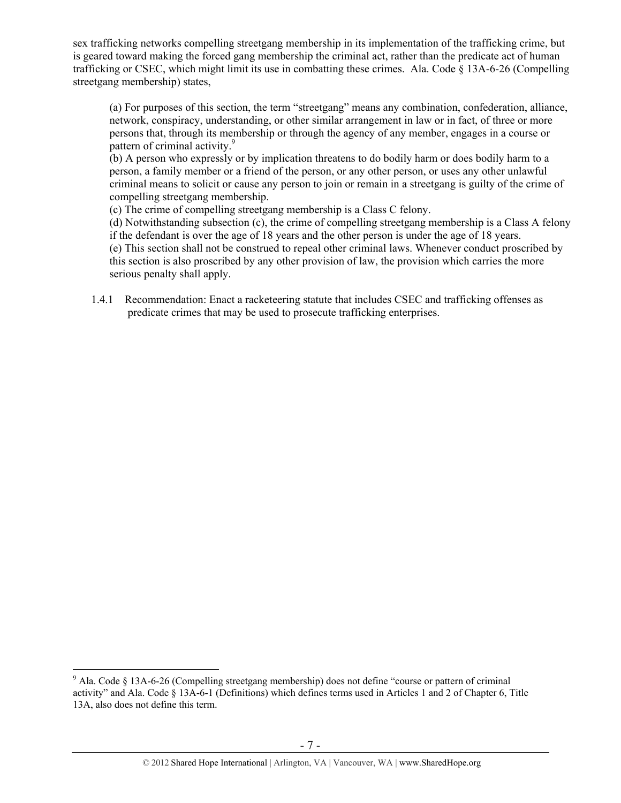sex trafficking networks compelling streetgang membership in its implementation of the trafficking crime, but is geared toward making the forced gang membership the criminal act, rather than the predicate act of human trafficking or CSEC, which might limit its use in combatting these crimes. Ala. Code § 13A-6-26 (Compelling streetgang membership) states,

(a) For purposes of this section, the term "streetgang" means any combination, confederation, alliance, network, conspiracy, understanding, or other similar arrangement in law or in fact, of three or more persons that, through its membership or through the agency of any member, engages in a course or pattern of criminal activity.<sup>9</sup>

(b) A person who expressly or by implication threatens to do bodily harm or does bodily harm to a person, a family member or a friend of the person, or any other person, or uses any other unlawful criminal means to solicit or cause any person to join or remain in a streetgang is guilty of the crime of compelling streetgang membership.

(c) The crime of compelling streetgang membership is a Class C felony.

(d) Notwithstanding subsection (c), the crime of compelling streetgang membership is a Class A felony if the defendant is over the age of 18 years and the other person is under the age of 18 years. (e) This section shall not be construed to repeal other criminal laws. Whenever conduct proscribed by this section is also proscribed by any other provision of law, the provision which carries the more serious penalty shall apply.

1.4.1 Recommendation: Enact a racketeering statute that includes CSEC and trafficking offenses as predicate crimes that may be used to prosecute trafficking enterprises.

 9 Ala. Code § 13A-6-26 (Compelling streetgang membership) does not define "course or pattern of criminal activity" and Ala. Code § 13A-6-1 (Definitions) which defines terms used in Articles 1 and 2 of Chapter 6, Title 13A, also does not define this term.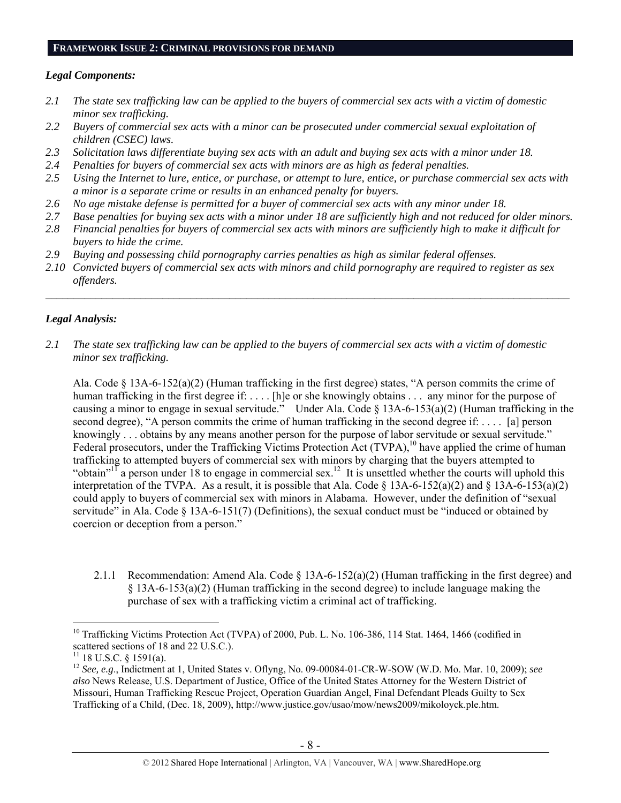#### **FRAMEWORK ISSUE 2: CRIMINAL PROVISIONS FOR DEMAND**

## *Legal Components:*

- *2.1 The state sex trafficking law can be applied to the buyers of commercial sex acts with a victim of domestic minor sex trafficking.*
- *2.2 Buyers of commercial sex acts with a minor can be prosecuted under commercial sexual exploitation of children (CSEC) laws.*
- *2.3 Solicitation laws differentiate buying sex acts with an adult and buying sex acts with a minor under 18.*
- *2.4 Penalties for buyers of commercial sex acts with minors are as high as federal penalties.*
- *2.5 Using the Internet to lure, entice, or purchase, or attempt to lure, entice, or purchase commercial sex acts with a minor is a separate crime or results in an enhanced penalty for buyers.*
- *2.6 No age mistake defense is permitted for a buyer of commercial sex acts with any minor under 18.*
- *2.7 Base penalties for buying sex acts with a minor under 18 are sufficiently high and not reduced for older minors.*
- *2.8 Financial penalties for buyers of commercial sex acts with minors are sufficiently high to make it difficult for buyers to hide the crime.*
- *2.9 Buying and possessing child pornography carries penalties as high as similar federal offenses.*
- *2.10 Convicted buyers of commercial sex acts with minors and child pornography are required to register as sex offenders.*

 $\mathcal{L}_\mathcal{L} = \{ \mathcal{L}_\mathcal{L} = \{ \mathcal{L}_\mathcal{L} = \{ \mathcal{L}_\mathcal{L} = \{ \mathcal{L}_\mathcal{L} = \{ \mathcal{L}_\mathcal{L} = \{ \mathcal{L}_\mathcal{L} = \{ \mathcal{L}_\mathcal{L} = \{ \mathcal{L}_\mathcal{L} = \{ \mathcal{L}_\mathcal{L} = \{ \mathcal{L}_\mathcal{L} = \{ \mathcal{L}_\mathcal{L} = \{ \mathcal{L}_\mathcal{L} = \{ \mathcal{L}_\mathcal{L} = \{ \mathcal{L}_\mathcal{$ 

# *Legal Analysis:*

*2.1 The state sex trafficking law can be applied to the buyers of commercial sex acts with a victim of domestic minor sex trafficking.* 

Ala. Code § 13A-6-152(a)(2) (Human trafficking in the first degree) states, "A person commits the crime of human trafficking in the first degree if: .... [h]e or she knowingly obtains ... any minor for the purpose of causing a minor to engage in sexual servitude." Under Ala. Code § 13A-6-153(a)(2) (Human trafficking in the second degree), "A person commits the crime of human trafficking in the second degree if: . . . . [a] person knowingly . . . obtains by any means another person for the purpose of labor servitude or sexual servitude." Federal prosecutors, under the Trafficking Victims Protection Act (TVPA),<sup>10</sup> have applied the crime of human trafficking to attempted buyers of commercial sex with minors by charging that the buyers attempted to "obtain"<sup>11</sup> a person under 18 to engage in commercial sex.<sup>12</sup> It is unsettled whether the courts will uphold this interpretation of the TVPA. As a result, it is possible that Ala. Code § 13A-6-152(a)(2) and § 13A-6-153(a)(2) could apply to buyers of commercial sex with minors in Alabama. However, under the definition of "sexual servitude" in Ala. Code § 13A-6-151(7) (Definitions), the sexual conduct must be "induced or obtained by coercion or deception from a person."

2.1.1 Recommendation: Amend Ala. Code  $\S$  13A-6-152(a)(2) (Human trafficking in the first degree) and § 13A-6-153(a)(2) (Human trafficking in the second degree) to include language making the purchase of sex with a trafficking victim a criminal act of trafficking.

 $10$  Trafficking Victims Protection Act (TVPA) of 2000, Pub. L. No. 106-386, 114 Stat. 1464, 1466 (codified in scattered sections of 18 and 22 U.S.C.).

 $11$  18 U.S.C. § 1591(a).

<sup>12</sup> *See, e.g*., Indictment at 1, United States v. Oflyng, No. 09-00084-01-CR-W-SOW (W.D. Mo. Mar. 10, 2009); *see also* News Release, U.S. Department of Justice, Office of the United States Attorney for the Western District of Missouri, Human Trafficking Rescue Project, Operation Guardian Angel, Final Defendant Pleads Guilty to Sex Trafficking of a Child, (Dec. 18, 2009), http://www.justice.gov/usao/mow/news2009/mikoloyck.ple.htm.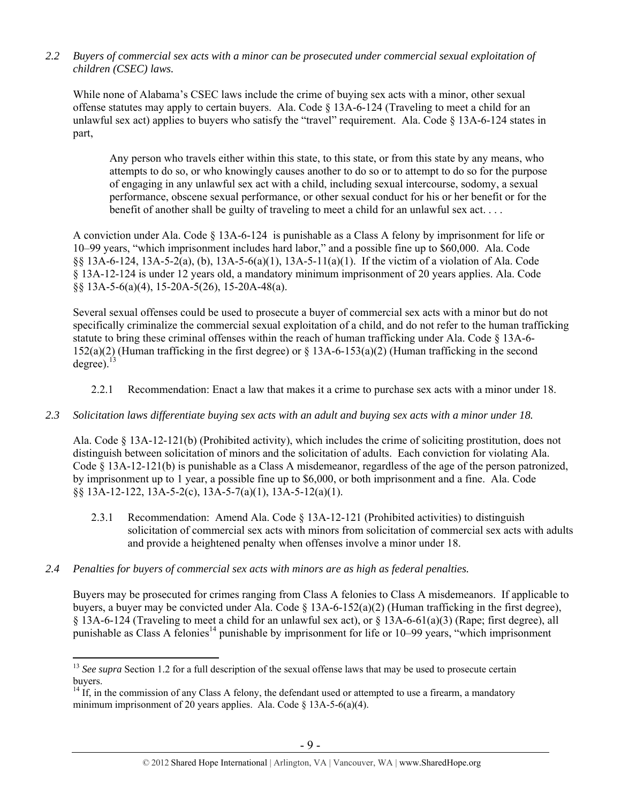*2.2 Buyers of commercial sex acts with a minor can be prosecuted under commercial sexual exploitation of children (CSEC) laws.* 

While none of Alabama's CSEC laws include the crime of buying sex acts with a minor, other sexual offense statutes may apply to certain buyers. Ala. Code § 13A-6-124 (Traveling to meet a child for an unlawful sex act) applies to buyers who satisfy the "travel" requirement. Ala. Code § 13A-6-124 states in part,

Any person who travels either within this state, to this state, or from this state by any means, who attempts to do so, or who knowingly causes another to do so or to attempt to do so for the purpose of engaging in any unlawful sex act with a child, including sexual intercourse, sodomy, a sexual performance, obscene sexual performance, or other sexual conduct for his or her benefit or for the benefit of another shall be guilty of traveling to meet a child for an unlawful sex act. . . .

A conviction under Ala. Code § 13A-6-124 is punishable as a Class A felony by imprisonment for life or 10–99 years, "which imprisonment includes hard labor," and a possible fine up to \$60,000. Ala. Code §§ 13A-6-124, 13A-5-2(a), (b), 13A-5-6(a)(1), 13A-5-11(a)(1). If the victim of a violation of Ala. Code § 13A-12-124 is under 12 years old, a mandatory minimum imprisonment of 20 years applies. Ala. Code §§ 13A-5-6(a)(4), 15-20A-5(26), 15-20A-48(a).

Several sexual offenses could be used to prosecute a buyer of commercial sex acts with a minor but do not specifically criminalize the commercial sexual exploitation of a child, and do not refer to the human trafficking statute to bring these criminal offenses within the reach of human trafficking under Ala. Code § 13A-6- 152(a)(2) (Human trafficking in the first degree) or § 13A-6-153(a)(2) (Human trafficking in the second degree). $^{13}$ 

2.2.1 Recommendation: Enact a law that makes it a crime to purchase sex acts with a minor under 18.

# *2.3 Solicitation laws differentiate buying sex acts with an adult and buying sex acts with a minor under 18.*

Ala. Code § 13A-12-121(b) (Prohibited activity), which includes the crime of soliciting prostitution, does not distinguish between solicitation of minors and the solicitation of adults. Each conviction for violating Ala. Code § 13A-12-121(b) is punishable as a Class A misdemeanor, regardless of the age of the person patronized, by imprisonment up to 1 year, a possible fine up to \$6,000, or both imprisonment and a fine. Ala. Code §§ 13A-12-122, 13A-5-2(c), 13A-5-7(a)(1), 13A-5-12(a)(1).

- 2.3.1 Recommendation: Amend Ala. Code § 13A-12-121 (Prohibited activities) to distinguish solicitation of commercial sex acts with minors from solicitation of commercial sex acts with adults and provide a heightened penalty when offenses involve a minor under 18.
- *2.4 Penalties for buyers of commercial sex acts with minors are as high as federal penalties.*

 $\overline{a}$ 

Buyers may be prosecuted for crimes ranging from Class A felonies to Class A misdemeanors. If applicable to buyers, a buyer may be convicted under Ala. Code  $\S$  13A-6-152(a)(2) (Human trafficking in the first degree), § 13A-6-124 (Traveling to meet a child for an unlawful sex act), or § 13A-6-61(a)(3) (Rape; first degree), all punishable as Class A felonies<sup>14</sup> punishable by imprisonment for life or 10–99 years, "which imprisonment

<sup>&</sup>lt;sup>13</sup> *See supra* Section 1.2 for a full description of the sexual offense laws that may be used to prosecute certain buyers.

 $14$  If, in the commission of any Class A felony, the defendant used or attempted to use a firearm, a mandatory minimum imprisonment of 20 years applies. Ala. Code  $\S$  13A-5-6(a)(4).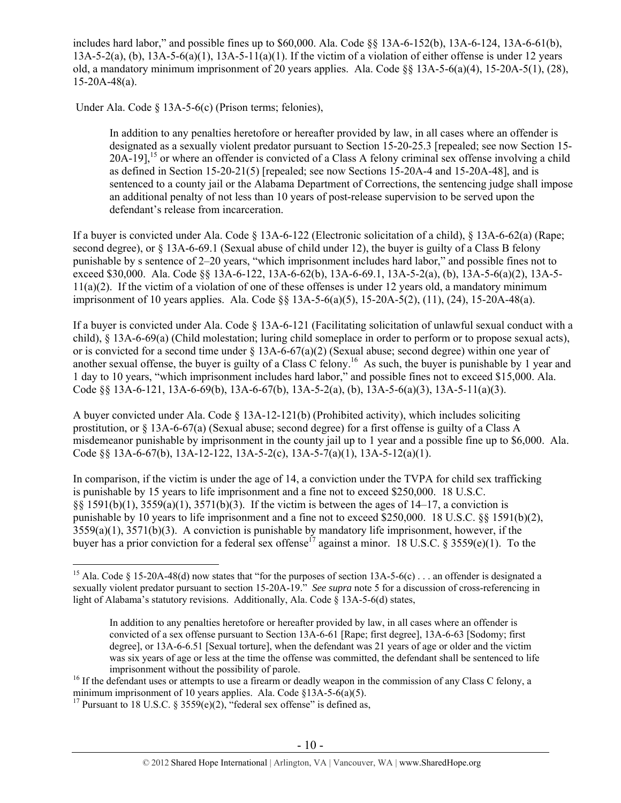includes hard labor," and possible fines up to \$60,000. Ala. Code §§ 13A-6-152(b), 13A-6-124, 13A-6-61(b), 13A-5-2(a), (b),  $13A-5-6(a)(1)$ ,  $13A-5-11(a)(1)$ . If the victim of a violation of either offense is under 12 years old, a mandatory minimum imprisonment of 20 years applies. Ala. Code  $\&$  13A-5-6(a)(4), 15-20A-5(1), (28), 15-20A-48(a).

Under Ala. Code § 13A-5-6(c) (Prison terms; felonies),

In addition to any penalties heretofore or hereafter provided by law, in all cases where an offender is designated as a sexually violent predator pursuant to Section 15-20-25.3 [repealed; see now Section 15- 20A-191<sup>15</sup> or where an offender is convicted of a Class A felony criminal sex offense involving a child as defined in Section 15-20-21(5) [repealed; see now Sections 15-20A-4 and 15-20A-48], and is sentenced to a county jail or the Alabama Department of Corrections, the sentencing judge shall impose an additional penalty of not less than 10 years of post-release supervision to be served upon the defendant's release from incarceration.

If a buyer is convicted under Ala. Code § 13A-6-122 (Electronic solicitation of a child), § 13A-6-62(a) (Rape; second degree), or  $\S$  13A-6-69.1 (Sexual abuse of child under 12), the buyer is guilty of a Class B felony punishable by s sentence of 2–20 years, "which imprisonment includes hard labor," and possible fines not to exceed \$30,000. Ala. Code §§ 13A-6-122, 13A-6-62(b), 13A-6-69.1, 13A-5-2(a), (b), 13A-5-6(a)(2), 13A-5-  $11(a)(2)$ . If the victim of a violation of one of these offenses is under 12 years old, a mandatory minimum imprisonment of 10 years applies. Ala. Code §§ 13A-5-6(a)(5), 15-20A-5(2), (11), (24), 15-20A-48(a).

If a buyer is convicted under Ala. Code § 13A-6-121 (Facilitating solicitation of unlawful sexual conduct with a child), § 13A-6-69(a) (Child molestation; luring child someplace in order to perform or to propose sexual acts), or is convicted for a second time under § 13A-6-67(a)(2) (Sexual abuse; second degree) within one year of another sexual offense, the buyer is guilty of a Class C felony.<sup>16</sup> As such, the buyer is punishable by 1 year and 1 day to 10 years, "which imprisonment includes hard labor," and possible fines not to exceed \$15,000. Ala. Code  $\S$ § 13A-6-121, 13A-6-69(b), 13A-6-67(b), 13A-5-2(a), (b), 13A-5-6(a)(3), 13A-5-11(a)(3).

A buyer convicted under Ala. Code  $\S$  13A-12-121(b) (Prohibited activity), which includes soliciting prostitution, or § 13A-6-67(a) (Sexual abuse; second degree) for a first offense is guilty of a Class A misdemeanor punishable by imprisonment in the county jail up to 1 year and a possible fine up to \$6,000. Ala. Code §§ 13A-6-67(b), 13A-12-122, 13A-5-2(c), 13A-5-7(a)(1), 13A-5-12(a)(1).

In comparison, if the victim is under the age of 14, a conviction under the TVPA for child sex trafficking is punishable by 15 years to life imprisonment and a fine not to exceed \$250,000. 18 U.S.C. §§ 1591(b)(1), 3559(a)(1), 3571(b)(3). If the victim is between the ages of 14–17, a conviction is punishable by 10 years to life imprisonment and a fine not to exceed \$250,000. 18 U.S.C. §§ 1591(b)(2), 3559(a)(1), 3571(b)(3). A conviction is punishable by mandatory life imprisonment, however, if the buyer has a prior conviction for a federal sex offense<sup>17</sup> against a minor. 18 U.S.C. § 3559(e)(1). To the

<sup>&</sup>lt;sup>15</sup> Ala. Code § 15-20A-48(d) now states that "for the purposes of section 13A-5-6(c) . . . an offender is designated a sexually violent predator pursuant to section 15-20A-19." *See supra* note 5 for a discussion of cross-referencing in light of Alabama's statutory revisions. Additionally, Ala. Code § 13A-5-6(d) states,

In addition to any penalties heretofore or hereafter provided by law, in all cases where an offender is convicted of a sex offense pursuant to Section 13A-6-61 [Rape; first degree], 13A-6-63 [Sodomy; first degree], or 13A-6-6.51 [Sexual torture], when the defendant was 21 years of age or older and the victim was six years of age or less at the time the offense was committed, the defendant shall be sentenced to life imprisonment without the possibility of parole.<br><sup>16</sup> If the defendant uses or attempts to use a firearm or deadly weapon in the commission of any Class C felony, a

minimum imprisonment of 10 years applies. Ala. Code §13A-5-6(a)(5).

<sup>&</sup>lt;sup>17</sup> Pursuant to 18 U.S.C. § 3559(e)(2), "federal sex offense" is defined as,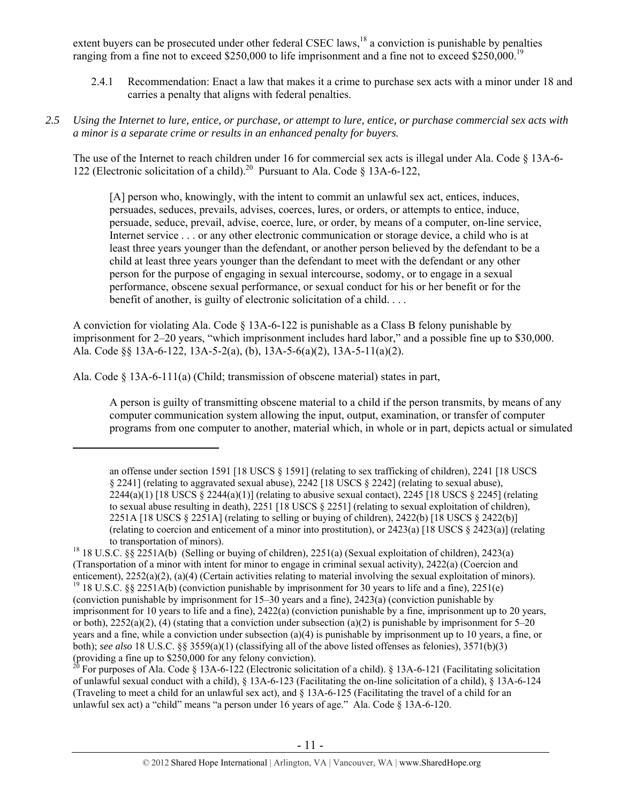extent buyers can be prosecuted under other federal CSEC laws,<sup>18</sup> a conviction is punishable by penalties ranging from a fine not to exceed \$250,000 to life imprisonment and a fine not to exceed \$250,000.<sup>19</sup>

- 2.4.1 Recommendation: Enact a law that makes it a crime to purchase sex acts with a minor under 18 and carries a penalty that aligns with federal penalties.
- *2.5 Using the Internet to lure, entice, or purchase, or attempt to lure, entice, or purchase commercial sex acts with a minor is a separate crime or results in an enhanced penalty for buyers.*

The use of the Internet to reach children under 16 for commercial sex acts is illegal under Ala. Code § 13A-6-122 (Electronic solicitation of a child).<sup>20</sup> Pursuant to Ala. Code § 13A-6-122,

[A] person who, knowingly, with the intent to commit an unlawful sex act, entices, induces, persuades, seduces, prevails, advises, coerces, lures, or orders, or attempts to entice, induce, persuade, seduce, prevail, advise, coerce, lure, or order, by means of a computer, on-line service, Internet service . . . or any other electronic communication or storage device, a child who is at least three years younger than the defendant, or another person believed by the defendant to be a child at least three years younger than the defendant to meet with the defendant or any other person for the purpose of engaging in sexual intercourse, sodomy, or to engage in a sexual performance, obscene sexual performance, or sexual conduct for his or her benefit or for the benefit of another, is guilty of electronic solicitation of a child. . . .

A conviction for violating Ala. Code § 13A-6-122 is punishable as a Class B felony punishable by imprisonment for 2–20 years, "which imprisonment includes hard labor," and a possible fine up to \$30,000. Ala. Code §§ 13A-6-122, 13A-5-2(a), (b), 13A-5-6(a)(2), 13A-5-11(a)(2).

Ala. Code § 13A-6-111(a) (Child; transmission of obscene material) states in part,

 $\overline{a}$ 

A person is guilty of transmitting obscene material to a child if the person transmits, by means of any computer communication system allowing the input, output, examination, or transfer of computer programs from one computer to another, material which, in whole or in part, depicts actual or simulated

<sup>20</sup> For purposes of Ala. Code § 13A-6-122 (Electronic solicitation of a child). § 13A-6-121 (Facilitating solicitation of unlawful sexual conduct with a child), § 13A-6-123 (Facilitating the on-line solicitation of a child), § 13A-6-124 (Traveling to meet a child for an unlawful sex act), and § 13A-6-125 (Facilitating the travel of a child for an unlawful sex act) a "child" means "a person under 16 years of age." Ala. Code § 13A-6-120.

an offense under section 1591 [18 USCS § 1591] (relating to sex trafficking of children), 2241 [18 USCS § 2241] (relating to aggravated sexual abuse), 2242 [18 USCS § 2242] (relating to sexual abuse),  $2244(a)(1)$  [18 USCS  $\S 2244(a)(1)$ ] (relating to abusive sexual contact), 2245 [18 USCS  $\S 2245$ ] (relating to sexual abuse resulting in death), 2251 [18 USCS § 2251] (relating to sexual exploitation of children), 2251A [18 USCS § 2251A] (relating to selling or buying of children), 2422(b) [18 USCS § 2422(b)] (relating to coercion and enticement of a minor into prostitution), or  $2423(a)$  [18 USCS  $\S 2423(a)$ ] (relating to transportation of minors).<br><sup>18</sup> 18 U.S.C. §§ 2251A(b) (Selling or buying of children), 2251(a) (Sexual exploitation of children), 2423(a)

<sup>(</sup>Transportation of a minor with intent for minor to engage in criminal sexual activity), 2422(a) (Coercion and enticement),  $2252(a)(2)$ ,  $(a)(4)$  (Certain activities relating to material involving the sexual exploitation of minors). <sup>19</sup> 18 U.S.C. §§ 2251A(b) (conviction punishable by imprisonment for 30 years to life and a fine), 22 (conviction punishable by imprisonment for 15–30 years and a fine), 2423(a) (conviction punishable by imprisonment for 10 years to life and a fine), 2422(a) (conviction punishable by a fine, imprisonment up to 20 years, or both),  $2252(a)(2)$ , (4) (stating that a conviction under subsection (a)(2) is punishable by imprisonment for 5–20 years and a fine, while a conviction under subsection (a)(4) is punishable by imprisonment up to 10 years, a fine, or both); *see also* 18 U.S.C. §§ 3559(a)(1) (classifying all of the above listed offenses as felonies), 3571(b)(3) (providing a fine up to \$250,000 for any felony conviction).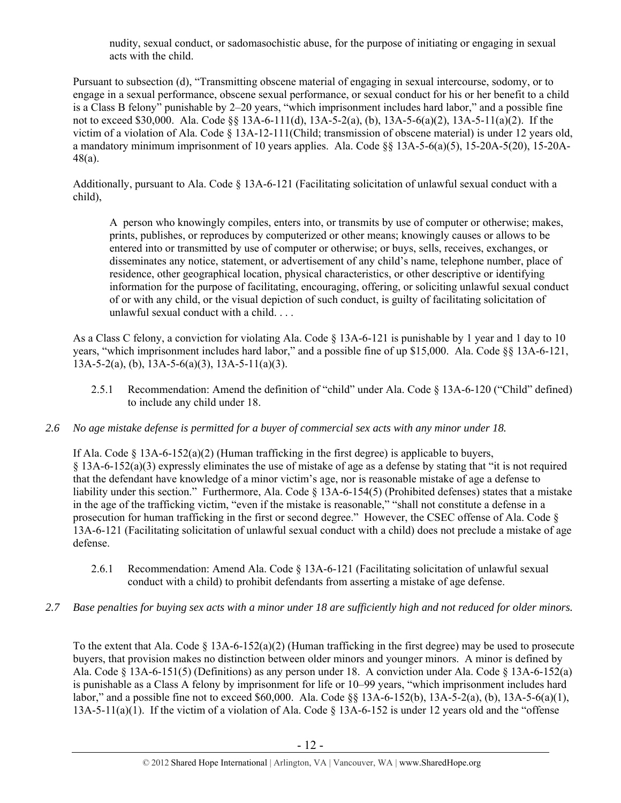nudity, sexual conduct, or sadomasochistic abuse, for the purpose of initiating or engaging in sexual acts with the child.

Pursuant to subsection (d), "Transmitting obscene material of engaging in sexual intercourse, sodomy, or to engage in a sexual performance, obscene sexual performance, or sexual conduct for his or her benefit to a child is a Class B felony" punishable by 2–20 years, "which imprisonment includes hard labor," and a possible fine not to exceed \$30,000. Ala. Code §§ 13A-6-111(d), 13A-5-2(a), (b), 13A-5-6(a)(2), 13A-5-11(a)(2). If the victim of a violation of Ala. Code § 13A-12-111(Child; transmission of obscene material) is under 12 years old, a mandatory minimum imprisonment of 10 years applies. Ala. Code §§ 13A-5-6(a)(5), 15-20A-5(20), 15-20A-48(a).

Additionally, pursuant to Ala. Code § 13A-6-121 (Facilitating solicitation of unlawful sexual conduct with a child),

A person who knowingly compiles, enters into, or transmits by use of computer or otherwise; makes, prints, publishes, or reproduces by computerized or other means; knowingly causes or allows to be entered into or transmitted by use of computer or otherwise; or buys, sells, receives, exchanges, or disseminates any notice, statement, or advertisement of any child's name, telephone number, place of residence, other geographical location, physical characteristics, or other descriptive or identifying information for the purpose of facilitating, encouraging, offering, or soliciting unlawful sexual conduct of or with any child, or the visual depiction of such conduct, is guilty of facilitating solicitation of unlawful sexual conduct with a child. . . .

As a Class C felony, a conviction for violating Ala. Code § 13A-6-121 is punishable by 1 year and 1 day to 10 years, "which imprisonment includes hard labor," and a possible fine of up \$15,000. Ala. Code §§ 13A-6-121,  $13A-5-2(a)$ , (b),  $13A-5-6(a)(3)$ ,  $13A-5-11(a)(3)$ .

- 2.5.1 Recommendation: Amend the definition of "child" under Ala. Code § 13A-6-120 ("Child" defined) to include any child under 18.
- *2.6 No age mistake defense is permitted for a buyer of commercial sex acts with any minor under 18.*

If Ala. Code  $\S$  13A-6-152(a)(2) (Human trafficking in the first degree) is applicable to buyers, § 13A-6-152(a)(3) expressly eliminates the use of mistake of age as a defense by stating that "it is not required that the defendant have knowledge of a minor victim's age, nor is reasonable mistake of age a defense to liability under this section." Furthermore, Ala. Code § 13A-6-154(5) (Prohibited defenses) states that a mistake in the age of the trafficking victim, "even if the mistake is reasonable," "shall not constitute a defense in a prosecution for human trafficking in the first or second degree." However, the CSEC offense of Ala. Code § 13A-6-121 (Facilitating solicitation of unlawful sexual conduct with a child) does not preclude a mistake of age defense.

- 2.6.1 Recommendation: Amend Ala. Code § 13A-6-121 (Facilitating solicitation of unlawful sexual conduct with a child) to prohibit defendants from asserting a mistake of age defense.
- *2.7 Base penalties for buying sex acts with a minor under 18 are sufficiently high and not reduced for older minors.*

To the extent that Ala. Code  $\S 13A-6-152(a)(2)$  (Human trafficking in the first degree) may be used to prosecute buyers, that provision makes no distinction between older minors and younger minors. A minor is defined by Ala. Code § 13A-6-151(5) (Definitions) as any person under 18. A conviction under Ala. Code § 13A-6-152(a) is punishable as a Class A felony by imprisonment for life or 10–99 years, "which imprisonment includes hard labor," and a possible fine not to exceed \$60,000. Ala. Code §§ 13A-6-152(b), 13A-5-2(a), (b), 13A-5-6(a)(1), 13A-5-11(a)(1). If the victim of a violation of Ala. Code § 13A-6-152 is under 12 years old and the "offense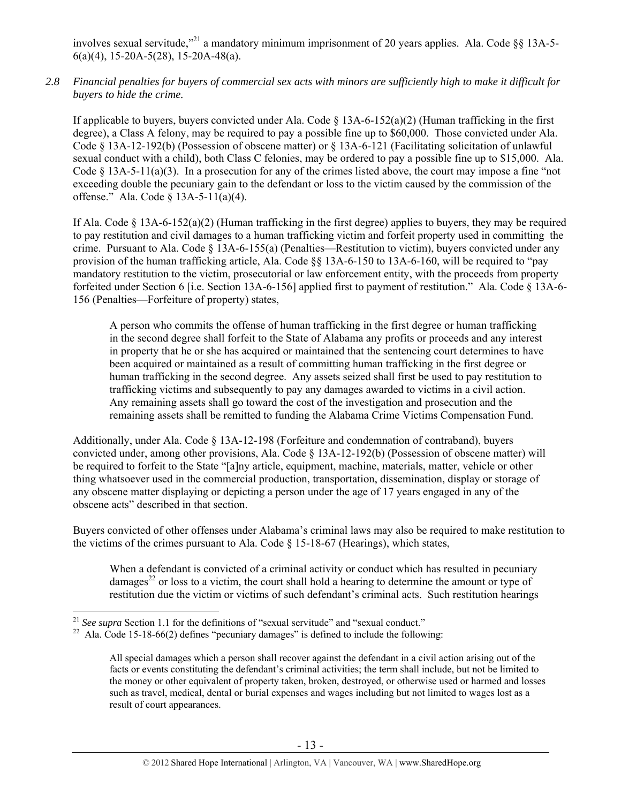involves sexual servitude,"21 a mandatory minimum imprisonment of 20 years applies. Ala. Code §§ 13A-5- 6(a)(4), 15-20A-5(28), 15-20A-48(a).

*2.8 Financial penalties for buyers of commercial sex acts with minors are sufficiently high to make it difficult for buyers to hide the crime.* 

If applicable to buyers, buyers convicted under Ala. Code  $\S$  13A-6-152(a)(2) (Human trafficking in the first degree), a Class A felony, may be required to pay a possible fine up to \$60,000. Those convicted under Ala. Code § 13A-12-192(b) (Possession of obscene matter) or § 13A-6-121 (Facilitating solicitation of unlawful sexual conduct with a child), both Class C felonies, may be ordered to pay a possible fine up to \$15,000. Ala. Code  $\S 13A-5-11(a)(3)$ . In a prosecution for any of the crimes listed above, the court may impose a fine "not" exceeding double the pecuniary gain to the defendant or loss to the victim caused by the commission of the offense." Ala. Code § 13A-5-11(a)(4).

If Ala. Code § 13A-6-152(a)(2) (Human trafficking in the first degree) applies to buyers, they may be required to pay restitution and civil damages to a human trafficking victim and forfeit property used in committing the crime. Pursuant to Ala. Code § 13A-6-155(a) (Penalties—Restitution to victim), buyers convicted under any provision of the human trafficking article, Ala. Code §§ 13A-6-150 to 13A-6-160, will be required to "pay mandatory restitution to the victim, prosecutorial or law enforcement entity, with the proceeds from property forfeited under Section 6 [i.e. Section 13A-6-156] applied first to payment of restitution." Ala. Code § 13A-6- 156 (Penalties—Forfeiture of property) states,

A person who commits the offense of human trafficking in the first degree or human trafficking in the second degree shall forfeit to the State of Alabama any profits or proceeds and any interest in property that he or she has acquired or maintained that the sentencing court determines to have been acquired or maintained as a result of committing human trafficking in the first degree or human trafficking in the second degree. Any assets seized shall first be used to pay restitution to trafficking victims and subsequently to pay any damages awarded to victims in a civil action. Any remaining assets shall go toward the cost of the investigation and prosecution and the remaining assets shall be remitted to funding the Alabama Crime Victims Compensation Fund.

Additionally, under Ala. Code § 13A-12-198 (Forfeiture and condemnation of contraband), buyers convicted under, among other provisions, Ala. Code § 13A-12-192(b) (Possession of obscene matter) will be required to forfeit to the State "[a]ny article, equipment, machine, materials, matter, vehicle or other thing whatsoever used in the commercial production, transportation, dissemination, display or storage of any obscene matter displaying or depicting a person under the age of 17 years engaged in any of the obscene acts" described in that section.

Buyers convicted of other offenses under Alabama's criminal laws may also be required to make restitution to the victims of the crimes pursuant to Ala. Code  $\S$  15-18-67 (Hearings), which states,

When a defendant is convicted of a criminal activity or conduct which has resulted in pecuniary damages<sup>22</sup> or loss to a victim, the court shall hold a hearing to determine the amount or type of restitution due the victim or victims of such defendant's criminal acts. Such restitution hearings

<sup>&</sup>lt;sup>21</sup> *See supra* Section 1.1 for the definitions of "sexual servitude" and "sexual conduct."<br><sup>22</sup> Ala. Code 15-18-66(2) defines "pecuniary damages" is defined to include the following:

All special damages which a person shall recover against the defendant in a civil action arising out of the facts or events constituting the defendant's criminal activities; the term shall include, but not be limited to the money or other equivalent of property taken, broken, destroyed, or otherwise used or harmed and losses such as travel, medical, dental or burial expenses and wages including but not limited to wages lost as a result of court appearances.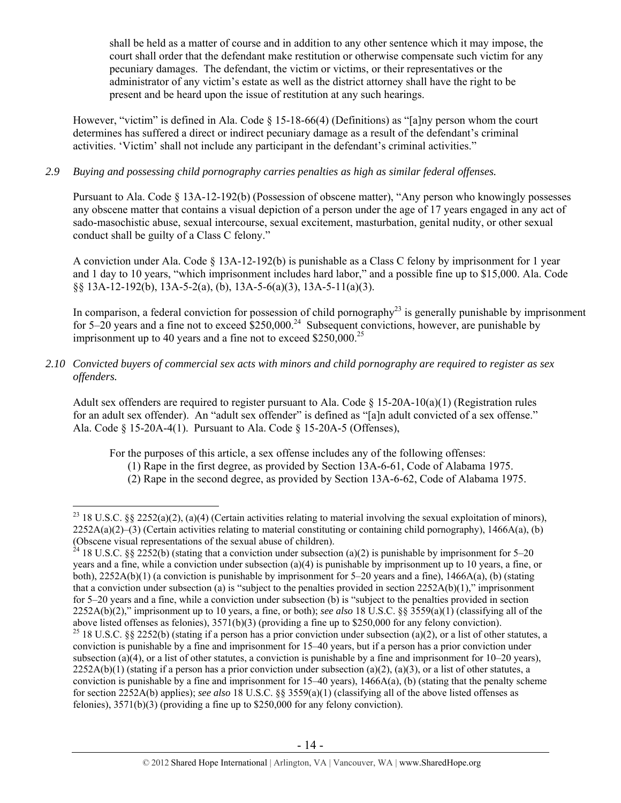shall be held as a matter of course and in addition to any other sentence which it may impose, the court shall order that the defendant make restitution or otherwise compensate such victim for any pecuniary damages. The defendant, the victim or victims, or their representatives or the administrator of any victim's estate as well as the district attorney shall have the right to be present and be heard upon the issue of restitution at any such hearings.

However, "victim" is defined in Ala. Code § 15-18-66(4) (Definitions) as "[a]ny person whom the court determines has suffered a direct or indirect pecuniary damage as a result of the defendant's criminal activities. 'Victim' shall not include any participant in the defendant's criminal activities."

## *2.9 Buying and possessing child pornography carries penalties as high as similar federal offenses.*

Pursuant to Ala. Code § 13A-12-192(b) (Possession of obscene matter), "Any person who knowingly possesses any obscene matter that contains a visual depiction of a person under the age of 17 years engaged in any act of sado-masochistic abuse, sexual intercourse, sexual excitement, masturbation, genital nudity, or other sexual conduct shall be guilty of a Class C felony."

A conviction under Ala. Code § 13A-12-192(b) is punishable as a Class C felony by imprisonment for 1 year and 1 day to 10 years, "which imprisonment includes hard labor," and a possible fine up to \$15,000. Ala. Code §§ 13A-12-192(b), 13A-5-2(a), (b), 13A-5-6(a)(3), 13A-5-11(a)(3).

In comparison, a federal conviction for possession of child pornography<sup>23</sup> is generally punishable by imprisonment for 5–20 years and a fine not to exceed  $$250,000.<sup>24</sup>$  Subsequent convictions, however, are punishable by imprisonment up to 40 years and a fine not to exceed  $$250,000.<sup>25</sup>$ 

## *2.10 Convicted buyers of commercial sex acts with minors and child pornography are required to register as sex offenders.*

Adult sex offenders are required to register pursuant to Ala. Code  $\S$  15-20A-10(a)(1) (Registration rules for an adult sex offender). An "adult sex offender" is defined as "[a]n adult convicted of a sex offense." Ala. Code § 15-20A-4(1). Pursuant to Ala. Code § 15-20A-5 (Offenses),

For the purposes of this article, a sex offense includes any of the following offenses:

 $\overline{a}$ 

(2) Rape in the second degree, as provided by Section 13A-6-62, Code of Alabama 1975.

<sup>(1)</sup> Rape in the first degree, as provided by Section 13A-6-61, Code of Alabama 1975.

<sup>&</sup>lt;sup>23</sup> 18 U.S.C. §§ 2252(a)(2), (a)(4) (Certain activities relating to material involving the sexual exploitation of minors),  $2252A(a)(2)$ –(3) (Certain activities relating to material constituting or containing child pornography), 1466A(a), (b) (Obscene visual representations of the sexual abuse of children).

<sup>&</sup>lt;sup>24</sup> 18 U.S.C. §§ 2252(b) (stating that a conviction under subsection (a)(2) is punishable by imprisonment for 5–20 years and a fine, while a conviction under subsection (a)(4) is punishable by imprisonment up to 10 years, a fine, or both),  $2252A(b)(1)$  (a conviction is punishable by imprisonment for 5–20 years and a fine),  $1466A(a)$ , (b) (stating that a conviction under subsection (a) is "subject to the penalties provided in section  $2252A(b)(1)$ ," imprisonment for 5–20 years and a fine, while a conviction under subsection (b) is "subject to the penalties provided in section 2252A(b)(2)," imprisonment up to 10 years, a fine, or both); *see also* 18 U.S.C. §§ 3559(a)(1) (classifying all of the above listed offenses as felonies), 3571(b)(3) (providing a fine up to \$250,000 for any felony conviction).

<sup>&</sup>lt;sup>25</sup> 18 U.S.C. §§ 2252(b) (stating if a person has a prior conviction under subsection (a)(2), or a list of other statutes, a conviction is punishable by a fine and imprisonment for 15–40 years, but if a person has a prior conviction under subsection (a)(4), or a list of other statutes, a conviction is punishable by a fine and imprisonment for  $10-20$  years),  $2252A(b)(1)$  (stating if a person has a prior conviction under subsection (a)(2), (a)(3), or a list of other statutes, a conviction is punishable by a fine and imprisonment for 15–40 years), 1466A(a), (b) (stating that the penalty scheme for section 2252A(b) applies); *see also* 18 U.S.C. §§ 3559(a)(1) (classifying all of the above listed offenses as felonies), 3571(b)(3) (providing a fine up to \$250,000 for any felony conviction).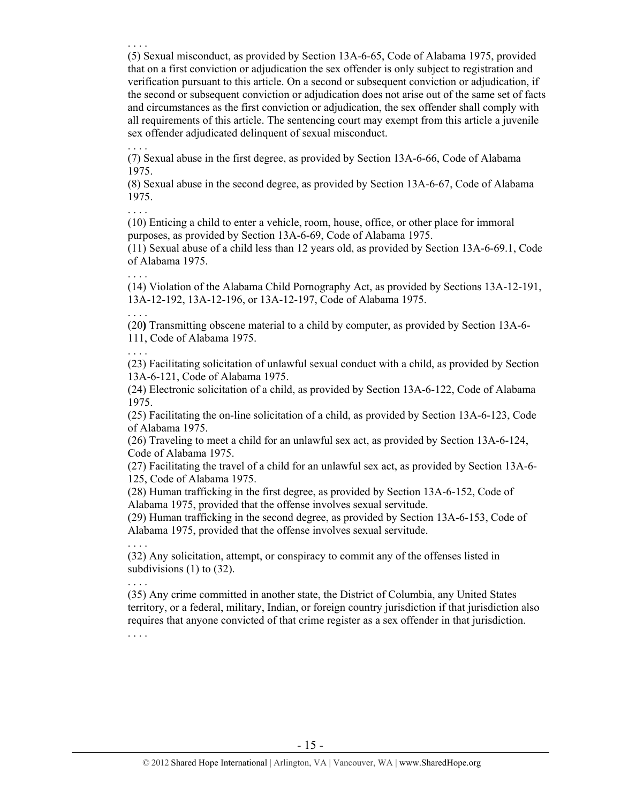(5) Sexual misconduct, as provided by Section 13A-6-65, Code of Alabama 1975, provided that on a first conviction or adjudication the sex offender is only subject to registration and verification pursuant to this article. On a second or subsequent conviction or adjudication, if the second or subsequent conviction or adjudication does not arise out of the same set of facts and circumstances as the first conviction or adjudication, the sex offender shall comply with all requirements of this article. The sentencing court may exempt from this article a juvenile sex offender adjudicated delinquent of sexual misconduct.

(7) Sexual abuse in the first degree, as provided by Section 13A-6-66, Code of Alabama 1975.

(8) Sexual abuse in the second degree, as provided by Section 13A-6-67, Code of Alabama 1975.

. . . .

. . . .

. . . .

. . . .

(10) Enticing a child to enter a vehicle, room, house, office, or other place for immoral purposes, as provided by Section 13A-6-69, Code of Alabama 1975.

(11) Sexual abuse of a child less than 12 years old, as provided by Section 13A-6-69.1, Code of Alabama 1975.

(14) Violation of the Alabama Child Pornography Act, as provided by Sections 13A-12-191, 13A-12-192, 13A-12-196, or 13A-12-197, Code of Alabama 1975.

. . . . (20**)** Transmitting obscene material to a child by computer, as provided by Section 13A-6- 111, Code of Alabama 1975.

. . . .

. . . .

(23) Facilitating solicitation of unlawful sexual conduct with a child, as provided by Section 13A-6-121, Code of Alabama 1975.

(24) Electronic solicitation of a child, as provided by Section 13A-6-122, Code of Alabama 1975.

(25) Facilitating the on-line solicitation of a child, as provided by Section 13A-6-123, Code of Alabama 1975.

(26) Traveling to meet a child for an unlawful sex act, as provided by Section 13A-6-124, Code of Alabama 1975.

(27) Facilitating the travel of a child for an unlawful sex act, as provided by Section 13A-6- 125, Code of Alabama 1975.

(28) Human trafficking in the first degree, as provided by Section 13A-6-152, Code of Alabama 1975, provided that the offense involves sexual servitude.

(29) Human trafficking in the second degree, as provided by Section 13A-6-153, Code of Alabama 1975, provided that the offense involves sexual servitude.

. . . . (32) Any solicitation, attempt, or conspiracy to commit any of the offenses listed in subdivisions  $(1)$  to  $(32)$ .

(35) Any crime committed in another state, the District of Columbia, any United States territory, or a federal, military, Indian, or foreign country jurisdiction if that jurisdiction also requires that anyone convicted of that crime register as a sex offender in that jurisdiction. . . . .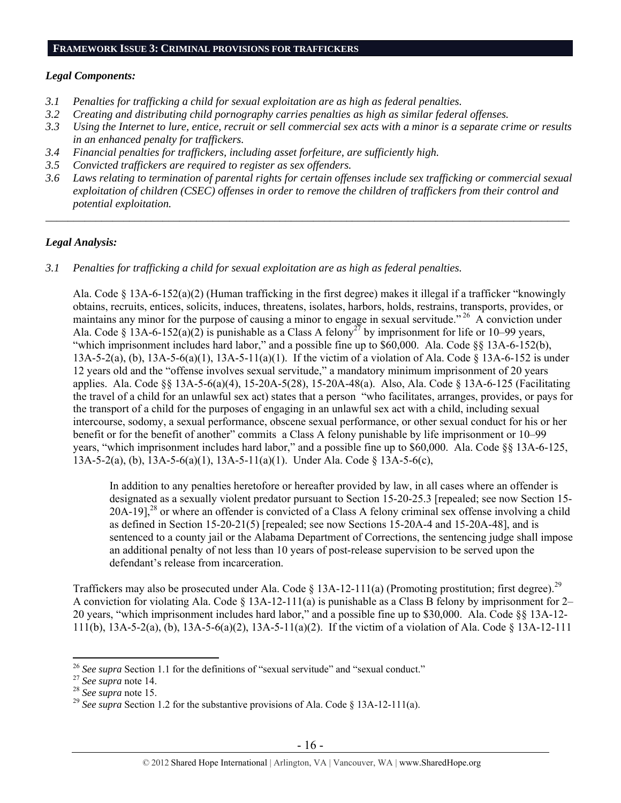#### **FRAMEWORK ISSUE 3: CRIMINAL PROVISIONS FOR TRAFFICKERS**

# *Legal Components:*

- *3.1 Penalties for trafficking a child for sexual exploitation are as high as federal penalties.*
- *3.2 Creating and distributing child pornography carries penalties as high as similar federal offenses.*
- *3.3 Using the Internet to lure, entice, recruit or sell commercial sex acts with a minor is a separate crime or results in an enhanced penalty for traffickers.*
- *3.4 Financial penalties for traffickers, including asset forfeiture, are sufficiently high.*
- *3.5 Convicted traffickers are required to register as sex offenders.*
- *3.6 Laws relating to termination of parental rights for certain offenses include sex trafficking or commercial sexual exploitation of children (CSEC) offenses in order to remove the children of traffickers from their control and potential exploitation.*

*\_\_\_\_\_\_\_\_\_\_\_\_\_\_\_\_\_\_\_\_\_\_\_\_\_\_\_\_\_\_\_\_\_\_\_\_\_\_\_\_\_\_\_\_\_\_\_\_\_\_\_\_\_\_\_\_\_\_\_\_\_\_\_\_\_\_\_\_\_\_\_\_\_\_\_\_\_\_\_\_\_\_\_\_\_\_\_\_\_\_\_\_\_\_* 

# *Legal Analysis:*

*3.1 Penalties for trafficking a child for sexual exploitation are as high as federal penalties.* 

Ala. Code  $\S 13A-6-152(a)(2)$  (Human trafficking in the first degree) makes it illegal if a trafficker "knowingly obtains, recruits, entices, solicits, induces, threatens, isolates, harbors, holds, restrains, transports, provides, or maintains any minor for the purpose of causing a minor to engage in sexual servitude."<sup>26</sup> A conviction under Ala. Code § 13A-6-152(a)(2) is punishable as a Class A felony<sup>27</sup> by imprisonment for life or 10–99 years, "which imprisonment includes hard labor," and a possible fine up to \$60,000. Ala. Code §§ 13A-6-152(b), 13A-5-2(a), (b), 13A-5-6(a)(1), 13A-5-11(a)(1). If the victim of a violation of Ala. Code § 13A-6-152 is under 12 years old and the "offense involves sexual servitude," a mandatory minimum imprisonment of 20 years applies. Ala. Code §§ 13A-5-6(a)(4), 15-20A-5(28), 15-20A-48(a). Also, Ala. Code § 13A-6-125 (Facilitating the travel of a child for an unlawful sex act) states that a person "who facilitates, arranges, provides, or pays for the transport of a child for the purposes of engaging in an unlawful sex act with a child, including sexual intercourse, sodomy, a sexual performance, obscene sexual performance, or other sexual conduct for his or her benefit or for the benefit of another" commits a Class A felony punishable by life imprisonment or 10–99 years, "which imprisonment includes hard labor," and a possible fine up to \$60,000. Ala. Code §§ 13A-6-125, 13A-5-2(a), (b), 13A-5-6(a)(1), 13A-5-11(a)(1). Under Ala. Code § 13A-5-6(c),

In addition to any penalties heretofore or hereafter provided by law, in all cases where an offender is designated as a sexually violent predator pursuant to Section 15-20-25.3 [repealed; see now Section 15-  $20A-19$ <sup>28</sup> or where an offender is convicted of a Class A felony criminal sex offense involving a child as defined in Section 15-20-21(5) [repealed; see now Sections 15-20A-4 and 15-20A-48], and is sentenced to a county jail or the Alabama Department of Corrections, the sentencing judge shall impose an additional penalty of not less than 10 years of post-release supervision to be served upon the defendant's release from incarceration.

Traffickers may also be prosecuted under Ala. Code  $\S$  13A-12-111(a) (Promoting prostitution; first degree).<sup>29</sup> A conviction for violating Ala. Code  $\S$  13A-12-111(a) is punishable as a Class B felony by imprisonment for 2– 20 years, "which imprisonment includes hard labor," and a possible fine up to \$30,000. Ala. Code §§ 13A-12- 111(b), 13A-5-2(a), (b), 13A-5-6(a)(2), 13A-5-11(a)(2). If the victim of a violation of Ala. Code § 13A-12-111

<sup>&</sup>lt;sup>26</sup> See supra Section 1.1 for the definitions of "sexual servitude" and "sexual conduct."<br><sup>27</sup> See supra note 14.<br><sup>28</sup> See supra note 15.<br><sup>29</sup> See supra Section 1.2 for the substantive provisions of Ala. Code § 13A-12-11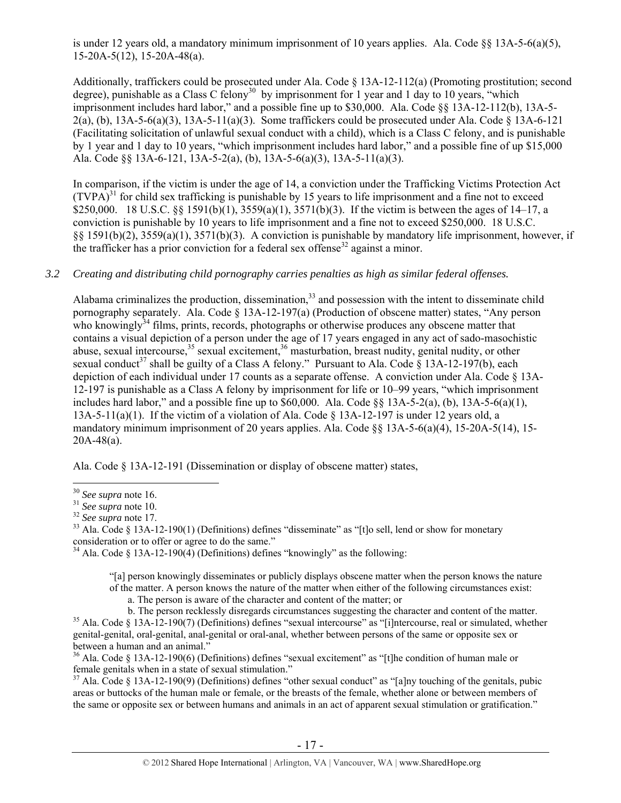is under 12 years old, a mandatory minimum imprisonment of 10 years applies. Ala. Code §§ 13A-5-6(a)(5), 15-20A-5(12), 15-20A-48(a).

Additionally, traffickers could be prosecuted under Ala. Code § 13A-12-112(a) (Promoting prostitution; second degree), punishable as a Class C felony<sup>30</sup> by imprisonment for 1 year and 1 day to 10 years, "which imprisonment includes hard labor," and a possible fine up to \$30,000. Ala. Code §§ 13A-12-112(b), 13A-5- 2(a), (b), 13A-5-6(a)(3), 13A-5-11(a)(3). Some traffickers could be prosecuted under Ala. Code § 13A-6-121 (Facilitating solicitation of unlawful sexual conduct with a child), which is a Class C felony, and is punishable by 1 year and 1 day to 10 years, "which imprisonment includes hard labor," and a possible fine of up \$15,000 Ala. Code §§ 13A-6-121, 13A-5-2(a), (b), 13A-5-6(a)(3), 13A-5-11(a)(3).

In comparison, if the victim is under the age of 14, a conviction under the Trafficking Victims Protection Act  $(TVPA)^{31}$  for child sex trafficking is punishable by 15 years to life imprisonment and a fine not to exceed \$250,000. 18 U.S.C. §§ 1591(b)(1), 3559(a)(1), 3571(b)(3). If the victim is between the ages of 14–17, a conviction is punishable by 10 years to life imprisonment and a fine not to exceed \$250,000. 18 U.S.C. §§ 1591(b)(2), 3559(a)(1), 3571(b)(3). A conviction is punishable by mandatory life imprisonment, however, if the trafficker has a prior conviction for a federal sex offense<sup>32</sup> against a minor.

# *3.2 Creating and distributing child pornography carries penalties as high as similar federal offenses.*

Alabama criminalizes the production, dissemination, $33$  and possession with the intent to disseminate child pornography separately. Ala. Code § 13A-12-197(a) (Production of obscene matter) states, "Any person who knowingly<sup>34</sup> films, prints, records, photographs or otherwise produces any obscene matter that contains a visual depiction of a person under the age of 17 years engaged in any act of sado-masochistic abuse, sexual intercourse,<sup>35</sup> sexual excitement,<sup>36</sup> masturbation, breast nudity, genital nudity, or other sexual conduct<sup>37</sup> shall be guilty of a Class A felony." Pursuant to Ala. Code § 13A-12-197(b), each depiction of each individual under 17 counts as a separate offense. A conviction under Ala. Code § 13A-12-197 is punishable as a Class A felony by imprisonment for life or 10–99 years, "which imprisonment includes hard labor," and a possible fine up to  $$60,000$ . Ala. Code  $\$ \ $13A-5-2(a)$ , (b),  $13A-5-6(a)(1)$ , 13A-5-11(a)(1). If the victim of a violation of Ala. Code § 13A-12-197 is under 12 years old, a mandatory minimum imprisonment of 20 years applies. Ala. Code §§ 13A-5-6(a)(4), 15-20A-5(14), 15-  $20A-48(a)$ .

Ala. Code § 13A-12-191 (Dissemination or display of obscene matter) states,

 $\overline{a}$ 

"[a] person knowingly disseminates or publicly displays obscene matter when the person knows the nature of the matter. A person knows the nature of the matter when either of the following circumstances exist:

<sup>&</sup>lt;sup>30</sup> *See supra* note 16.<br><sup>31</sup> *See supra* note 10.<br><sup>32</sup> *See supra* note 17.<br><sup>33</sup> Ala. Code § 13A-12-190(1) (Definitions) defines "disseminate" as "[t]o sell, lend or show for monetary consideration or to offer or agree to do the same."

 $34$  Ala. Code § 13A-12-190(4) (Definitions) defines "knowingly" as the following:

a. The person is aware of the character and content of the matter; or

b. The person recklessly disregards circumstances suggesting the character and content of the matter.<br><sup>35</sup> Ala. Code § 13A-12-190(7) (Definitions) defines "sexual intercourse" as "[i]ntercourse, real or simulated, whether genital-genital, oral-genital, anal-genital or oral-anal, whether between persons of the same or opposite sex or between a human and an animal."

 $36$  Ala. Code § 13A-12-190(6) (Definitions) defines "sexual excitement" as "[t]he condition of human male or female genitals when in a state of sexual stimulation."

 $37$  Ala. Code § 13A-12-190(9) (Definitions) defines "other sexual conduct" as "[a]ny touching of the genitals, pubic areas or buttocks of the human male or female, or the breasts of the female, whether alone or between members of the same or opposite sex or between humans and animals in an act of apparent sexual stimulation or gratification."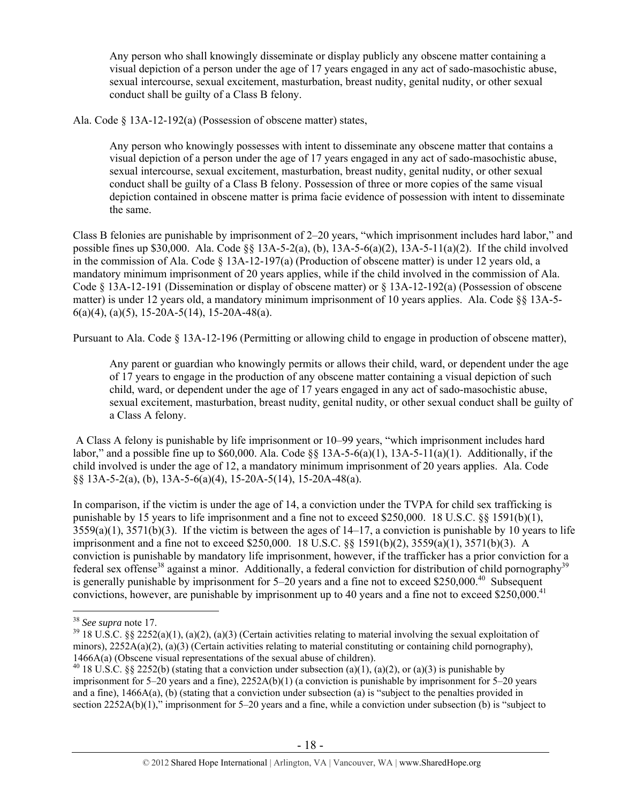Any person who shall knowingly disseminate or display publicly any obscene matter containing a visual depiction of a person under the age of 17 years engaged in any act of sado-masochistic abuse, sexual intercourse, sexual excitement, masturbation, breast nudity, genital nudity, or other sexual conduct shall be guilty of a Class B felony.

Ala. Code § 13A-12-192(a) (Possession of obscene matter) states,

Any person who knowingly possesses with intent to disseminate any obscene matter that contains a visual depiction of a person under the age of 17 years engaged in any act of sado-masochistic abuse, sexual intercourse, sexual excitement, masturbation, breast nudity, genital nudity, or other sexual conduct shall be guilty of a Class B felony. Possession of three or more copies of the same visual depiction contained in obscene matter is prima facie evidence of possession with intent to disseminate the same.

Class B felonies are punishable by imprisonment of 2–20 years, "which imprisonment includes hard labor," and possible fines up \$30,000. Ala. Code  $\&$  13A-5-2(a), (b), 13A-5-6(a)(2), 13A-5-11(a)(2). If the child involved in the commission of Ala. Code  $\S$  13A-12-197(a) (Production of obscene matter) is under 12 years old, a mandatory minimum imprisonment of 20 years applies, while if the child involved in the commission of Ala. Code § 13A-12-191 (Dissemination or display of obscene matter) or § 13A-12-192(a) (Possession of obscene matter) is under 12 years old, a mandatory minimum imprisonment of 10 years applies. Ala. Code §§ 13A-5-  $6(a)(4)$ ,  $(a)(5)$ , 15-20A-5(14), 15-20A-48(a).

Pursuant to Ala. Code § 13A-12-196 (Permitting or allowing child to engage in production of obscene matter),

Any parent or guardian who knowingly permits or allows their child, ward, or dependent under the age of 17 years to engage in the production of any obscene matter containing a visual depiction of such child, ward, or dependent under the age of 17 years engaged in any act of sado-masochistic abuse, sexual excitement, masturbation, breast nudity, genital nudity, or other sexual conduct shall be guilty of a Class A felony.

 A Class A felony is punishable by life imprisonment or 10–99 years, "which imprisonment includes hard labor," and a possible fine up to \$60,000. Ala. Code  $\S$ § 13A-5-6(a)(1), 13A-5-11(a)(1). Additionally, if the child involved is under the age of 12, a mandatory minimum imprisonment of 20 years applies. Ala. Code §§ 13A-5-2(a), (b), 13A-5-6(a)(4), 15-20A-5(14), 15-20A-48(a).

In comparison, if the victim is under the age of 14, a conviction under the TVPA for child sex trafficking is punishable by 15 years to life imprisonment and a fine not to exceed \$250,000. 18 U.S.C. §§ 1591(b)(1),  $3559(a)(1)$ ,  $3571(b)(3)$ . If the victim is between the ages of  $14-17$ , a conviction is punishable by 10 years to life imprisonment and a fine not to exceed \$250,000. 18 U.S.C. §§ 1591(b)(2), 3559(a)(1), 3571(b)(3). A conviction is punishable by mandatory life imprisonment, however, if the trafficker has a prior conviction for a federal sex offense<sup>38</sup> against a minor. Additionally, a federal conviction for distribution of child pornography<sup>39</sup> is generally punishable by imprisonment for 5–20 years and a fine not to exceed \$250,000.<sup>40</sup> Subsequent convictions, however, are punishable by imprisonment up to 40 years and a fine not to exceed \$250,000.<sup>41</sup>

<sup>&</sup>lt;sup>38</sup> *See supra* note 17.<br><sup>39</sup> 18 U.S.C. §§ 2252(a)(1), (a)(2), (a)(3) (Certain activities relating to material involving the sexual exploitation of minors),  $2252A(a)(2)$ , (a)(3) (Certain activities relating to material constituting or containing child pornography), 1466A(a) (Obscene visual representations of the sexual abuse of children).<br><sup>40</sup> 18 U.S.C. §§ 2252(b) (stating that a conviction under subsection (a)(1), (a)(2), or (a)(3) is punishable by

imprisonment for 5–20 years and a fine), 2252A(b)(1) (a conviction is punishable by imprisonment for 5–20 years and a fine), 1466A(a), (b) (stating that a conviction under subsection (a) is "subject to the penalties provided in section 2252A(b)(1)," imprisonment for 5–20 years and a fine, while a conviction under subsection (b) is "subject to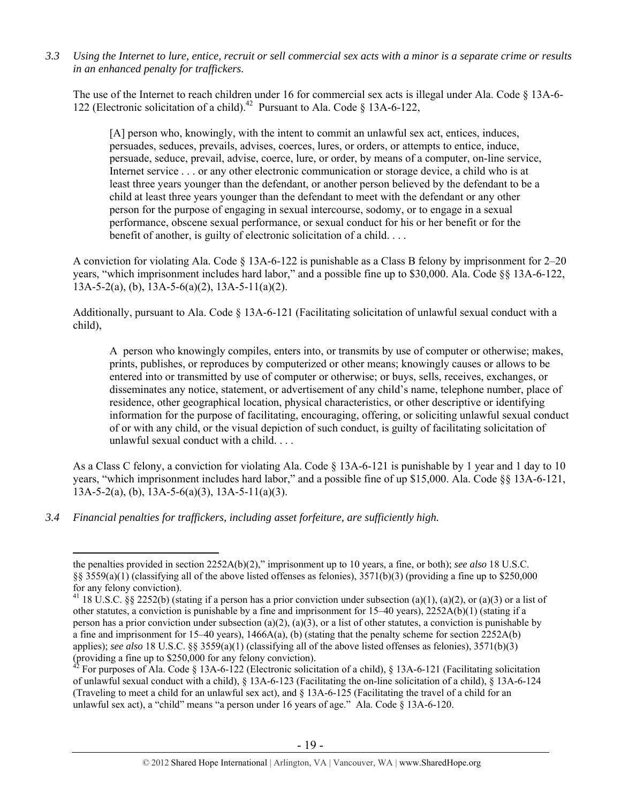*3.3 Using the Internet to lure, entice, recruit or sell commercial sex acts with a minor is a separate crime or results in an enhanced penalty for traffickers.* 

The use of the Internet to reach children under 16 for commercial sex acts is illegal under Ala. Code § 13A-6- 122 (Electronic solicitation of a child).<sup>42</sup> Pursuant to Ala. Code § 13A-6-122,

[A] person who, knowingly, with the intent to commit an unlawful sex act, entices, induces, persuades, seduces, prevails, advises, coerces, lures, or orders, or attempts to entice, induce, persuade, seduce, prevail, advise, coerce, lure, or order, by means of a computer, on-line service, Internet service . . . or any other electronic communication or storage device, a child who is at least three years younger than the defendant, or another person believed by the defendant to be a child at least three years younger than the defendant to meet with the defendant or any other person for the purpose of engaging in sexual intercourse, sodomy, or to engage in a sexual performance, obscene sexual performance, or sexual conduct for his or her benefit or for the benefit of another, is guilty of electronic solicitation of a child. . . .

A conviction for violating Ala. Code § 13A-6-122 is punishable as a Class B felony by imprisonment for 2–20 years, "which imprisonment includes hard labor," and a possible fine up to \$30,000. Ala. Code §§ 13A-6-122,  $13A-5-2(a)$ , (b),  $13A-5-6(a)(2)$ ,  $13A-5-11(a)(2)$ .

Additionally, pursuant to Ala. Code § 13A-6-121 (Facilitating solicitation of unlawful sexual conduct with a child),

A person who knowingly compiles, enters into, or transmits by use of computer or otherwise; makes, prints, publishes, or reproduces by computerized or other means; knowingly causes or allows to be entered into or transmitted by use of computer or otherwise; or buys, sells, receives, exchanges, or disseminates any notice, statement, or advertisement of any child's name, telephone number, place of residence, other geographical location, physical characteristics, or other descriptive or identifying information for the purpose of facilitating, encouraging, offering, or soliciting unlawful sexual conduct of or with any child, or the visual depiction of such conduct, is guilty of facilitating solicitation of unlawful sexual conduct with a child. . . .

As a Class C felony, a conviction for violating Ala. Code § 13A-6-121 is punishable by 1 year and 1 day to 10 years, "which imprisonment includes hard labor," and a possible fine of up \$15,000. Ala. Code §§ 13A-6-121,  $13A-5-2(a)$ , (b),  $13A-5-6(a)(3)$ ,  $13A-5-11(a)(3)$ .

*3.4 Financial penalties for traffickers, including asset forfeiture, are sufficiently high.* 

the penalties provided in section 2252A(b)(2)," imprisonment up to 10 years, a fine, or both); *see also* 18 U.S.C. §§ 3559(a)(1) (classifying all of the above listed offenses as felonies),  $3571(b)(3)$  (providing a fine up to \$250,000 for any felony conviction).

<sup>&</sup>lt;sup>41</sup> 18 U.S.C. §§ 2252(b) (stating if a person has a prior conviction under subsection (a)(1), (a)(2), or (a)(3) or a list of other statutes, a conviction is punishable by a fine and imprisonment for 15–40 years), 2252A(b)(1) (stating if a person has a prior conviction under subsection (a)(2), (a)(3), or a list of other statutes, a conviction is punishable by a fine and imprisonment for 15–40 years), 1466A(a), (b) (stating that the penalty scheme for section 2252A(b) applies); *see also* 18 U.S.C. §§ 3559(a)(1) (classifying all of the above listed offenses as felonies), 3571(b)(3) (providing a fine up to  $$250,000$  for any felony conviction).

<sup>42</sup> For purposes of Ala. Code § 13A-6-122 (Electronic solicitation of a child), § 13A-6-121 (Facilitating solicitation of unlawful sexual conduct with a child), § 13A-6-123 (Facilitating the on-line solicitation of a child), § 13A-6-124 (Traveling to meet a child for an unlawful sex act), and § 13A-6-125 (Facilitating the travel of a child for an unlawful sex act), a "child" means "a person under 16 years of age." Ala. Code § 13A-6-120.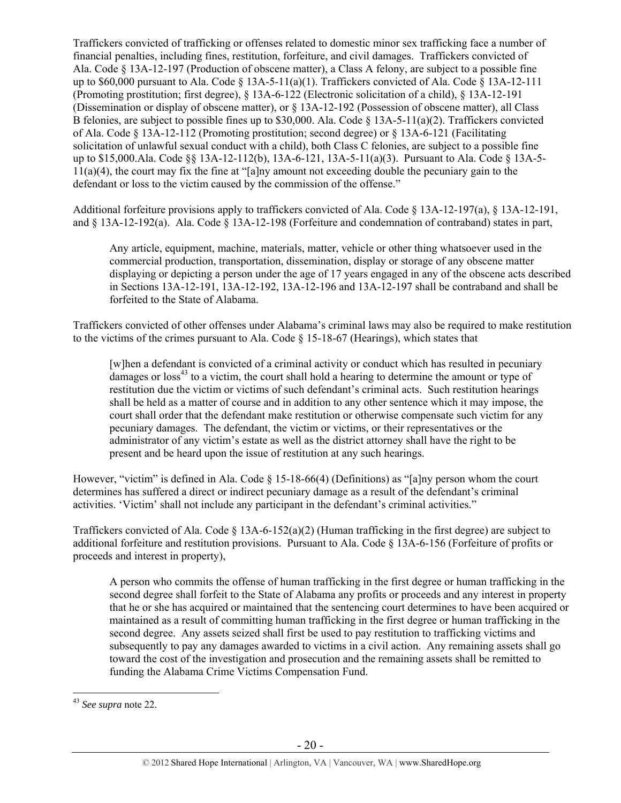Traffickers convicted of trafficking or offenses related to domestic minor sex trafficking face a number of financial penalties, including fines, restitution, forfeiture, and civil damages. Traffickers convicted of Ala. Code § 13A-12-197 (Production of obscene matter), a Class A felony, are subject to a possible fine up to \$60,000 pursuant to Ala. Code  $\S$  13A-5-11(a)(1). Traffickers convicted of Ala. Code  $\S$  13A-12-111 (Promoting prostitution; first degree), § 13A-6-122 (Electronic solicitation of a child), § 13A-12-191 (Dissemination or display of obscene matter), or § 13A-12-192 (Possession of obscene matter), all Class B felonies, are subject to possible fines up to \$30,000. Ala. Code § 13A-5-11(a)(2). Traffickers convicted of Ala. Code § 13A-12-112 (Promoting prostitution; second degree) or § 13A-6-121 (Facilitating solicitation of unlawful sexual conduct with a child), both Class C felonies, are subject to a possible fine up to \$15,000.Ala. Code §§ 13A-12-112(b), 13A-6-121, 13A-5-11(a)(3). Pursuant to Ala. Code § 13A-5-  $11(a)(4)$ , the court may fix the fine at "[a]ny amount not exceeding double the pecuniary gain to the defendant or loss to the victim caused by the commission of the offense."

Additional forfeiture provisions apply to traffickers convicted of Ala. Code § 13A-12-197(a), § 13A-12-191, and § 13A-12-192(a). Ala. Code § 13A-12-198 (Forfeiture and condemnation of contraband) states in part,

Any article, equipment, machine, materials, matter, vehicle or other thing whatsoever used in the commercial production, transportation, dissemination, display or storage of any obscene matter displaying or depicting a person under the age of 17 years engaged in any of the obscene acts described in Sections 13A-12-191, 13A-12-192, 13A-12-196 and 13A-12-197 shall be contraband and shall be forfeited to the State of Alabama.

Traffickers convicted of other offenses under Alabama's criminal laws may also be required to make restitution to the victims of the crimes pursuant to Ala. Code  $\S$  15-18-67 (Hearings), which states that

[w]hen a defendant is convicted of a criminal activity or conduct which has resulted in pecuniary damages or  $loss^{43}$  to a victim, the court shall hold a hearing to determine the amount or type of restitution due the victim or victims of such defendant's criminal acts. Such restitution hearings shall be held as a matter of course and in addition to any other sentence which it may impose, the court shall order that the defendant make restitution or otherwise compensate such victim for any pecuniary damages. The defendant, the victim or victims, or their representatives or the administrator of any victim's estate as well as the district attorney shall have the right to be present and be heard upon the issue of restitution at any such hearings.

However, "victim" is defined in Ala. Code § 15-18-66(4) (Definitions) as "[a]ny person whom the court determines has suffered a direct or indirect pecuniary damage as a result of the defendant's criminal activities. 'Victim' shall not include any participant in the defendant's criminal activities."

Traffickers convicted of Ala. Code § 13A-6-152(a)(2) (Human trafficking in the first degree) are subject to additional forfeiture and restitution provisions. Pursuant to Ala. Code § 13A-6-156 (Forfeiture of profits or proceeds and interest in property),

A person who commits the offense of human trafficking in the first degree or human trafficking in the second degree shall forfeit to the State of Alabama any profits or proceeds and any interest in property that he or she has acquired or maintained that the sentencing court determines to have been acquired or maintained as a result of committing human trafficking in the first degree or human trafficking in the second degree. Any assets seized shall first be used to pay restitution to trafficking victims and subsequently to pay any damages awarded to victims in a civil action. Any remaining assets shall go toward the cost of the investigation and prosecution and the remaining assets shall be remitted to funding the Alabama Crime Victims Compensation Fund.

<sup>43</sup> *See supra* note 22.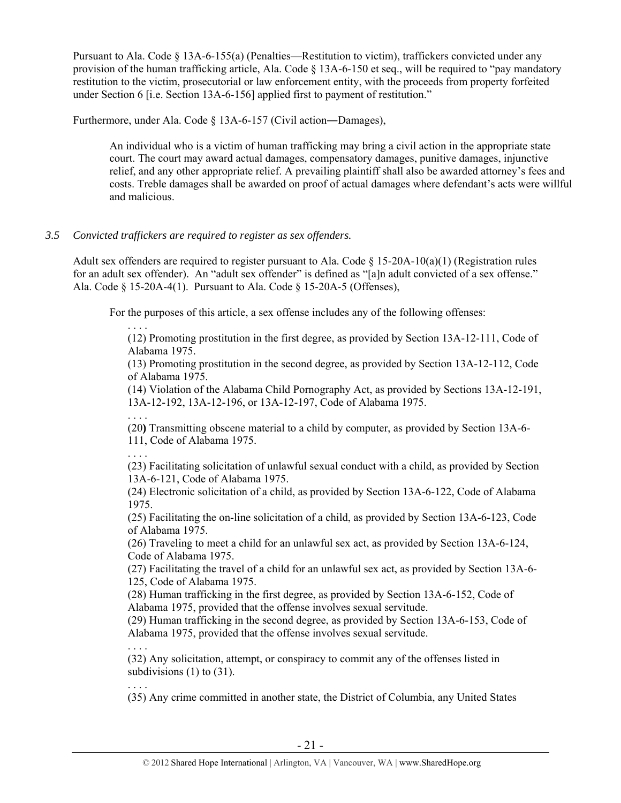Pursuant to Ala. Code § 13A-6-155(a) (Penalties—Restitution to victim), traffickers convicted under any provision of the human trafficking article, Ala. Code § 13A-6-150 et seq., will be required to "pay mandatory restitution to the victim, prosecutorial or law enforcement entity, with the proceeds from property forfeited under Section 6 [i.e. Section 13A-6-156] applied first to payment of restitution."

Furthermore, under Ala. Code § 13A-6-157 (Civil action—Damages),

An individual who is a victim of human trafficking may bring a civil action in the appropriate state court. The court may award actual damages, compensatory damages, punitive damages, injunctive relief, and any other appropriate relief. A prevailing plaintiff shall also be awarded attorney's fees and costs. Treble damages shall be awarded on proof of actual damages where defendant's acts were willful and malicious.

# *3.5 Convicted traffickers are required to register as sex offenders.*

Adult sex offenders are required to register pursuant to Ala. Code  $\S$  15-20A-10(a)(1) (Registration rules for an adult sex offender). An "adult sex offender" is defined as "[a]n adult convicted of a sex offense." Ala. Code § 15-20A-4(1). Pursuant to Ala. Code § 15-20A-5 (Offenses),

For the purposes of this article, a sex offense includes any of the following offenses:

. . . . (12) Promoting prostitution in the first degree, as provided by Section 13A-12-111, Code of Alabama 1975.

(13) Promoting prostitution in the second degree, as provided by Section 13A-12-112, Code of Alabama 1975.

(14) Violation of the Alabama Child Pornography Act, as provided by Sections 13A-12-191, 13A-12-192, 13A-12-196, or 13A-12-197, Code of Alabama 1975.

. . . . (20**)** Transmitting obscene material to a child by computer, as provided by Section 13A-6- 111, Code of Alabama 1975.

. . . .

(23) Facilitating solicitation of unlawful sexual conduct with a child, as provided by Section 13A-6-121, Code of Alabama 1975.

(24) Electronic solicitation of a child, as provided by Section 13A-6-122, Code of Alabama 1975.

(25) Facilitating the on-line solicitation of a child, as provided by Section 13A-6-123, Code of Alabama 1975.

(26) Traveling to meet a child for an unlawful sex act, as provided by Section 13A-6-124, Code of Alabama 1975.

(27) Facilitating the travel of a child for an unlawful sex act, as provided by Section 13A-6- 125, Code of Alabama 1975.

(28) Human trafficking in the first degree, as provided by Section 13A-6-152, Code of Alabama 1975, provided that the offense involves sexual servitude.

(29) Human trafficking in the second degree, as provided by Section 13A-6-153, Code of Alabama 1975, provided that the offense involves sexual servitude.

. . . . (32) Any solicitation, attempt, or conspiracy to commit any of the offenses listed in subdivisions  $(1)$  to  $(31)$ .

. . . .

(35) Any crime committed in another state, the District of Columbia, any United States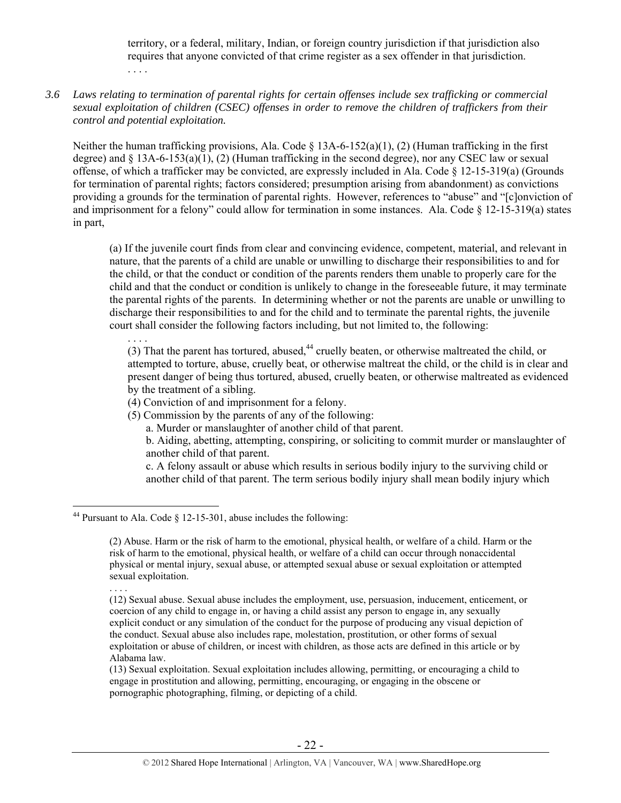territory, or a federal, military, Indian, or foreign country jurisdiction if that jurisdiction also requires that anyone convicted of that crime register as a sex offender in that jurisdiction. . . . .

# *3.6 Laws relating to termination of parental rights for certain offenses include sex trafficking or commercial sexual exploitation of children (CSEC) offenses in order to remove the children of traffickers from their control and potential exploitation.*

Neither the human trafficking provisions, Ala. Code § 13A-6-152(a)(1), (2) (Human trafficking in the first degree) and  $\S 13A-6-153(a)(1)$ , (2) (Human trafficking in the second degree), nor any CSEC law or sexual offense, of which a trafficker may be convicted, are expressly included in Ala. Code  $\S$  12-15-319(a) (Grounds for termination of parental rights; factors considered; presumption arising from abandonment) as convictions providing a grounds for the termination of parental rights. However, references to "abuse" and "[c]onviction of and imprisonment for a felony" could allow for termination in some instances. Ala. Code § 12-15-319(a) states in part,

(a) If the juvenile court finds from clear and convincing evidence, competent, material, and relevant in nature, that the parents of a child are unable or unwilling to discharge their responsibilities to and for the child, or that the conduct or condition of the parents renders them unable to properly care for the child and that the conduct or condition is unlikely to change in the foreseeable future, it may terminate the parental rights of the parents. In determining whether or not the parents are unable or unwilling to discharge their responsibilities to and for the child and to terminate the parental rights, the juvenile court shall consider the following factors including, but not limited to, the following:

. . . . (3) That the parent has tortured, abused, $44$  cruelly beaten, or otherwise maltreated the child, or attempted to torture, abuse, cruelly beat, or otherwise maltreat the child, or the child is in clear and present danger of being thus tortured, abused, cruelly beaten, or otherwise maltreated as evidenced by the treatment of a sibling.

- (4) Conviction of and imprisonment for a felony.
- (5) Commission by the parents of any of the following:
	- a. Murder or manslaughter of another child of that parent.

b. Aiding, abetting, attempting, conspiring, or soliciting to commit murder or manslaughter of another child of that parent.

c. A felony assault or abuse which results in serious bodily injury to the surviving child or another child of that parent. The term serious bodily injury shall mean bodily injury which

<sup>&</sup>lt;sup>44</sup> Pursuant to Ala. Code  $\S$  12-15-301, abuse includes the following:

<sup>(2)</sup> Abuse. Harm or the risk of harm to the emotional, physical health, or welfare of a child. Harm or the risk of harm to the emotional, physical health, or welfare of a child can occur through nonaccidental physical or mental injury, sexual abuse, or attempted sexual abuse or sexual exploitation or attempted sexual exploitation.

<sup>. . . .</sup> 

<sup>(12)</sup> Sexual abuse. Sexual abuse includes the employment, use, persuasion, inducement, enticement, or coercion of any child to engage in, or having a child assist any person to engage in, any sexually explicit conduct or any simulation of the conduct for the purpose of producing any visual depiction of the conduct. Sexual abuse also includes rape, molestation, prostitution, or other forms of sexual exploitation or abuse of children, or incest with children, as those acts are defined in this article or by Alabama law.

<sup>(13)</sup> Sexual exploitation. Sexual exploitation includes allowing, permitting, or encouraging a child to engage in prostitution and allowing, permitting, encouraging, or engaging in the obscene or pornographic photographing, filming, or depicting of a child.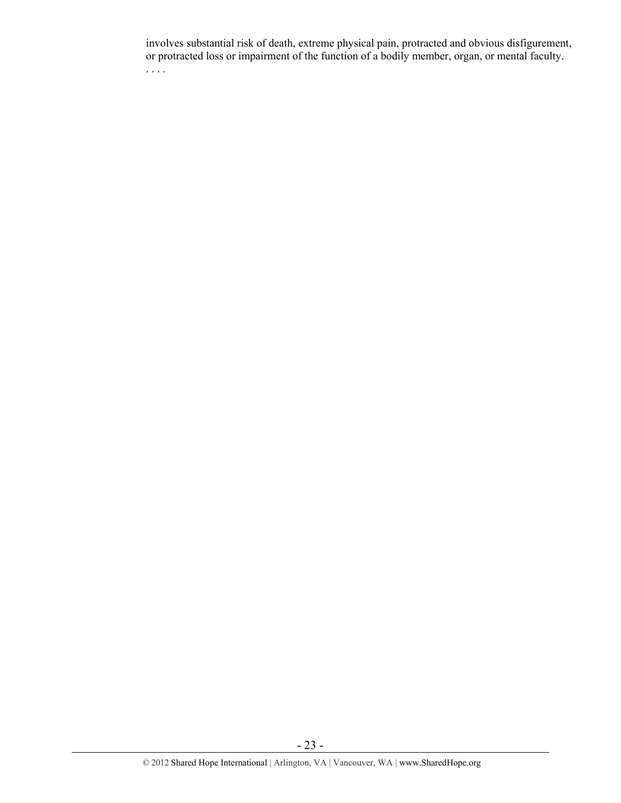involves substantial risk of death, extreme physical pain, protracted and obvious disfigurement, or protracted loss or impairment of the function of a bodily member, organ, or mental faculty.

. . . .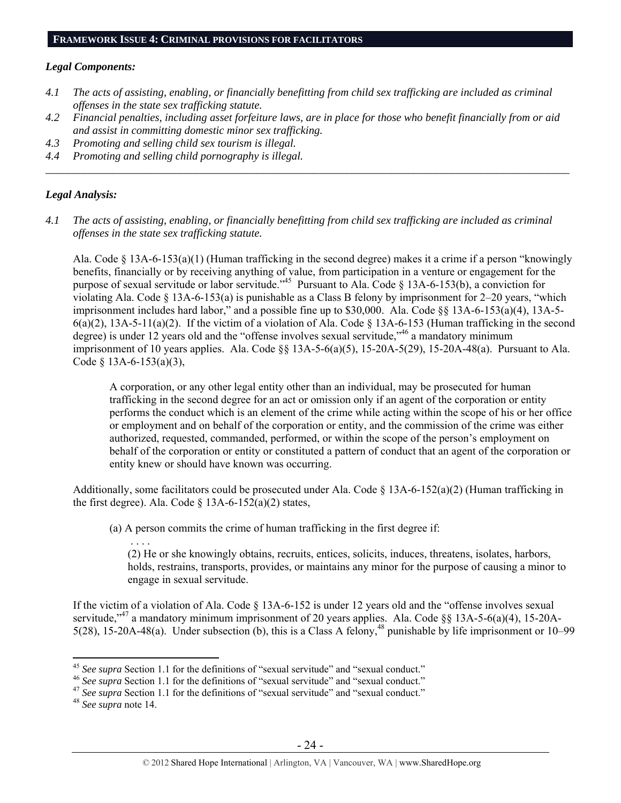#### **FRAMEWORK ISSUE 4: CRIMINAL PROVISIONS FOR FACILITATORS**

#### *Legal Components:*

- *4.1 The acts of assisting, enabling, or financially benefitting from child sex trafficking are included as criminal offenses in the state sex trafficking statute.*
- *4.2 Financial penalties, including asset forfeiture laws, are in place for those who benefit financially from or aid and assist in committing domestic minor sex trafficking.*

*\_\_\_\_\_\_\_\_\_\_\_\_\_\_\_\_\_\_\_\_\_\_\_\_\_\_\_\_\_\_\_\_\_\_\_\_\_\_\_\_\_\_\_\_\_\_\_\_\_\_\_\_\_\_\_\_\_\_\_\_\_\_\_\_\_\_\_\_\_\_\_\_\_\_\_\_\_\_\_\_\_\_\_\_\_\_\_\_\_\_\_\_\_\_* 

- *4.3 Promoting and selling child sex tourism is illegal.*
- *4.4 Promoting and selling child pornography is illegal.*

# *Legal Analysis:*

*4.1 The acts of assisting, enabling, or financially benefitting from child sex trafficking are included as criminal offenses in the state sex trafficking statute.* 

Ala. Code § 13A-6-153(a)(1) (Human trafficking in the second degree) makes it a crime if a person "knowingly benefits, financially or by receiving anything of value, from participation in a venture or engagement for the purpose of sexual servitude or labor servitude."<sup>45</sup> Pursuant to Ala. Code § 13A-6-153(b), a conviction for violating Ala. Code § 13A-6-153(a) is punishable as a Class B felony by imprisonment for 2–20 years, "which imprisonment includes hard labor," and a possible fine up to \$30,000. Ala. Code §§ 13A-6-153(a)(4), 13A-5-  $6(a)(2)$ , 13A-5-11(a)(2). If the victim of a violation of Ala. Code § 13A-6-153 (Human trafficking in the second degree) is under 12 years old and the "offense involves sexual servitude,"<sup>46</sup> a mandatory minimum imprisonment of 10 years applies. Ala. Code §§ 13A-5-6(a)(5), 15-20A-5(29), 15-20A-48(a). Pursuant to Ala. Code  $§$  13A-6-153(a)(3),

A corporation, or any other legal entity other than an individual, may be prosecuted for human trafficking in the second degree for an act or omission only if an agent of the corporation or entity performs the conduct which is an element of the crime while acting within the scope of his or her office or employment and on behalf of the corporation or entity, and the commission of the crime was either authorized, requested, commanded, performed, or within the scope of the person's employment on behalf of the corporation or entity or constituted a pattern of conduct that an agent of the corporation or entity knew or should have known was occurring.

Additionally, some facilitators could be prosecuted under Ala. Code  $\S$  13A-6-152(a)(2) (Human trafficking in the first degree). Ala. Code  $\S$  13A-6-152(a)(2) states,

(a) A person commits the crime of human trafficking in the first degree if:

(2) He or she knowingly obtains, recruits, entices, solicits, induces, threatens, isolates, harbors, holds, restrains, transports, provides, or maintains any minor for the purpose of causing a minor to engage in sexual servitude.

If the victim of a violation of Ala. Code § 13A-6-152 is under 12 years old and the "offense involves sexual servitude,<sup> $347$ </sup> a mandatory minimum imprisonment of 20 years applies. Ala. Code §§ 13A-5-6(a)(4), 15-20A-5(28), 15-20A-48(a). Under subsection (b), this is a Class A felony,<sup>48</sup> punishable by life imprisonment or 10–99

. . . .

<sup>&</sup>lt;sup>45</sup> See supra Section 1.1 for the definitions of "sexual servitude" and "sexual conduct."

<sup>&</sup>lt;sup>46</sup> See supra Section 1.1 for the definitions of "sexual servitude" and "sexual conduct."<br><sup>47</sup> See supra Section 1.1 for the definitions of "sexual servitude" and "sexual conduct."<br><sup>48</sup> See supra note 14.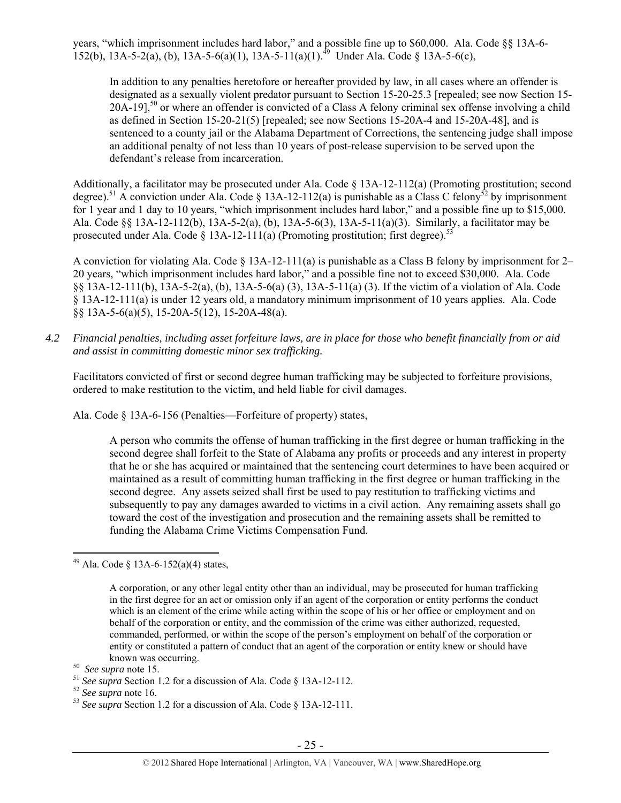years, "which imprisonment includes hard labor," and a possible fine up to \$60,000. Ala. Code §§ 13A-6- 152(b), 13A-5-2(a), (b), 13A-5-6(a)(1), 13A-5-11(a)(1).<sup>49</sup> Under Ala. Code § 13A-5-6(c),

In addition to any penalties heretofore or hereafter provided by law, in all cases where an offender is designated as a sexually violent predator pursuant to Section 15-20-25.3 [repealed; see now Section 15- 20A-19<sup>1,50</sup> or where an offender is convicted of a Class A felony criminal sex offense involving a child as defined in Section 15-20-21(5) [repealed; see now Sections 15-20A-4 and 15-20A-48], and is sentenced to a county jail or the Alabama Department of Corrections, the sentencing judge shall impose an additional penalty of not less than 10 years of post-release supervision to be served upon the defendant's release from incarceration.

Additionally, a facilitator may be prosecuted under Ala. Code § 13A-12-112(a) (Promoting prostitution; second degree).<sup>51</sup> A conviction under Ala. Code § 13A-12-112(a) is punishable as a Class C felony<sup>52</sup> by imprisonment for 1 year and 1 day to 10 years, "which imprisonment includes hard labor," and a possible fine up to \$15,000. Ala. Code §§ 13A-12-112(b), 13A-5-2(a), (b), 13A-5-6(3), 13A-5-11(a)(3). Similarly, a facilitator may be prosecuted under Ala. Code  $\frac{1}{2}$  13A-12-111(a) (Promoting prostitution; first degree).<sup>53</sup>

A conviction for violating Ala. Code § 13A-12-111(a) is punishable as a Class B felony by imprisonment for 2– 20 years, "which imprisonment includes hard labor," and a possible fine not to exceed \$30,000. Ala. Code §§ 13A-12-111(b), 13A-5-2(a), (b), 13A-5-6(a) (3), 13A-5-11(a) (3). If the victim of a violation of Ala. Code § 13A-12-111(a) is under 12 years old, a mandatory minimum imprisonment of 10 years applies. Ala. Code §§ 13A-5-6(a)(5), 15-20A-5(12), 15-20A-48(a).

*4.2 Financial penalties, including asset forfeiture laws, are in place for those who benefit financially from or aid and assist in committing domestic minor sex trafficking.* 

Facilitators convicted of first or second degree human trafficking may be subjected to forfeiture provisions, ordered to make restitution to the victim, and held liable for civil damages.

Ala. Code § 13A-6-156 (Penalties—Forfeiture of property) states,

A person who commits the offense of human trafficking in the first degree or human trafficking in the second degree shall forfeit to the State of Alabama any profits or proceeds and any interest in property that he or she has acquired or maintained that the sentencing court determines to have been acquired or maintained as a result of committing human trafficking in the first degree or human trafficking in the second degree. Any assets seized shall first be used to pay restitution to trafficking victims and subsequently to pay any damages awarded to victims in a civil action. Any remaining assets shall go toward the cost of the investigation and prosecution and the remaining assets shall be remitted to funding the Alabama Crime Victims Compensation Fund.

<sup>&</sup>lt;sup>49</sup> Ala. Code § 13A-6-152(a)(4) states,

A corporation, or any other legal entity other than an individual, may be prosecuted for human trafficking in the first degree for an act or omission only if an agent of the corporation or entity performs the conduct which is an element of the crime while acting within the scope of his or her office or employment and on behalf of the corporation or entity, and the commission of the crime was either authorized, requested, commanded, performed, or within the scope of the person's employment on behalf of the corporation or entity or constituted a pattern of conduct that an agent of the corporation or entity knew or should have

so See supra note 15.<br>
See supra note 15.<br>
See supra Section 1.2 for a discussion of Ala. Code § 13A-12-112.<br>
See supra note 16.<br>
See supra Section 1.2 for a discussion of Ala. Code § 13A-12-111.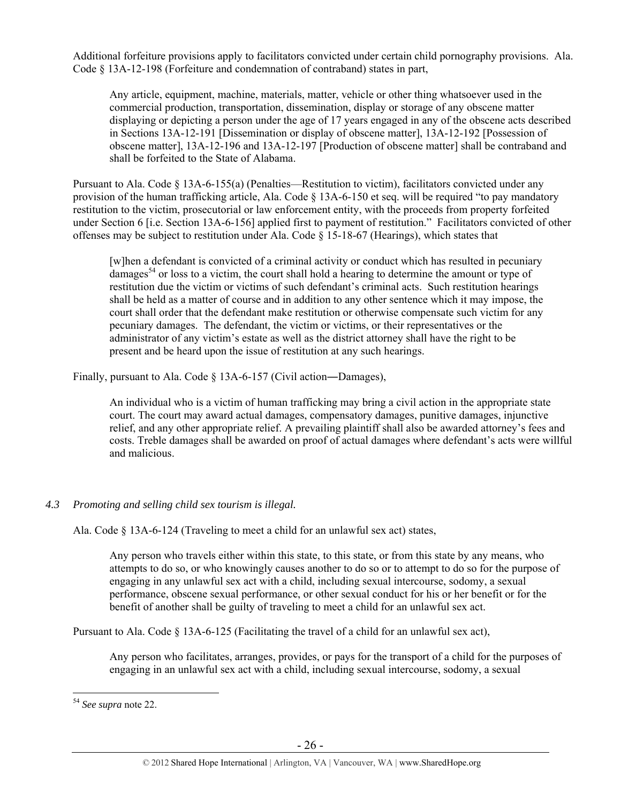Additional forfeiture provisions apply to facilitators convicted under certain child pornography provisions. Ala. Code § 13A-12-198 (Forfeiture and condemnation of contraband) states in part,

Any article, equipment, machine, materials, matter, vehicle or other thing whatsoever used in the commercial production, transportation, dissemination, display or storage of any obscene matter displaying or depicting a person under the age of 17 years engaged in any of the obscene acts described in Sections 13A-12-191 [Dissemination or display of obscene matter], 13A-12-192 [Possession of obscene matter], 13A-12-196 and 13A-12-197 [Production of obscene matter] shall be contraband and shall be forfeited to the State of Alabama.

Pursuant to Ala. Code § 13A-6-155(a) (Penalties—Restitution to victim), facilitators convicted under any provision of the human trafficking article, Ala. Code § 13A-6-150 et seq. will be required "to pay mandatory restitution to the victim, prosecutorial or law enforcement entity, with the proceeds from property forfeited under Section 6 [i.e. Section 13A-6-156] applied first to payment of restitution." Facilitators convicted of other offenses may be subject to restitution under Ala. Code § 15-18-67 (Hearings), which states that

[w]hen a defendant is convicted of a criminal activity or conduct which has resulted in pecuniary damages<sup>54</sup> or loss to a victim, the court shall hold a hearing to determine the amount or type of restitution due the victim or victims of such defendant's criminal acts. Such restitution hearings shall be held as a matter of course and in addition to any other sentence which it may impose, the court shall order that the defendant make restitution or otherwise compensate such victim for any pecuniary damages. The defendant, the victim or victims, or their representatives or the administrator of any victim's estate as well as the district attorney shall have the right to be present and be heard upon the issue of restitution at any such hearings.

Finally, pursuant to Ala. Code § 13A-6-157 (Civil action—Damages),

An individual who is a victim of human trafficking may bring a civil action in the appropriate state court. The court may award actual damages, compensatory damages, punitive damages, injunctive relief, and any other appropriate relief. A prevailing plaintiff shall also be awarded attorney's fees and costs. Treble damages shall be awarded on proof of actual damages where defendant's acts were willful and malicious.

# *4.3 Promoting and selling child sex tourism is illegal.*

Ala. Code § 13A-6-124 (Traveling to meet a child for an unlawful sex act) states,

Any person who travels either within this state, to this state, or from this state by any means, who attempts to do so, or who knowingly causes another to do so or to attempt to do so for the purpose of engaging in any unlawful sex act with a child, including sexual intercourse, sodomy, a sexual performance, obscene sexual performance, or other sexual conduct for his or her benefit or for the benefit of another shall be guilty of traveling to meet a child for an unlawful sex act.

Pursuant to Ala. Code § 13A-6-125 (Facilitating the travel of a child for an unlawful sex act),

Any person who facilitates, arranges, provides, or pays for the transport of a child for the purposes of engaging in an unlawful sex act with a child, including sexual intercourse, sodomy, a sexual

<sup>54</sup> *See supra* note 22.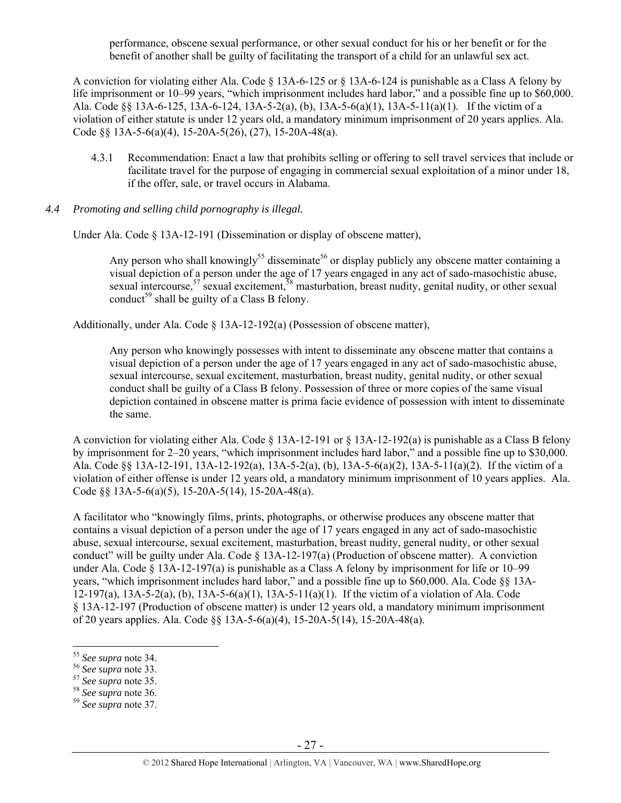performance, obscene sexual performance, or other sexual conduct for his or her benefit or for the benefit of another shall be guilty of facilitating the transport of a child for an unlawful sex act.

A conviction for violating either Ala. Code § 13A-6-125 or § 13A-6-124 is punishable as a Class A felony by life imprisonment or 10–99 years, "which imprisonment includes hard labor," and a possible fine up to \$60,000. Ala. Code §§ 13A-6-125, 13A-6-124, 13A-5-2(a), (b), 13A-5-6(a)(1), 13A-5-11(a)(1). If the victim of a violation of either statute is under 12 years old, a mandatory minimum imprisonment of 20 years applies. Ala. Code §§ 13A-5-6(a)(4), 15-20A-5(26), (27), 15-20A-48(a).

- 4.3.1 Recommendation: Enact a law that prohibits selling or offering to sell travel services that include or facilitate travel for the purpose of engaging in commercial sexual exploitation of a minor under 18, if the offer, sale, or travel occurs in Alabama.
- *4.4 Promoting and selling child pornography is illegal.*

Under Ala. Code § 13A-12-191 (Dissemination or display of obscene matter),

Any person who shall knowingly<sup>55</sup> disseminate<sup>56</sup> or display publicly any obscene matter containing a visual depiction of a person under the age of 17 years engaged in any act of sado-masochistic abuse, sexual intercourse,<sup>57</sup> sexual excitement,<sup>58</sup> masturbation, breast nudity, genital nudity, or other sexual conduct<sup>59</sup> shall be guilty of a Class B felony.

Additionally, under Ala. Code § 13A-12-192(a) (Possession of obscene matter),

Any person who knowingly possesses with intent to disseminate any obscene matter that contains a visual depiction of a person under the age of 17 years engaged in any act of sado-masochistic abuse, sexual intercourse, sexual excitement, masturbation, breast nudity, genital nudity, or other sexual conduct shall be guilty of a Class B felony. Possession of three or more copies of the same visual depiction contained in obscene matter is prima facie evidence of possession with intent to disseminate the same.

A conviction for violating either Ala. Code § 13A-12-191 or § 13A-12-192(a) is punishable as a Class B felony by imprisonment for 2–20 years, "which imprisonment includes hard labor," and a possible fine up to \$30,000. Ala. Code §§ 13A-12-191, 13A-12-192(a), 13A-5-2(a), (b), 13A-5-6(a)(2), 13A-5-11(a)(2). If the victim of a violation of either offense is under 12 years old, a mandatory minimum imprisonment of 10 years applies. Ala. Code §§ 13A-5-6(a)(5), 15-20A-5(14), 15-20A-48(a).

A facilitator who "knowingly films, prints, photographs, or otherwise produces any obscene matter that contains a visual depiction of a person under the age of 17 years engaged in any act of sado-masochistic abuse, sexual intercourse, sexual excitement, masturbation, breast nudity, general nudity, or other sexual conduct" will be guilty under Ala. Code  $\S$  13A-12-197(a) (Production of obscene matter). A conviction under Ala. Code § 13A-12-197(a) is punishable as a Class A felony by imprisonment for life or 10–99 years, "which imprisonment includes hard labor," and a possible fine up to \$60,000. Ala. Code §§ 13A-12-197(a), 13A-5-2(a), (b), 13A-5-6(a)(1), 13A-5-11(a)(1). If the victim of a violation of Ala. Code § 13A-12-197 (Production of obscene matter) is under 12 years old, a mandatory minimum imprisonment of 20 years applies. Ala. Code §§ 13A-5-6(a)(4), 15-20A-5(14), 15-20A-48(a).

<sup>55</sup> *See supra* note 34. 56 *See supra* note 33. 57 *See supra* note 35. 58 *See supra* note 36. 59 *See supra* note 37.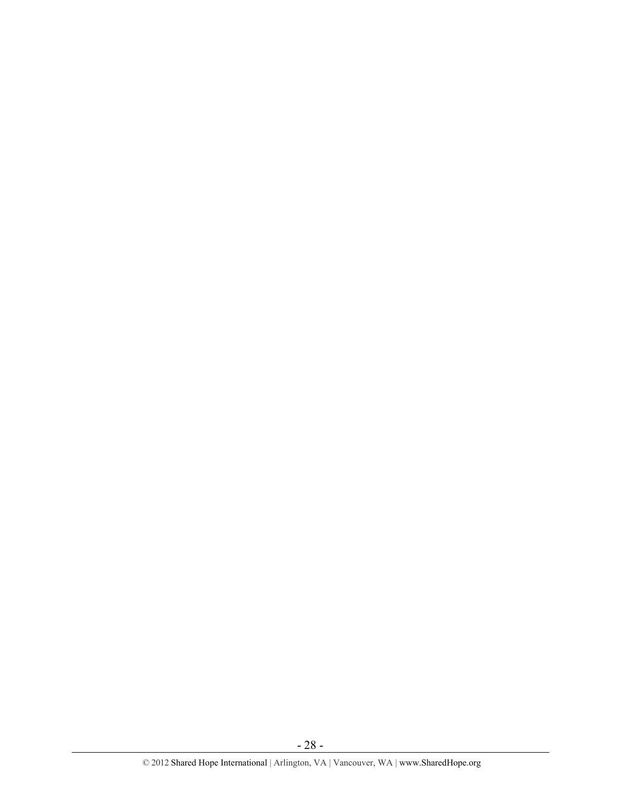# © 2012 Shared Hope International | Arlington, VA | Vancouver, WA | www.SharedHope.org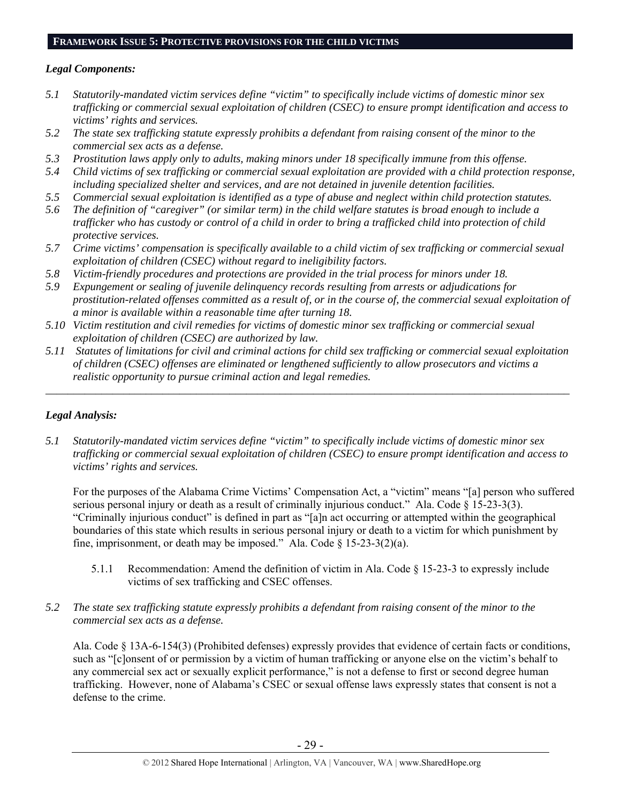## **FRAMEWORK ISSUE 5: PROTECTIVE PROVISIONS FOR THE CHILD VICTIMS**

# *Legal Components:*

- *5.1 Statutorily-mandated victim services define "victim" to specifically include victims of domestic minor sex trafficking or commercial sexual exploitation of children (CSEC) to ensure prompt identification and access to victims' rights and services.*
- *5.2 The state sex trafficking statute expressly prohibits a defendant from raising consent of the minor to the commercial sex acts as a defense.*
- *5.3 Prostitution laws apply only to adults, making minors under 18 specifically immune from this offense.*
- *5.4 Child victims of sex trafficking or commercial sexual exploitation are provided with a child protection response, including specialized shelter and services, and are not detained in juvenile detention facilities.*
- *5.5 Commercial sexual exploitation is identified as a type of abuse and neglect within child protection statutes.*
- *5.6 The definition of "caregiver" (or similar term) in the child welfare statutes is broad enough to include a trafficker who has custody or control of a child in order to bring a trafficked child into protection of child protective services.*
- *5.7 Crime victims' compensation is specifically available to a child victim of sex trafficking or commercial sexual exploitation of children (CSEC) without regard to ineligibility factors.*
- *5.8 Victim-friendly procedures and protections are provided in the trial process for minors under 18.*
- *5.9 Expungement or sealing of juvenile delinquency records resulting from arrests or adjudications for prostitution-related offenses committed as a result of, or in the course of, the commercial sexual exploitation of a minor is available within a reasonable time after turning 18.*
- *5.10 Victim restitution and civil remedies for victims of domestic minor sex trafficking or commercial sexual exploitation of children (CSEC) are authorized by law.*
- *5.11 Statutes of limitations for civil and criminal actions for child sex trafficking or commercial sexual exploitation of children (CSEC) offenses are eliminated or lengthened sufficiently to allow prosecutors and victims a realistic opportunity to pursue criminal action and legal remedies.*

*\_\_\_\_\_\_\_\_\_\_\_\_\_\_\_\_\_\_\_\_\_\_\_\_\_\_\_\_\_\_\_\_\_\_\_\_\_\_\_\_\_\_\_\_\_\_\_\_\_\_\_\_\_\_\_\_\_\_\_\_\_\_\_\_\_\_\_\_\_\_\_\_\_\_\_\_\_\_\_\_\_\_\_\_\_\_\_\_\_\_\_\_\_\_* 

# *Legal Analysis:*

*5.1 Statutorily-mandated victim services define "victim" to specifically include victims of domestic minor sex trafficking or commercial sexual exploitation of children (CSEC) to ensure prompt identification and access to victims' rights and services.* 

For the purposes of the Alabama Crime Victims' Compensation Act, a "victim" means "[a] person who suffered serious personal injury or death as a result of criminally injurious conduct." Ala. Code § 15-23-3(3). "Criminally injurious conduct" is defined in part as "[a]n act occurring or attempted within the geographical boundaries of this state which results in serious personal injury or death to a victim for which punishment by fine, imprisonment, or death may be imposed." Ala. Code § 15-23-3(2)(a).

- 5.1.1 Recommendation: Amend the definition of victim in Ala. Code § 15-23-3 to expressly include victims of sex trafficking and CSEC offenses.
- *5.2 The state sex trafficking statute expressly prohibits a defendant from raising consent of the minor to the commercial sex acts as a defense.*

Ala. Code § 13A-6-154(3) (Prohibited defenses) expressly provides that evidence of certain facts or conditions, such as "[c]onsent of or permission by a victim of human trafficking or anyone else on the victim's behalf to any commercial sex act or sexually explicit performance," is not a defense to first or second degree human trafficking. However, none of Alabama's CSEC or sexual offense laws expressly states that consent is not a defense to the crime.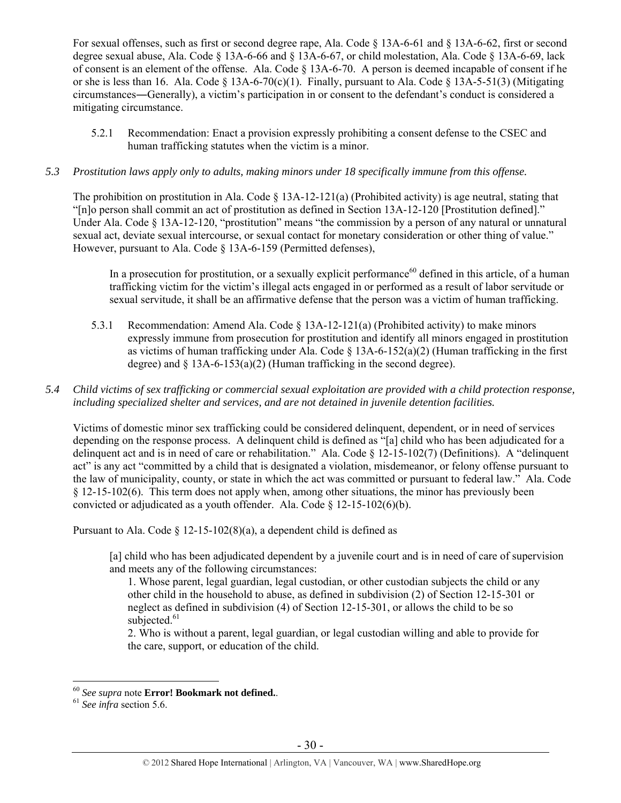For sexual offenses, such as first or second degree rape, Ala. Code § 13A-6-61 and § 13A-6-62, first or second degree sexual abuse, Ala. Code § 13A-6-66 and § 13A-6-67, or child molestation, Ala. Code § 13A-6-69, lack of consent is an element of the offense. Ala. Code § 13A-6-70. A person is deemed incapable of consent if he or she is less than 16. Ala. Code  $\S$  13A-6-70(c)(1). Finally, pursuant to Ala. Code  $\S$  13A-5-51(3) (Mitigating circumstances―Generally), a victim's participation in or consent to the defendant's conduct is considered a mitigating circumstance.

5.2.1 Recommendation: Enact a provision expressly prohibiting a consent defense to the CSEC and human trafficking statutes when the victim is a minor.

## *5.3 Prostitution laws apply only to adults, making minors under 18 specifically immune from this offense.*

The prohibition on prostitution in Ala. Code  $\S$  13A-12-121(a) (Prohibited activity) is age neutral, stating that "[n]o person shall commit an act of prostitution as defined in Section 13A-12-120 [Prostitution defined]." Under Ala. Code § 13A-12-120, "prostitution" means "the commission by a person of any natural or unnatural sexual act, deviate sexual intercourse, or sexual contact for monetary consideration or other thing of value." However, pursuant to Ala. Code § 13A-6-159 (Permitted defenses),

In a prosecution for prostitution, or a sexually explicit performance<sup>60</sup> defined in this article, of a human trafficking victim for the victim's illegal acts engaged in or performed as a result of labor servitude or sexual servitude, it shall be an affirmative defense that the person was a victim of human trafficking.

5.3.1 Recommendation: Amend Ala. Code § 13A-12-121(a) (Prohibited activity) to make minors expressly immune from prosecution for prostitution and identify all minors engaged in prostitution as victims of human trafficking under Ala. Code  $\S$  13A-6-152(a)(2) (Human trafficking in the first degree) and § 13A-6-153(a)(2) (Human trafficking in the second degree).

# *5.4 Child victims of sex trafficking or commercial sexual exploitation are provided with a child protection response, including specialized shelter and services, and are not detained in juvenile detention facilities.*

Victims of domestic minor sex trafficking could be considered delinquent, dependent, or in need of services depending on the response process. A delinquent child is defined as "[a] child who has been adjudicated for a delinquent act and is in need of care or rehabilitation." Ala. Code § 12-15-102(7) (Definitions). A "delinquent act" is any act "committed by a child that is designated a violation, misdemeanor, or felony offense pursuant to the law of municipality, county, or state in which the act was committed or pursuant to federal law." Ala. Code § 12-15-102(6). This term does not apply when, among other situations, the minor has previously been convicted or adjudicated as a youth offender. Ala. Code  $\S$  12-15-102(6)(b).

Pursuant to Ala. Code  $\S$  12-15-102(8)(a), a dependent child is defined as

[a] child who has been adjudicated dependent by a juvenile court and is in need of care of supervision and meets any of the following circumstances:

1. Whose parent, legal guardian, legal custodian, or other custodian subjects the child or any other child in the household to abuse, as defined in subdivision (2) of Section 12-15-301 or neglect as defined in subdivision (4) of Section 12-15-301, or allows the child to be so subjected.<sup>61</sup>

2. Who is without a parent, legal guardian, or legal custodian willing and able to provide for the care, support, or education of the child.

<sup>60</sup> *See supra* note **Error! Bookmark not defined.**. 61 *See infra* section 5.6.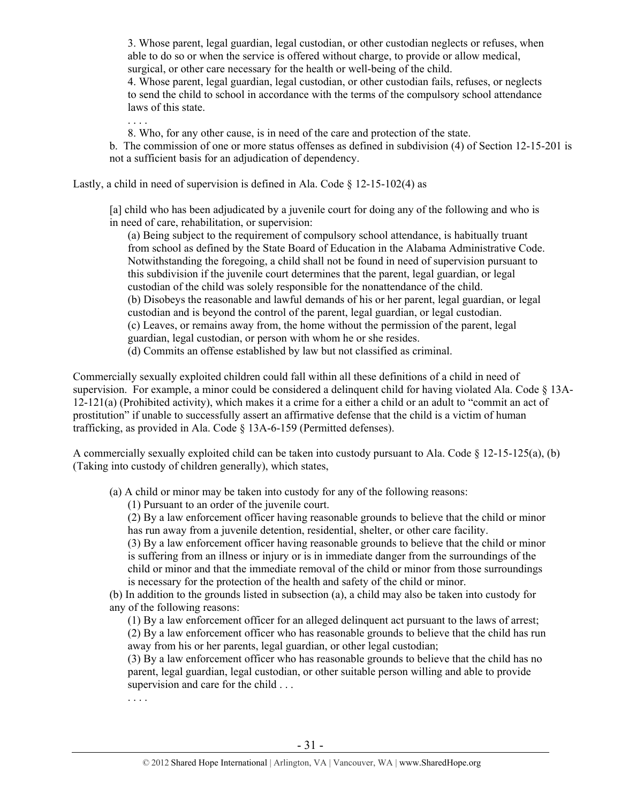3. Whose parent, legal guardian, legal custodian, or other custodian neglects or refuses, when able to do so or when the service is offered without charge, to provide or allow medical, surgical, or other care necessary for the health or well-being of the child.

4. Whose parent, legal guardian, legal custodian, or other custodian fails, refuses, or neglects to send the child to school in accordance with the terms of the compulsory school attendance laws of this state.

8. Who, for any other cause, is in need of the care and protection of the state. b. The commission of one or more status offenses as defined in subdivision (4) of Section 12-15-201 is not a sufficient basis for an adjudication of dependency.

Lastly, a child in need of supervision is defined in Ala. Code  $\S$  12-15-102(4) as

[a] child who has been adjudicated by a juvenile court for doing any of the following and who is in need of care, rehabilitation, or supervision:

(a) Being subject to the requirement of compulsory school attendance, is habitually truant from school as defined by the State Board of Education in the Alabama Administrative Code. Notwithstanding the foregoing, a child shall not be found in need of supervision pursuant to this subdivision if the juvenile court determines that the parent, legal guardian, or legal custodian of the child was solely responsible for the nonattendance of the child. (b) Disobeys the reasonable and lawful demands of his or her parent, legal guardian, or legal custodian and is beyond the control of the parent, legal guardian, or legal custodian. (c) Leaves, or remains away from, the home without the permission of the parent, legal guardian, legal custodian, or person with whom he or she resides. (d) Commits an offense established by law but not classified as criminal.

Commercially sexually exploited children could fall within all these definitions of a child in need of supervision. For example, a minor could be considered a delinquent child for having violated Ala. Code § 13A-12-121(a) (Prohibited activity), which makes it a crime for a either a child or an adult to "commit an act of prostitution" if unable to successfully assert an affirmative defense that the child is a victim of human trafficking, as provided in Ala. Code § 13A-6-159 (Permitted defenses).

A commercially sexually exploited child can be taken into custody pursuant to Ala. Code  $\S$  12-15-125(a), (b) (Taking into custody of children generally), which states,

(a) A child or minor may be taken into custody for any of the following reasons:

(1) Pursuant to an order of the juvenile court.

(2) By a law enforcement officer having reasonable grounds to believe that the child or minor has run away from a juvenile detention, residential, shelter, or other care facility.

(3) By a law enforcement officer having reasonable grounds to believe that the child or minor is suffering from an illness or injury or is in immediate danger from the surroundings of the child or minor and that the immediate removal of the child or minor from those surroundings is necessary for the protection of the health and safety of the child or minor.

(b) In addition to the grounds listed in subsection (a), a child may also be taken into custody for any of the following reasons:

(1) By a law enforcement officer for an alleged delinquent act pursuant to the laws of arrest; (2) By a law enforcement officer who has reasonable grounds to believe that the child has run away from his or her parents, legal guardian, or other legal custodian;

(3) By a law enforcement officer who has reasonable grounds to believe that the child has no parent, legal guardian, legal custodian, or other suitable person willing and able to provide supervision and care for the child . . .

. . . .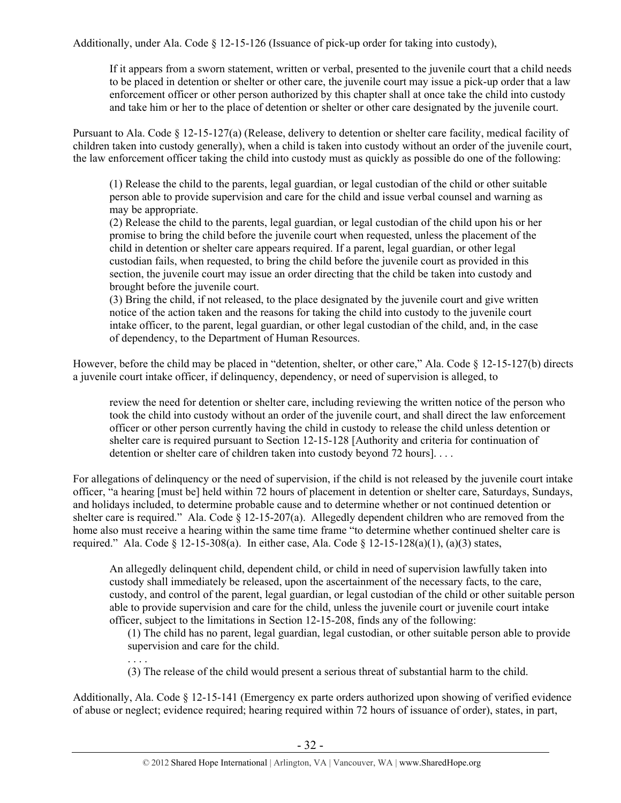Additionally, under Ala. Code  $\S$  12-15-126 (Issuance of pick-up order for taking into custody),

If it appears from a sworn statement, written or verbal, presented to the juvenile court that a child needs to be placed in detention or shelter or other care, the juvenile court may issue a pick-up order that a law enforcement officer or other person authorized by this chapter shall at once take the child into custody and take him or her to the place of detention or shelter or other care designated by the juvenile court.

Pursuant to Ala. Code § 12-15-127(a) (Release, delivery to detention or shelter care facility, medical facility of children taken into custody generally), when a child is taken into custody without an order of the juvenile court, the law enforcement officer taking the child into custody must as quickly as possible do one of the following:

(1) Release the child to the parents, legal guardian, or legal custodian of the child or other suitable person able to provide supervision and care for the child and issue verbal counsel and warning as may be appropriate.

(2) Release the child to the parents, legal guardian, or legal custodian of the child upon his or her promise to bring the child before the juvenile court when requested, unless the placement of the child in detention or shelter care appears required. If a parent, legal guardian, or other legal custodian fails, when requested, to bring the child before the juvenile court as provided in this section, the juvenile court may issue an order directing that the child be taken into custody and brought before the juvenile court.

(3) Bring the child, if not released, to the place designated by the juvenile court and give written notice of the action taken and the reasons for taking the child into custody to the juvenile court intake officer, to the parent, legal guardian, or other legal custodian of the child, and, in the case of dependency, to the Department of Human Resources.

However, before the child may be placed in "detention, shelter, or other care," Ala. Code § 12-15-127(b) directs a juvenile court intake officer, if delinquency, dependency, or need of supervision is alleged, to

review the need for detention or shelter care, including reviewing the written notice of the person who took the child into custody without an order of the juvenile court, and shall direct the law enforcement officer or other person currently having the child in custody to release the child unless detention or shelter care is required pursuant to Section 12-15-128 [Authority and criteria for continuation of detention or shelter care of children taken into custody beyond 72 hours]...

For allegations of delinquency or the need of supervision, if the child is not released by the juvenile court intake officer, "a hearing [must be] held within 72 hours of placement in detention or shelter care, Saturdays, Sundays, and holidays included, to determine probable cause and to determine whether or not continued detention or shelter care is required." Ala. Code  $\S$  12-15-207(a). Allegedly dependent children who are removed from the home also must receive a hearing within the same time frame "to determine whether continued shelter care is required." Ala. Code § 12-15-308(a). In either case, Ala. Code § 12-15-128(a)(1), (a)(3) states,

An allegedly delinquent child, dependent child, or child in need of supervision lawfully taken into custody shall immediately be released, upon the ascertainment of the necessary facts, to the care, custody, and control of the parent, legal guardian, or legal custodian of the child or other suitable person able to provide supervision and care for the child, unless the juvenile court or juvenile court intake officer, subject to the limitations in Section 12-15-208, finds any of the following:

(1) The child has no parent, legal guardian, legal custodian, or other suitable person able to provide supervision and care for the child.

(3) The release of the child would present a serious threat of substantial harm to the child.

Additionally, Ala. Code § 12-15-141 (Emergency ex parte orders authorized upon showing of verified evidence of abuse or neglect; evidence required; hearing required within 72 hours of issuance of order), states, in part,

. . . .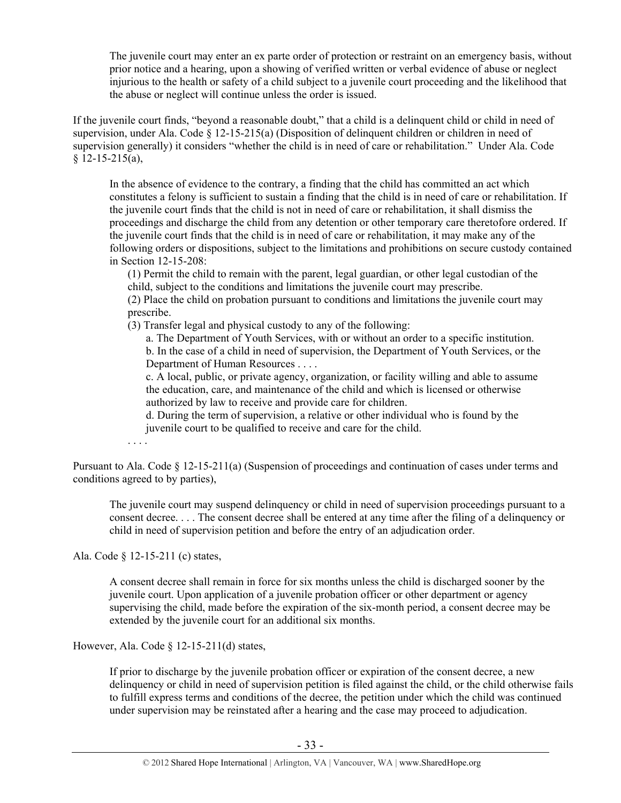The juvenile court may enter an ex parte order of protection or restraint on an emergency basis, without prior notice and a hearing, upon a showing of verified written or verbal evidence of abuse or neglect injurious to the health or safety of a child subject to a juvenile court proceeding and the likelihood that the abuse or neglect will continue unless the order is issued.

If the juvenile court finds, "beyond a reasonable doubt," that a child is a delinquent child or child in need of supervision, under Ala. Code § 12-15-215(a) (Disposition of delinquent children or children in need of supervision generally) it considers "whether the child is in need of care or rehabilitation." Under Ala. Code  $$12-15-215(a)$ ,

In the absence of evidence to the contrary, a finding that the child has committed an act which constitutes a felony is sufficient to sustain a finding that the child is in need of care or rehabilitation. If the juvenile court finds that the child is not in need of care or rehabilitation, it shall dismiss the proceedings and discharge the child from any detention or other temporary care theretofore ordered. If the juvenile court finds that the child is in need of care or rehabilitation, it may make any of the following orders or dispositions, subject to the limitations and prohibitions on secure custody contained in Section 12-15-208:

(1) Permit the child to remain with the parent, legal guardian, or other legal custodian of the child, subject to the conditions and limitations the juvenile court may prescribe.

(2) Place the child on probation pursuant to conditions and limitations the juvenile court may prescribe.

(3) Transfer legal and physical custody to any of the following:

a. The Department of Youth Services, with or without an order to a specific institution. b. In the case of a child in need of supervision, the Department of Youth Services, or the Department of Human Resources . . . .

c. A local, public, or private agency, organization, or facility willing and able to assume the education, care, and maintenance of the child and which is licensed or otherwise authorized by law to receive and provide care for children.

d. During the term of supervision, a relative or other individual who is found by the juvenile court to be qualified to receive and care for the child.

. . . .

Pursuant to Ala. Code § 12-15-211(a) (Suspension of proceedings and continuation of cases under terms and conditions agreed to by parties),

The juvenile court may suspend delinquency or child in need of supervision proceedings pursuant to a consent decree. . . . The consent decree shall be entered at any time after the filing of a delinquency or child in need of supervision petition and before the entry of an adjudication order.

Ala. Code § 12-15-211 (c) states,

A consent decree shall remain in force for six months unless the child is discharged sooner by the juvenile court. Upon application of a juvenile probation officer or other department or agency supervising the child, made before the expiration of the six-month period, a consent decree may be extended by the juvenile court for an additional six months.

However, Ala. Code § 12-15-211(d) states,

If prior to discharge by the juvenile probation officer or expiration of the consent decree, a new delinquency or child in need of supervision petition is filed against the child, or the child otherwise fails to fulfill express terms and conditions of the decree, the petition under which the child was continued under supervision may be reinstated after a hearing and the case may proceed to adjudication.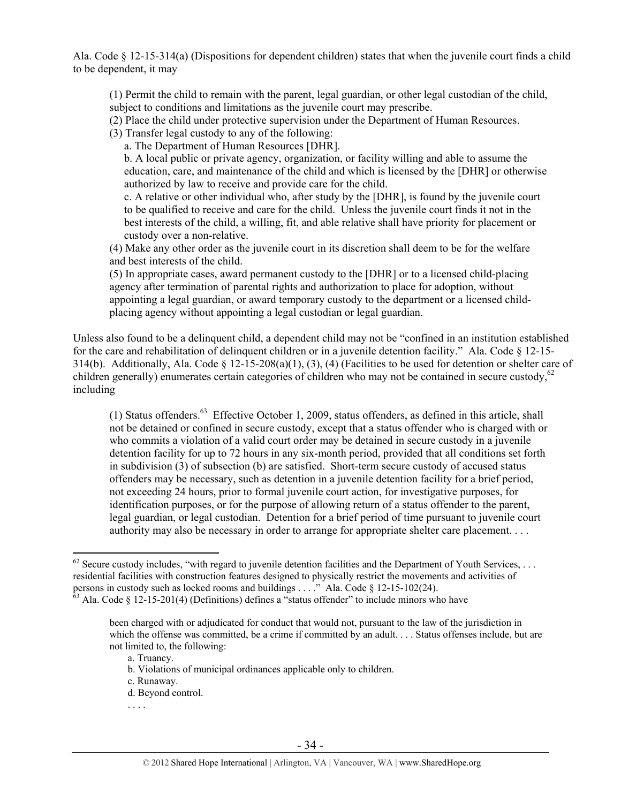Ala. Code § 12-15-314(a) (Dispositions for dependent children) states that when the juvenile court finds a child to be dependent, it may

(1) Permit the child to remain with the parent, legal guardian, or other legal custodian of the child, subject to conditions and limitations as the juvenile court may prescribe.

(2) Place the child under protective supervision under the Department of Human Resources.

(3) Transfer legal custody to any of the following:

a. The Department of Human Resources [DHR].

b. A local public or private agency, organization, or facility willing and able to assume the education, care, and maintenance of the child and which is licensed by the [DHR] or otherwise authorized by law to receive and provide care for the child.

c. A relative or other individual who, after study by the [DHR], is found by the juvenile court to be qualified to receive and care for the child. Unless the juvenile court finds it not in the best interests of the child, a willing, fit, and able relative shall have priority for placement or custody over a non-relative.

(4) Make any other order as the juvenile court in its discretion shall deem to be for the welfare and best interests of the child.

(5) In appropriate cases, award permanent custody to the [DHR] or to a licensed child-placing agency after termination of parental rights and authorization to place for adoption, without appointing a legal guardian, or award temporary custody to the department or a licensed childplacing agency without appointing a legal custodian or legal guardian.

Unless also found to be a delinquent child, a dependent child may not be "confined in an institution established for the care and rehabilitation of delinquent children or in a juvenile detention facility." Ala. Code § 12-15- 314(b). Additionally, Ala. Code  $\S$  12-15-208(a)(1), (3), (4) (Facilities to be used for detention or shelter care of children generally) enumerates certain categories of children who may not be contained in secure custody, $62$ including

 $(1)$  Status offenders.<sup>63</sup> Effective October 1, 2009, status offenders, as defined in this article, shall not be detained or confined in secure custody, except that a status offender who is charged with or who commits a violation of a valid court order may be detained in secure custody in a juvenile detention facility for up to 72 hours in any six-month period, provided that all conditions set forth in subdivision (3) of subsection (b) are satisfied. Short-term secure custody of accused status offenders may be necessary, such as detention in a juvenile detention facility for a brief period, not exceeding 24 hours, prior to formal juvenile court action, for investigative purposes, for identification purposes, or for the purpose of allowing return of a status offender to the parent, legal guardian, or legal custodian. Detention for a brief period of time pursuant to juvenile court authority may also be necessary in order to arrange for appropriate shelter care placement. . . .

- d. Beyond control.
- . . . .

 $62$  Secure custody includes, "with regard to juvenile detention facilities and the Department of Youth Services, ... residential facilities with construction features designed to physically restrict the movements and activities of persons in custody such as locked rooms and buildings . . . ." Ala. Code § 12-15-102(24).

 $63$  Ala. Code § 12-15-201(4) (Definitions) defines a "status offender" to include minors who have

been charged with or adjudicated for conduct that would not, pursuant to the law of the jurisdiction in which the offense was committed, be a crime if committed by an adult. . . . Status offenses include, but are not limited to, the following:

a. Truancy.

b. Violations of municipal ordinances applicable only to children.

c. Runaway.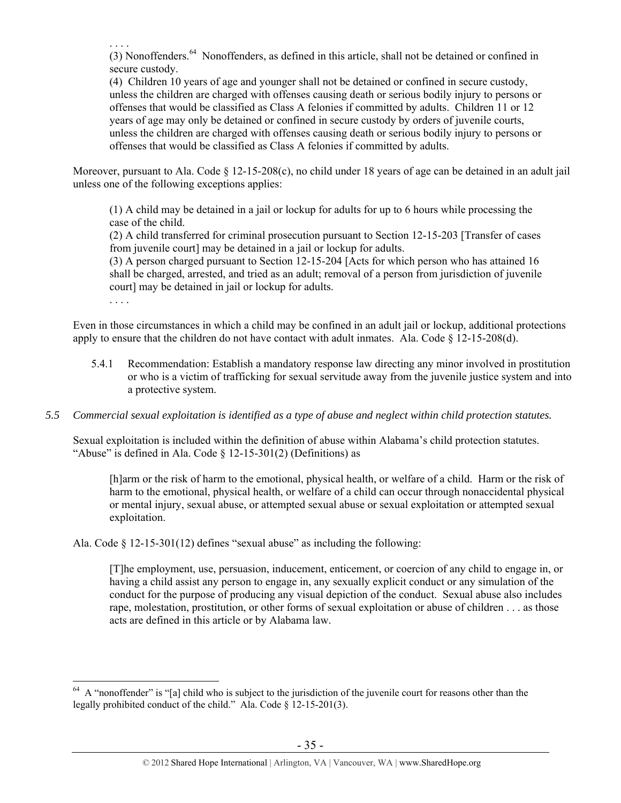. . . . (3) Nonoffenders.64 Nonoffenders, as defined in this article, shall not be detained or confined in secure custody.

(4) Children 10 years of age and younger shall not be detained or confined in secure custody, unless the children are charged with offenses causing death or serious bodily injury to persons or offenses that would be classified as Class A felonies if committed by adults. Children 11 or 12 years of age may only be detained or confined in secure custody by orders of juvenile courts, unless the children are charged with offenses causing death or serious bodily injury to persons or offenses that would be classified as Class A felonies if committed by adults.

Moreover, pursuant to Ala. Code  $\S 12{\text -}15{\text -}208(c)$ , no child under 18 years of age can be detained in an adult jail unless one of the following exceptions applies:

(1) A child may be detained in a jail or lockup for adults for up to 6 hours while processing the case of the child.

(2) A child transferred for criminal prosecution pursuant to Section 12-15-203 [Transfer of cases from juvenile court] may be detained in a jail or lockup for adults.

(3) A person charged pursuant to Section 12-15-204 [Acts for which person who has attained 16 shall be charged, arrested, and tried as an adult; removal of a person from jurisdiction of juvenile court] may be detained in jail or lockup for adults.

. . . .

 $\overline{a}$ 

Even in those circumstances in which a child may be confined in an adult jail or lockup, additional protections apply to ensure that the children do not have contact with adult inmates. Ala. Code  $\S$  12-15-208(d).

- 5.4.1 Recommendation: Establish a mandatory response law directing any minor involved in prostitution or who is a victim of trafficking for sexual servitude away from the juvenile justice system and into a protective system.
- *5.5 Commercial sexual exploitation is identified as a type of abuse and neglect within child protection statutes.*

Sexual exploitation is included within the definition of abuse within Alabama's child protection statutes. "Abuse" is defined in Ala. Code  $\S$  12-15-301(2) (Definitions) as

[h]arm or the risk of harm to the emotional, physical health, or welfare of a child. Harm or the risk of harm to the emotional, physical health, or welfare of a child can occur through nonaccidental physical or mental injury, sexual abuse, or attempted sexual abuse or sexual exploitation or attempted sexual exploitation.

Ala. Code § 12-15-301(12) defines "sexual abuse" as including the following:

[T]he employment, use, persuasion, inducement, enticement, or coercion of any child to engage in, or having a child assist any person to engage in, any sexually explicit conduct or any simulation of the conduct for the purpose of producing any visual depiction of the conduct. Sexual abuse also includes rape, molestation, prostitution, or other forms of sexual exploitation or abuse of children . . . as those acts are defined in this article or by Alabama law.

 $<sup>64</sup>$  A "nonoffender" is "[a] child who is subject to the jurisdiction of the juvenile court for reasons other than the</sup> legally prohibited conduct of the child." Ala. Code § 12-15-201(3).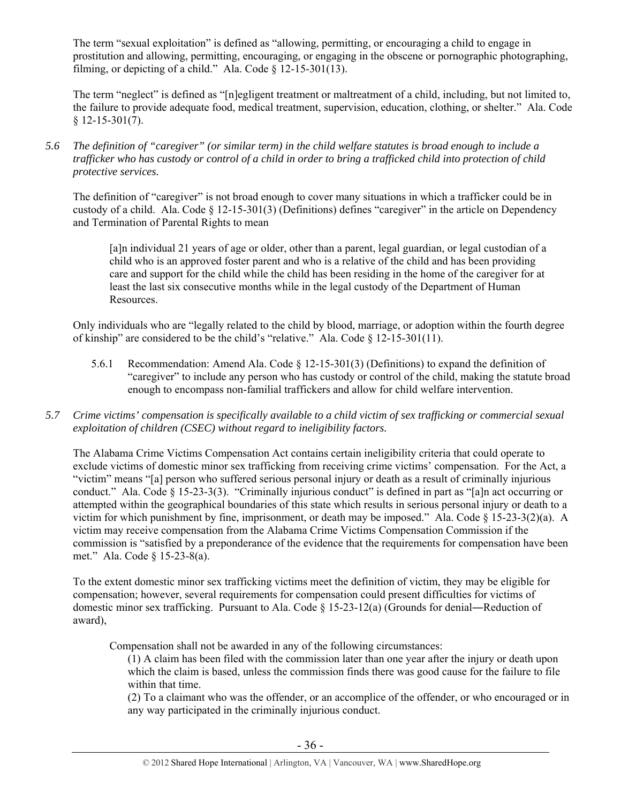The term "sexual exploitation" is defined as "allowing, permitting, or encouraging a child to engage in prostitution and allowing, permitting, encouraging, or engaging in the obscene or pornographic photographing, filming, or depicting of a child." Ala. Code  $\S$  12-15-301(13).

The term "neglect" is defined as "[n]egligent treatment or maltreatment of a child, including, but not limited to, the failure to provide adequate food, medical treatment, supervision, education, clothing, or shelter." Ala. Code  $§$  12-15-301(7).

*5.6 The definition of "caregiver" (or similar term) in the child welfare statutes is broad enough to include a trafficker who has custody or control of a child in order to bring a trafficked child into protection of child protective services.* 

The definition of "caregiver" is not broad enough to cover many situations in which a trafficker could be in custody of a child. Ala. Code  $\S$  12-15-301(3) (Definitions) defines "caregiver" in the article on Dependency and Termination of Parental Rights to mean

[a]n individual 21 years of age or older, other than a parent, legal guardian, or legal custodian of a child who is an approved foster parent and who is a relative of the child and has been providing care and support for the child while the child has been residing in the home of the caregiver for at least the last six consecutive months while in the legal custody of the Department of Human Resources.

Only individuals who are "legally related to the child by blood, marriage, or adoption within the fourth degree of kinship" are considered to be the child's "relative." Ala. Code § 12-15-301(11).

- 5.6.1 Recommendation: Amend Ala. Code § 12-15-301(3) (Definitions) to expand the definition of "caregiver" to include any person who has custody or control of the child, making the statute broad enough to encompass non-familial traffickers and allow for child welfare intervention.
- *5.7 Crime victims' compensation is specifically available to a child victim of sex trafficking or commercial sexual exploitation of children (CSEC) without regard to ineligibility factors.*

The Alabama Crime Victims Compensation Act contains certain ineligibility criteria that could operate to exclude victims of domestic minor sex trafficking from receiving crime victims' compensation. For the Act, a "victim" means "[a] person who suffered serious personal injury or death as a result of criminally injurious conduct." Ala. Code § 15-23-3(3). "Criminally injurious conduct" is defined in part as "[a]n act occurring or attempted within the geographical boundaries of this state which results in serious personal injury or death to a victim for which punishment by fine, imprisonment, or death may be imposed." Ala. Code  $\S$  15-23-3(2)(a). A victim may receive compensation from the Alabama Crime Victims Compensation Commission if the commission is "satisfied by a preponderance of the evidence that the requirements for compensation have been met." Ala. Code § 15-23-8(a).

To the extent domestic minor sex trafficking victims meet the definition of victim, they may be eligible for compensation; however, several requirements for compensation could present difficulties for victims of domestic minor sex trafficking. Pursuant to Ala. Code  $\S$  15-23-12(a) (Grounds for denial—Reduction of award),

Compensation shall not be awarded in any of the following circumstances:

(1) A claim has been filed with the commission later than one year after the injury or death upon which the claim is based, unless the commission finds there was good cause for the failure to file within that time.

(2) To a claimant who was the offender, or an accomplice of the offender, or who encouraged or in any way participated in the criminally injurious conduct.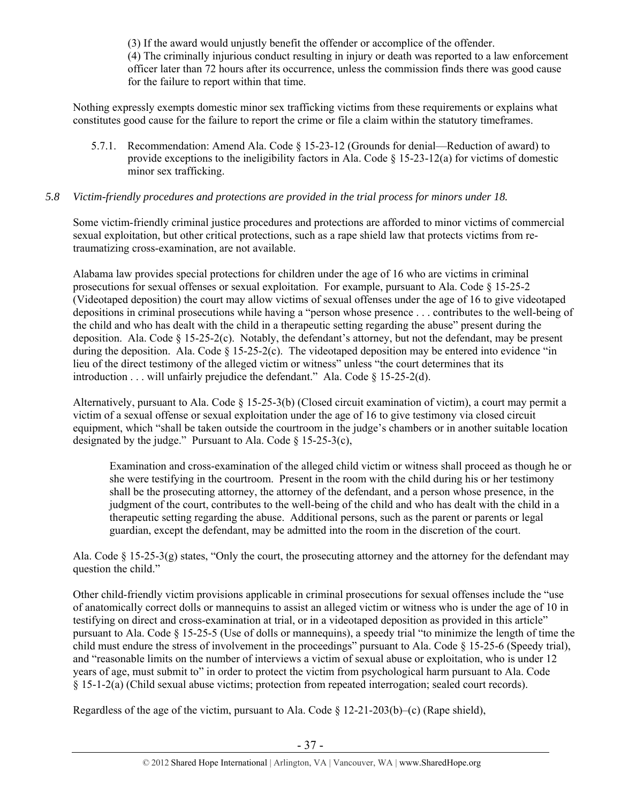(3) If the award would unjustly benefit the offender or accomplice of the offender. (4) The criminally injurious conduct resulting in injury or death was reported to a law enforcement officer later than 72 hours after its occurrence, unless the commission finds there was good cause for the failure to report within that time.

Nothing expressly exempts domestic minor sex trafficking victims from these requirements or explains what constitutes good cause for the failure to report the crime or file a claim within the statutory timeframes.

5.7.1. Recommendation: Amend Ala. Code § 15-23-12 (Grounds for denial—Reduction of award) to provide exceptions to the ineligibility factors in Ala. Code  $\delta$  15-23-12(a) for victims of domestic minor sex trafficking.

# *5.8 Victim-friendly procedures and protections are provided in the trial process for minors under 18.*

Some victim-friendly criminal justice procedures and protections are afforded to minor victims of commercial sexual exploitation, but other critical protections, such as a rape shield law that protects victims from retraumatizing cross-examination, are not available.

Alabama law provides special protections for children under the age of 16 who are victims in criminal prosecutions for sexual offenses or sexual exploitation. For example, pursuant to Ala. Code § 15-25-2 (Videotaped deposition) the court may allow victims of sexual offenses under the age of 16 to give videotaped depositions in criminal prosecutions while having a "person whose presence . . . contributes to the well-being of the child and who has dealt with the child in a therapeutic setting regarding the abuse" present during the deposition. Ala. Code § 15-25-2(c). Notably, the defendant's attorney, but not the defendant, may be present during the deposition. Ala. Code  $\S$  15-25-2(c). The videotaped deposition may be entered into evidence "in lieu of the direct testimony of the alleged victim or witness" unless "the court determines that its introduction . . . will unfairly prejudice the defendant." Ala. Code § 15-25-2(d).

Alternatively, pursuant to Ala. Code § 15-25-3(b) (Closed circuit examination of victim), a court may permit a victim of a sexual offense or sexual exploitation under the age of 16 to give testimony via closed circuit equipment, which "shall be taken outside the courtroom in the judge's chambers or in another suitable location designated by the judge." Pursuant to Ala. Code § 15-25-3(c),

Examination and cross-examination of the alleged child victim or witness shall proceed as though he or she were testifying in the courtroom. Present in the room with the child during his or her testimony shall be the prosecuting attorney, the attorney of the defendant, and a person whose presence, in the judgment of the court, contributes to the well-being of the child and who has dealt with the child in a therapeutic setting regarding the abuse. Additional persons, such as the parent or parents or legal guardian, except the defendant, may be admitted into the room in the discretion of the court.

Ala. Code § 15-25-3(g) states, "Only the court, the prosecuting attorney and the attorney for the defendant may question the child."

Other child-friendly victim provisions applicable in criminal prosecutions for sexual offenses include the "use of anatomically correct dolls or mannequins to assist an alleged victim or witness who is under the age of 10 in testifying on direct and cross-examination at trial, or in a videotaped deposition as provided in this article" pursuant to Ala. Code § 15-25-5 (Use of dolls or mannequins), a speedy trial "to minimize the length of time the child must endure the stress of involvement in the proceedings" pursuant to Ala. Code § 15-25-6 (Speedy trial), and "reasonable limits on the number of interviews a victim of sexual abuse or exploitation, who is under 12 years of age, must submit to" in order to protect the victim from psychological harm pursuant to Ala. Code § 15-1-2(a) (Child sexual abuse victims; protection from repeated interrogation; sealed court records).

Regardless of the age of the victim, pursuant to Ala. Code  $\S$  12-21-203(b)–(c) (Rape shield),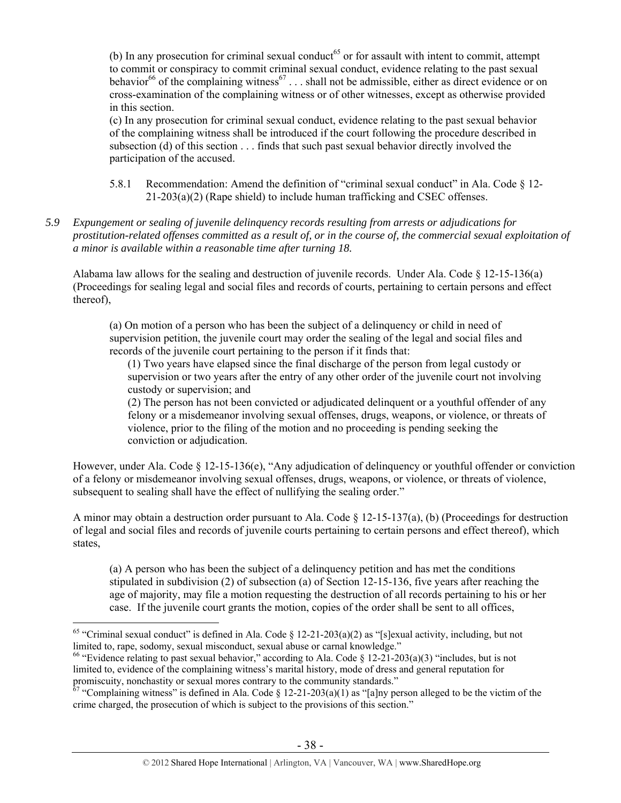(b) In any prosecution for criminal sexual conduct<sup>65</sup> or for assault with intent to commit, attempt to commit or conspiracy to commit criminal sexual conduct, evidence relating to the past sexual behavior<sup>66</sup> of the complaining witness<sup>67</sup> . . . shall not be admissible, either as direct evidence or on cross-examination of the complaining witness or of other witnesses, except as otherwise provided in this section.

(c) In any prosecution for criminal sexual conduct, evidence relating to the past sexual behavior of the complaining witness shall be introduced if the court following the procedure described in subsection (d) of this section . . . finds that such past sexual behavior directly involved the participation of the accused.

- 5.8.1 Recommendation: Amend the definition of "criminal sexual conduct" in Ala. Code § 12- 21-203(a)(2) (Rape shield) to include human trafficking and CSEC offenses.
- *5.9 Expungement or sealing of juvenile delinquency records resulting from arrests or adjudications for prostitution-related offenses committed as a result of, or in the course of, the commercial sexual exploitation of a minor is available within a reasonable time after turning 18.*

Alabama law allows for the sealing and destruction of juvenile records. Under Ala. Code § 12-15-136(a) (Proceedings for sealing legal and social files and records of courts, pertaining to certain persons and effect thereof),

(a) On motion of a person who has been the subject of a delinquency or child in need of supervision petition, the juvenile court may order the sealing of the legal and social files and records of the juvenile court pertaining to the person if it finds that:

(1) Two years have elapsed since the final discharge of the person from legal custody or supervision or two years after the entry of any other order of the juvenile court not involving custody or supervision; and

(2) The person has not been convicted or adjudicated delinquent or a youthful offender of any felony or a misdemeanor involving sexual offenses, drugs, weapons, or violence, or threats of violence, prior to the filing of the motion and no proceeding is pending seeking the conviction or adjudication.

However, under Ala. Code § 12-15-136(e), "Any adjudication of delinquency or youthful offender or conviction of a felony or misdemeanor involving sexual offenses, drugs, weapons, or violence, or threats of violence, subsequent to sealing shall have the effect of nullifying the sealing order."

A minor may obtain a destruction order pursuant to Ala. Code § 12-15-137(a), (b) (Proceedings for destruction of legal and social files and records of juvenile courts pertaining to certain persons and effect thereof), which states,

(a) A person who has been the subject of a delinquency petition and has met the conditions stipulated in subdivision (2) of subsection (a) of Section 12-15-136, five years after reaching the age of majority, may file a motion requesting the destruction of all records pertaining to his or her case. If the juvenile court grants the motion, copies of the order shall be sent to all offices,

<sup>&</sup>lt;sup>65</sup> "Criminal sexual conduct" is defined in Ala. Code § 12-21-203(a)(2) as "[s]exual activity, including, but not limited to, rape, sodomy, sexual misconduct, sexual abuse or carnal knowledge."

<sup>&</sup>lt;sup>66</sup> "Evidence relating to past sexual behavior," according to Ala. Code § 12-21-203(a)(3) "includes, but is not limited to, evidence of the complaining witness's marital history, mode of dress and general reputation for promiscuity, nonchastity or sexual mores contrary to the community standards."<br><sup>67</sup> "Complaining witness" is defined in Ala. Code § 12-21-203(a)(1) as "[a]ny person alleged to be the victim of the

crime charged, the prosecution of which is subject to the provisions of this section."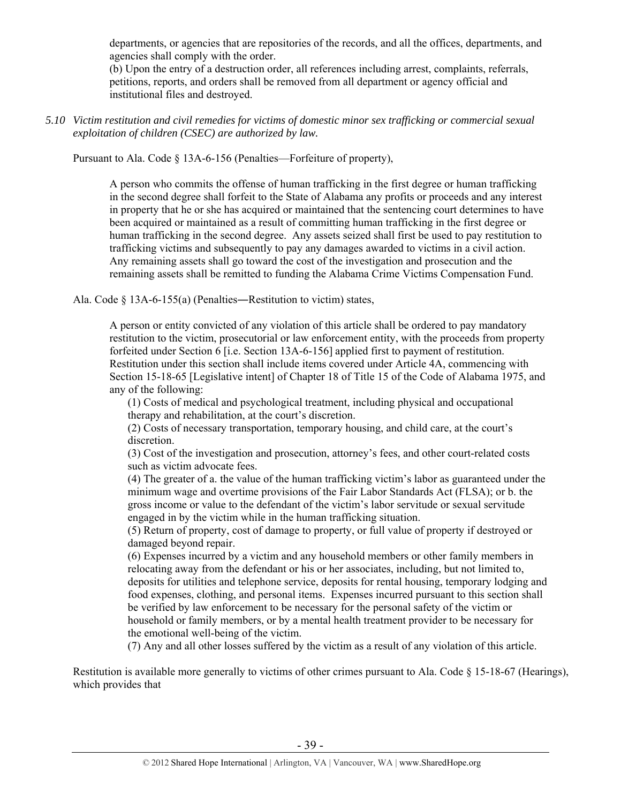departments, or agencies that are repositories of the records, and all the offices, departments, and agencies shall comply with the order.

(b) Upon the entry of a destruction order, all references including arrest, complaints, referrals, petitions, reports, and orders shall be removed from all department or agency official and institutional files and destroyed.

*5.10 Victim restitution and civil remedies for victims of domestic minor sex trafficking or commercial sexual exploitation of children (CSEC) are authorized by law.* 

Pursuant to Ala. Code § 13A-6-156 (Penalties—Forfeiture of property),

A person who commits the offense of human trafficking in the first degree or human trafficking in the second degree shall forfeit to the State of Alabama any profits or proceeds and any interest in property that he or she has acquired or maintained that the sentencing court determines to have been acquired or maintained as a result of committing human trafficking in the first degree or human trafficking in the second degree. Any assets seized shall first be used to pay restitution to trafficking victims and subsequently to pay any damages awarded to victims in a civil action. Any remaining assets shall go toward the cost of the investigation and prosecution and the remaining assets shall be remitted to funding the Alabama Crime Victims Compensation Fund.

Ala. Code § 13A-6-155(a) (Penalties―Restitution to victim) states,

A person or entity convicted of any violation of this article shall be ordered to pay mandatory restitution to the victim, prosecutorial or law enforcement entity, with the proceeds from property forfeited under Section 6 [i.e. Section 13A-6-156] applied first to payment of restitution. Restitution under this section shall include items covered under Article 4A, commencing with Section 15-18-65 [Legislative intent] of Chapter 18 of Title 15 of the Code of Alabama 1975, and any of the following:

(1) Costs of medical and psychological treatment, including physical and occupational therapy and rehabilitation, at the court's discretion.

(2) Costs of necessary transportation, temporary housing, and child care, at the court's discretion.

(3) Cost of the investigation and prosecution, attorney's fees, and other court-related costs such as victim advocate fees.

(4) The greater of a. the value of the human trafficking victim's labor as guaranteed under the minimum wage and overtime provisions of the Fair Labor Standards Act (FLSA); or b. the gross income or value to the defendant of the victim's labor servitude or sexual servitude engaged in by the victim while in the human trafficking situation.

(5) Return of property, cost of damage to property, or full value of property if destroyed or damaged beyond repair.

(6) Expenses incurred by a victim and any household members or other family members in relocating away from the defendant or his or her associates, including, but not limited to, deposits for utilities and telephone service, deposits for rental housing, temporary lodging and food expenses, clothing, and personal items. Expenses incurred pursuant to this section shall be verified by law enforcement to be necessary for the personal safety of the victim or household or family members, or by a mental health treatment provider to be necessary for the emotional well-being of the victim.

(7) Any and all other losses suffered by the victim as a result of any violation of this article.

Restitution is available more generally to victims of other crimes pursuant to Ala. Code § 15-18-67 (Hearings), which provides that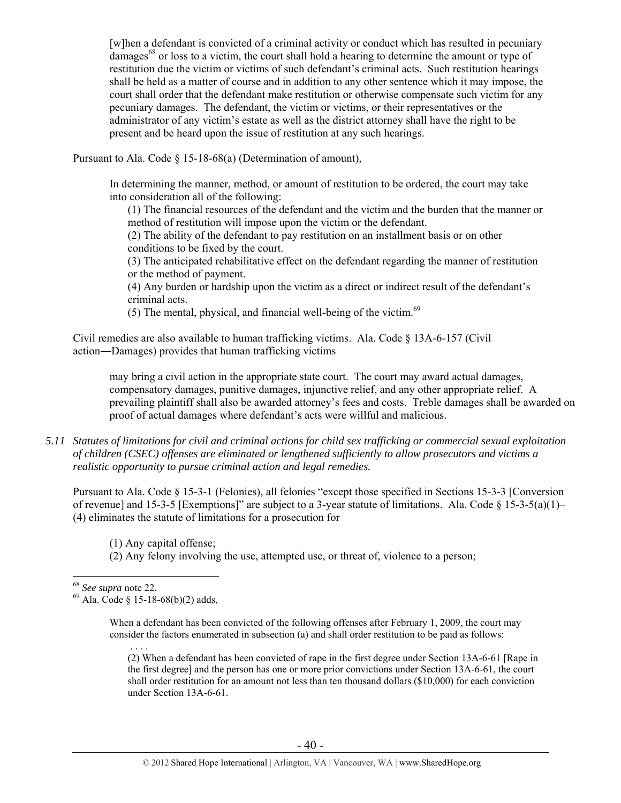[w]hen a defendant is convicted of a criminal activity or conduct which has resulted in pecuniary damages<sup>68</sup> or loss to a victim, the court shall hold a hearing to determine the amount or type of restitution due the victim or victims of such defendant's criminal acts. Such restitution hearings shall be held as a matter of course and in addition to any other sentence which it may impose, the court shall order that the defendant make restitution or otherwise compensate such victim for any pecuniary damages. The defendant, the victim or victims, or their representatives or the administrator of any victim's estate as well as the district attorney shall have the right to be present and be heard upon the issue of restitution at any such hearings.

Pursuant to Ala. Code § 15-18-68(a) (Determination of amount),

In determining the manner, method, or amount of restitution to be ordered, the court may take into consideration all of the following:

(1) The financial resources of the defendant and the victim and the burden that the manner or method of restitution will impose upon the victim or the defendant.

(2) The ability of the defendant to pay restitution on an installment basis or on other conditions to be fixed by the court.

(3) The anticipated rehabilitative effect on the defendant regarding the manner of restitution or the method of payment.

(4) Any burden or hardship upon the victim as a direct or indirect result of the defendant's criminal acts.

(5) The mental, physical, and financial well-being of the victim. $69$ 

Civil remedies are also available to human trafficking victims. Ala. Code § 13A-6-157 (Civil action―Damages) provides that human trafficking victims

may bring a civil action in the appropriate state court. The court may award actual damages, compensatory damages, punitive damages, injunctive relief, and any other appropriate relief. A prevailing plaintiff shall also be awarded attorney's fees and costs. Treble damages shall be awarded on proof of actual damages where defendant's acts were willful and malicious.

*5.11 Statutes of limitations for civil and criminal actions for child sex trafficking or commercial sexual exploitation of children (CSEC) offenses are eliminated or lengthened sufficiently to allow prosecutors and victims a realistic opportunity to pursue criminal action and legal remedies.* 

Pursuant to Ala. Code § 15-3-1 (Felonies), all felonies "except those specified in Sections 15-3-3 [Conversion of revenue] and 15-3-5 [Exemptions]" are subject to a 3-year statute of limitations. Ala. Code  $\S$  15-3-5(a)(1)– (4) eliminates the statute of limitations for a prosecution for

(1) Any capital offense;

(2) Any felony involving the use, attempted use, or threat of, violence to a person;

68 See supra note 22.

When a defendant has been convicted of the following offenses after February 1, 2009, the court may consider the factors enumerated in subsection (a) and shall order restitution to be paid as follows:

 . . . . (2) When a defendant has been convicted of rape in the first degree under Section 13A-6-61 [Rape in the first degree] and the person has one or more prior convictions under Section 13A-6-61, the court shall order restitution for an amount not less than ten thousand dollars (\$10,000) for each conviction under Section 13A-6-61.

<sup>&</sup>lt;sup>69</sup> Ala. Code § 15-18-68(b)(2) adds.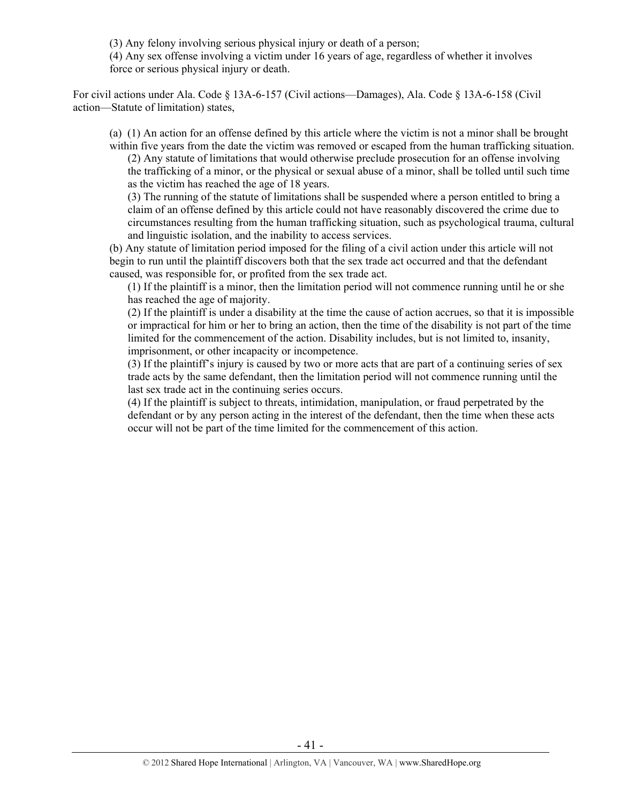(3) Any felony involving serious physical injury or death of a person;

(4) Any sex offense involving a victim under 16 years of age, regardless of whether it involves force or serious physical injury or death.

For civil actions under Ala. Code § 13A-6-157 (Civil actions—Damages), Ala. Code § 13A-6-158 (Civil action—Statute of limitation) states,

(a) (1) An action for an offense defined by this article where the victim is not a minor shall be brought within five years from the date the victim was removed or escaped from the human trafficking situation.

 (2) Any statute of limitations that would otherwise preclude prosecution for an offense involving the trafficking of a minor, or the physical or sexual abuse of a minor, shall be tolled until such time as the victim has reached the age of 18 years.

 (3) The running of the statute of limitations shall be suspended where a person entitled to bring a claim of an offense defined by this article could not have reasonably discovered the crime due to circumstances resulting from the human trafficking situation, such as psychological trauma, cultural and linguistic isolation, and the inability to access services.

(b) Any statute of limitation period imposed for the filing of a civil action under this article will not begin to run until the plaintiff discovers both that the sex trade act occurred and that the defendant caused, was responsible for, or profited from the sex trade act.

 (1) If the plaintiff is a minor, then the limitation period will not commence running until he or she has reached the age of majority.

 (2) If the plaintiff is under a disability at the time the cause of action accrues, so that it is impossible or impractical for him or her to bring an action, then the time of the disability is not part of the time limited for the commencement of the action. Disability includes, but is not limited to, insanity, imprisonment, or other incapacity or incompetence.

 (3) If the plaintiff's injury is caused by two or more acts that are part of a continuing series of sex trade acts by the same defendant, then the limitation period will not commence running until the last sex trade act in the continuing series occurs.

 (4) If the plaintiff is subject to threats, intimidation, manipulation, or fraud perpetrated by the defendant or by any person acting in the interest of the defendant, then the time when these acts occur will not be part of the time limited for the commencement of this action.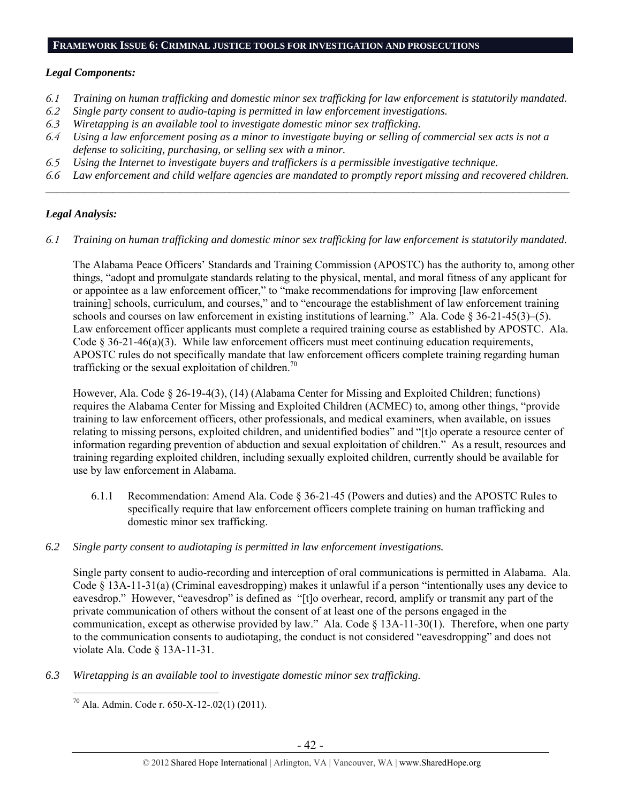#### **FRAMEWORK ISSUE 6: CRIMINAL JUSTICE TOOLS FOR INVESTIGATION AND PROSECUTIONS**

## *Legal Components:*

- *6.1 Training on human trafficking and domestic minor sex trafficking for law enforcement is statutorily mandated.*
- *6.2 Single party consent to audio-taping is permitted in law enforcement investigations.*
- *6.3 Wiretapping is an available tool to investigate domestic minor sex trafficking.*
- *6.4 Using a law enforcement posing as a minor to investigate buying or selling of commercial sex acts is not a defense to soliciting, purchasing, or selling sex with a minor.*
- *6.5 Using the Internet to investigate buyers and traffickers is a permissible investigative technique.*
- *6.6 Law enforcement and child welfare agencies are mandated to promptly report missing and recovered children. \_\_\_\_\_\_\_\_\_\_\_\_\_\_\_\_\_\_\_\_\_\_\_\_\_\_\_\_\_\_\_\_\_\_\_\_\_\_\_\_\_\_\_\_\_\_\_\_\_\_\_\_\_\_\_\_\_\_\_\_\_\_\_\_\_\_\_\_\_\_\_\_\_\_\_\_\_\_\_\_\_\_\_\_\_\_\_\_\_\_\_\_\_\_*

# *Legal Analysis:*

*6.1 Training on human trafficking and domestic minor sex trafficking for law enforcement is statutorily mandated.* 

The Alabama Peace Officers' Standards and Training Commission (APOSTC) has the authority to, among other things, "adopt and promulgate standards relating to the physical, mental, and moral fitness of any applicant for or appointee as a law enforcement officer," to "make recommendations for improving [law enforcement training] schools, curriculum, and courses," and to "encourage the establishment of law enforcement training schools and courses on law enforcement in existing institutions of learning." Ala. Code § 36-21-45(3)–(5). Law enforcement officer applicants must complete a required training course as established by APOSTC. Ala. Code  $\S 36-21-46(a)(3)$ . While law enforcement officers must meet continuing education requirements, APOSTC rules do not specifically mandate that law enforcement officers complete training regarding human trafficking or the sexual exploitation of children.<sup>70</sup>

However, Ala. Code § 26-19-4(3), (14) (Alabama Center for Missing and Exploited Children; functions) requires the Alabama Center for Missing and Exploited Children (ACMEC) to, among other things, "provide training to law enforcement officers, other professionals, and medical examiners, when available, on issues relating to missing persons, exploited children, and unidentified bodies" and "[t]o operate a resource center of information regarding prevention of abduction and sexual exploitation of children." As a result, resources and training regarding exploited children, including sexually exploited children, currently should be available for use by law enforcement in Alabama.

- 6.1.1 Recommendation: Amend Ala. Code § 36-21-45 (Powers and duties) and the APOSTC Rules to specifically require that law enforcement officers complete training on human trafficking and domestic minor sex trafficking.
- *6.2 Single party consent to audiotaping is permitted in law enforcement investigations.*

Single party consent to audio-recording and interception of oral communications is permitted in Alabama. Ala. Code § 13A-11-31(a) (Criminal eavesdropping) makes it unlawful if a person "intentionally uses any device to eavesdrop." However, "eavesdrop" is defined as "[t]o overhear, record, amplify or transmit any part of the private communication of others without the consent of at least one of the persons engaged in the communication, except as otherwise provided by law." Ala. Code § 13A-11-30(1). Therefore, when one party to the communication consents to audiotaping, the conduct is not considered "eavesdropping" and does not violate Ala. Code § 13A-11-31.

*6.3 Wiretapping is an available tool to investigate domestic minor sex trafficking.* 

 $\overline{a}$  $70$  Ala. Admin. Code r. 650-X-12-.02(1) (2011).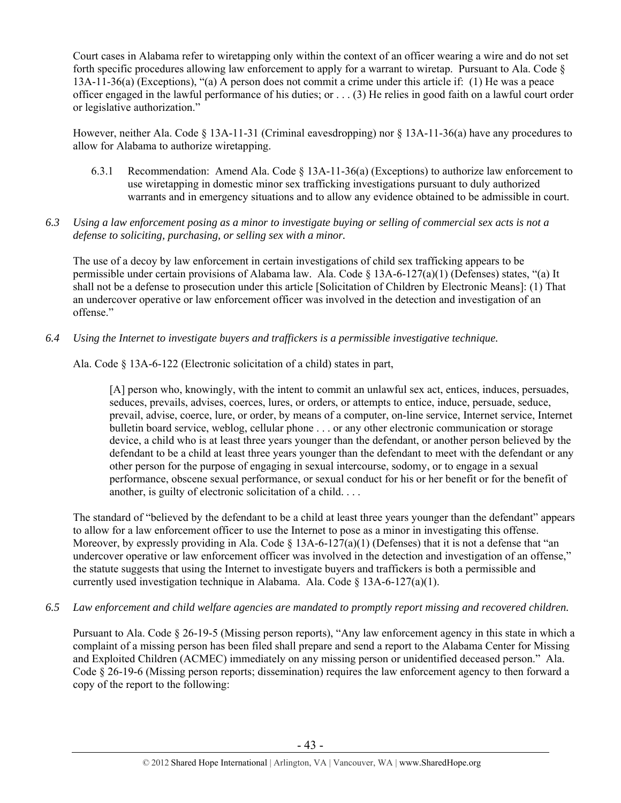Court cases in Alabama refer to wiretapping only within the context of an officer wearing a wire and do not set forth specific procedures allowing law enforcement to apply for a warrant to wiretap. Pursuant to Ala. Code § 13A-11-36(a) (Exceptions), "(a) A person does not commit a crime under this article if: (1) He was a peace officer engaged in the lawful performance of his duties; or . . . (3) He relies in good faith on a lawful court order or legislative authorization."

However, neither Ala. Code § 13A-11-31 (Criminal eavesdropping) nor § 13A-11-36(a) have any procedures to allow for Alabama to authorize wiretapping.

- 6.3.1 Recommendation: Amend Ala. Code § 13A-11-36(a) (Exceptions) to authorize law enforcement to use wiretapping in domestic minor sex trafficking investigations pursuant to duly authorized warrants and in emergency situations and to allow any evidence obtained to be admissible in court.
- *6.3 Using a law enforcement posing as a minor to investigate buying or selling of commercial sex acts is not a defense to soliciting, purchasing, or selling sex with a minor.*

The use of a decoy by law enforcement in certain investigations of child sex trafficking appears to be permissible under certain provisions of Alabama law. Ala. Code § 13A-6-127(a)(1) (Defenses) states, "(a) It shall not be a defense to prosecution under this article [Solicitation of Children by Electronic Means]: (1) That an undercover operative or law enforcement officer was involved in the detection and investigation of an offense."

*6.4 Using the Internet to investigate buyers and traffickers is a permissible investigative technique.* 

Ala. Code § 13A-6-122 (Electronic solicitation of a child) states in part,

[A] person who, knowingly, with the intent to commit an unlawful sex act, entices, induces, persuades, seduces, prevails, advises, coerces, lures, or orders, or attempts to entice, induce, persuade, seduce, prevail, advise, coerce, lure, or order, by means of a computer, on-line service, Internet service, Internet bulletin board service, weblog, cellular phone . . . or any other electronic communication or storage device, a child who is at least three years younger than the defendant, or another person believed by the defendant to be a child at least three years younger than the defendant to meet with the defendant or any other person for the purpose of engaging in sexual intercourse, sodomy, or to engage in a sexual performance, obscene sexual performance, or sexual conduct for his or her benefit or for the benefit of another, is guilty of electronic solicitation of a child. . . .

The standard of "believed by the defendant to be a child at least three years younger than the defendant" appears to allow for a law enforcement officer to use the Internet to pose as a minor in investigating this offense. Moreover, by expressly providing in Ala. Code  $\S 13A-6-127(a)(1)$  (Defenses) that it is not a defense that "an undercover operative or law enforcement officer was involved in the detection and investigation of an offense," the statute suggests that using the Internet to investigate buyers and traffickers is both a permissible and currently used investigation technique in Alabama. Ala. Code  $\S$  13A-6-127(a)(1).

*6.5 Law enforcement and child welfare agencies are mandated to promptly report missing and recovered children.* 

Pursuant to Ala. Code § 26-19-5 (Missing person reports), "Any law enforcement agency in this state in which a complaint of a missing person has been filed shall prepare and send a report to the Alabama Center for Missing and Exploited Children (ACMEC) immediately on any missing person or unidentified deceased person." Ala. Code § 26-19-6 (Missing person reports; dissemination) requires the law enforcement agency to then forward a copy of the report to the following: